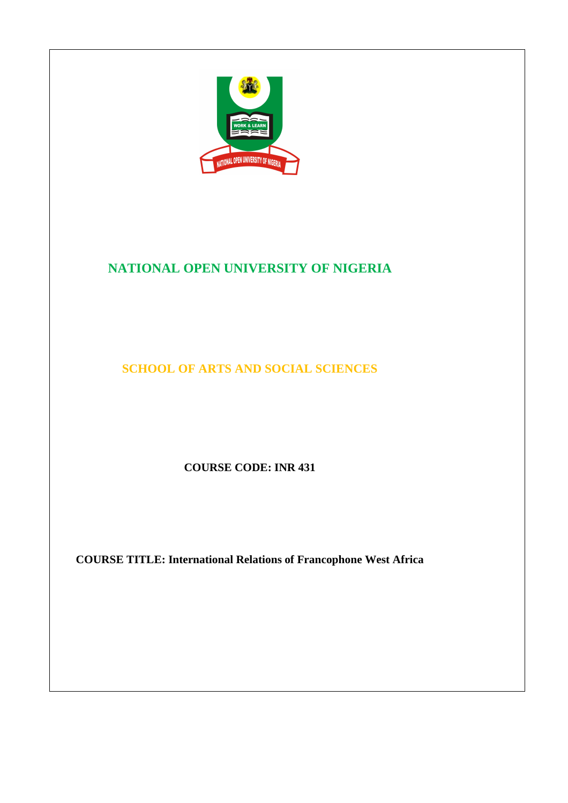

# **NATIONAL OPEN UNIVERSITY OF NIGERIA**

**SCHOOL OF ARTS AND SOCIAL SCIENCES** 

**COURSE CODE: INR 431** 

**COURSE TITLE: International Relations of Francophone West Africa**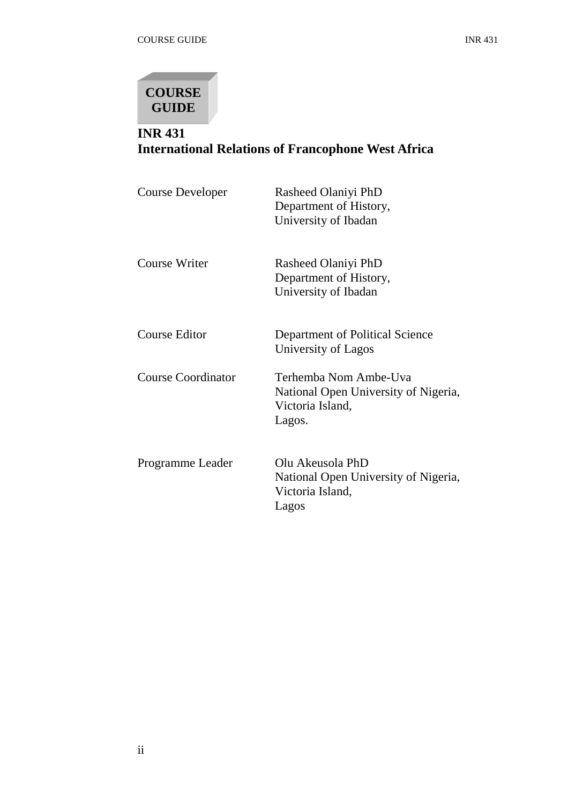

# **INR 431 International Relations of Francophone West Africa**

| <b>Course Developer</b>   | Rasheed Olaniyi PhD<br>Department of History,<br>University of Ibadan                       |
|---------------------------|---------------------------------------------------------------------------------------------|
| Course Writer             | Rasheed Olaniyi PhD<br>Department of History,<br>University of Ibadan                       |
| Course Editor             | Department of Political Science<br>University of Lagos                                      |
| <b>Course Coordinator</b> | Terhemba Nom Ambe-Uva<br>National Open University of Nigeria,<br>Victoria Island,<br>Lagos. |
| Programme Leader          | Olu Akeusola PhD<br>National Open University of Nigeria,<br>Victoria Island,<br>Lagos       |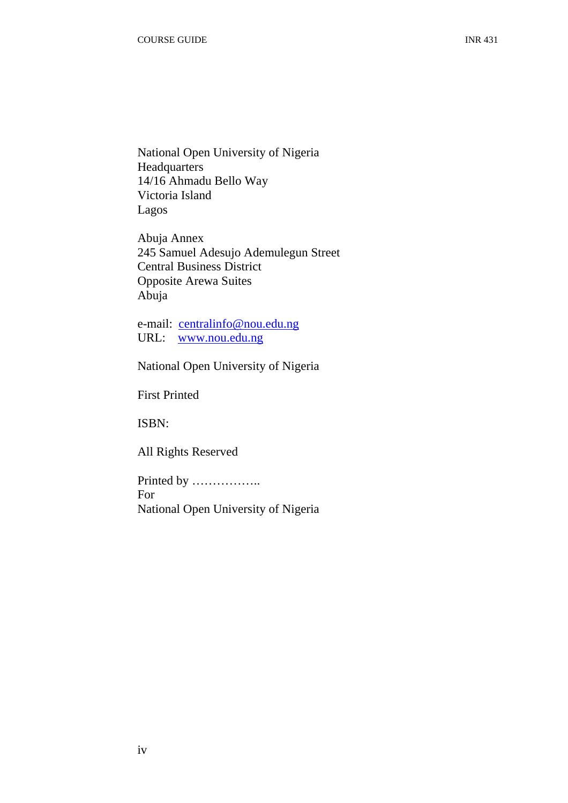National Open University of Nigeria Headquarters 14/16 Ahmadu Bello Way Victoria Island Lagos

Abuja Annex 245 Samuel Adesujo Ademulegun Street Central Business District Opposite Arewa Suites Abuja

e-mail: centralinfo@nou.edu.ng URL: www.nou.edu.ng

National Open University of Nigeria

First Printed

ISBN:

All Rights Reserved

Printed by …………….. For National Open University of Nigeria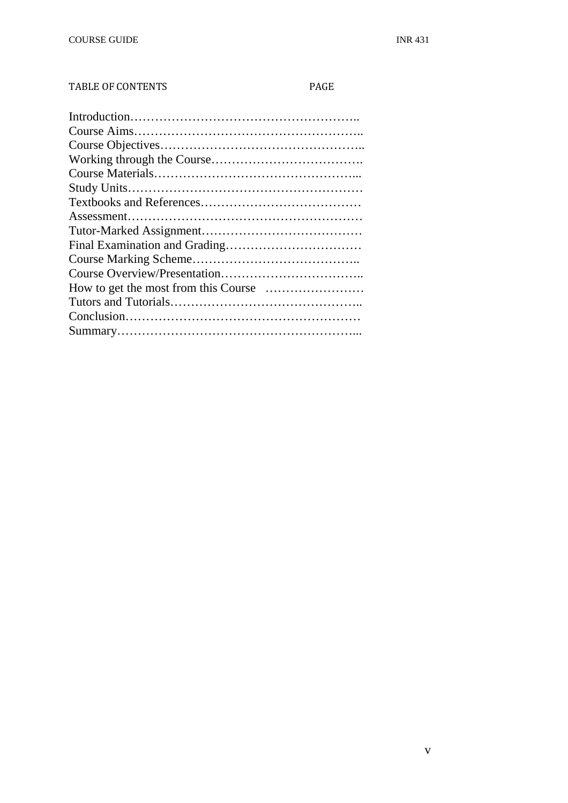#### TABLE OF CONTENTS PAGE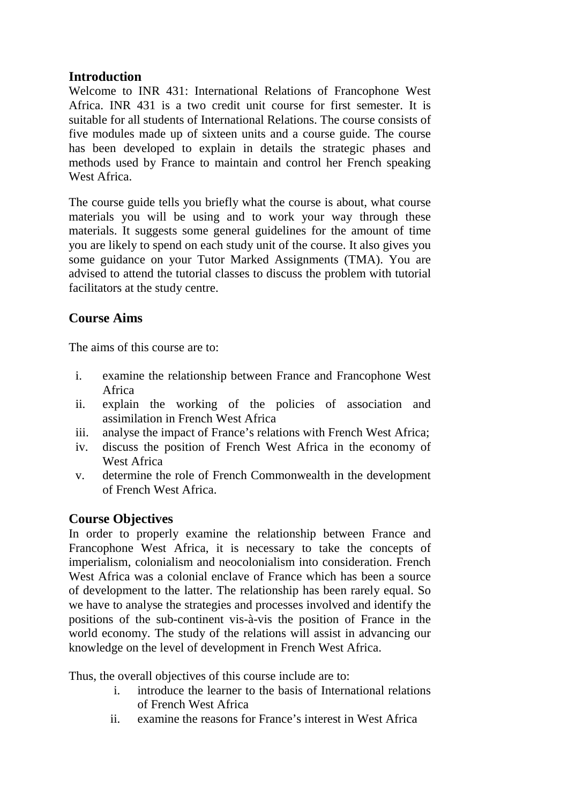# **Introduction**

Welcome to INR 431: International Relations of Francophone West Africa. INR 431 is a two credit unit course for first semester. It is suitable for all students of International Relations. The course consists of five modules made up of sixteen units and a course guide. The course has been developed to explain in details the strategic phases and methods used by France to maintain and control her French speaking West Africa.

The course guide tells you briefly what the course is about, what course materials you will be using and to work your way through these materials. It suggests some general guidelines for the amount of time you are likely to spend on each study unit of the course. It also gives you some guidance on your Tutor Marked Assignments (TMA). You are advised to attend the tutorial classes to discuss the problem with tutorial facilitators at the study centre.

# **Course Aims**

The aims of this course are to:

- i. examine the relationship between France and Francophone West Africa
- ii. explain the working of the policies of association and assimilation in French West Africa
- iii. analyse the impact of France's relations with French West Africa;
- iv. discuss the position of French West Africa in the economy of West Africa
- v. determine the role of French Commonwealth in the development of French West Africa.

# **Course Objectives**

In order to properly examine the relationship between France and Francophone West Africa, it is necessary to take the concepts of imperialism, colonialism and neocolonialism into consideration. French West Africa was a colonial enclave of France which has been a source of development to the latter. The relationship has been rarely equal. So we have to analyse the strategies and processes involved and identify the positions of the sub-continent vis-à-vis the position of France in the world economy. The study of the relations will assist in advancing our knowledge on the level of development in French West Africa.

Thus, the overall objectives of this course include are to:

- i. introduce the learner to the basis of International relations of French West Africa
- ii. examine the reasons for France's interest in West Africa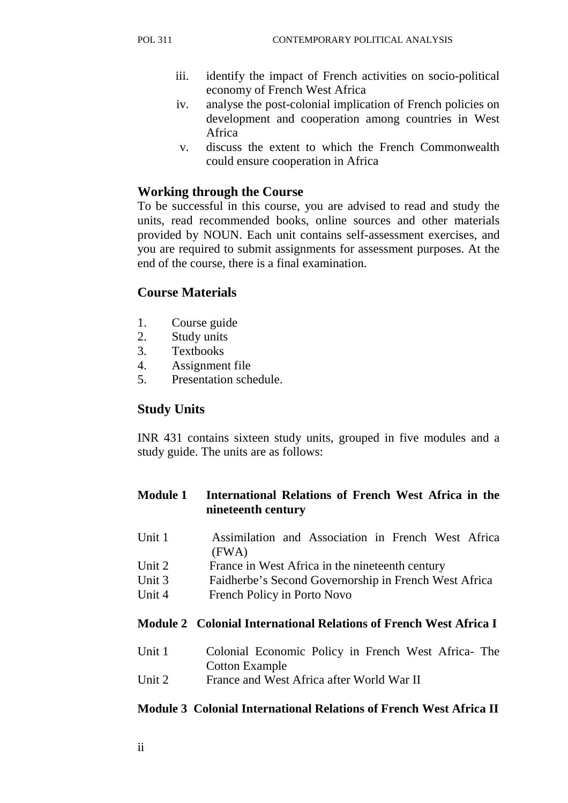- iii. identify the impact of French activities on socio-political economy of French West Africa
- iv. analyse the post-colonial implication of French policies on development and cooperation among countries in West Africa
- v. discuss the extent to which the French Commonwealth could ensure cooperation in Africa

# **Working through the Course**

To be successful in this course, you are advised to read and study the units, read recommended books, online sources and other materials provided by NOUN. Each unit contains self-assessment exercises, and you are required to submit assignments for assessment purposes. At the end of the course, there is a final examination.

# **Course Materials**

- 1. Course guide
- 2. Study units
- 3. Textbooks
- 4. Assignment file
- 5. Presentation schedule.

# **Study Units**

INR 431 contains sixteen study units, grouped in five modules and a study guide. The units are as follows:

# **Module 1 International Relations of French West Africa in the nineteenth century**

- Unit 1 Assimilation and Association in French West Africa (FWA)
- Unit 2 France in West Africa in the nineteenth century
- Unit 3 Faidherbe's Second Governorship in French West Africa
- Unit 4 French Policy in Porto Novo

# **Module 2 Colonial International Relations of French West Africa I**

- Unit 1 Colonial Economic Policy in French West Africa- The Cotton Example
- Unit 2 France and West Africa after World War II

# **Module 3 Colonial International Relations of French West Africa II**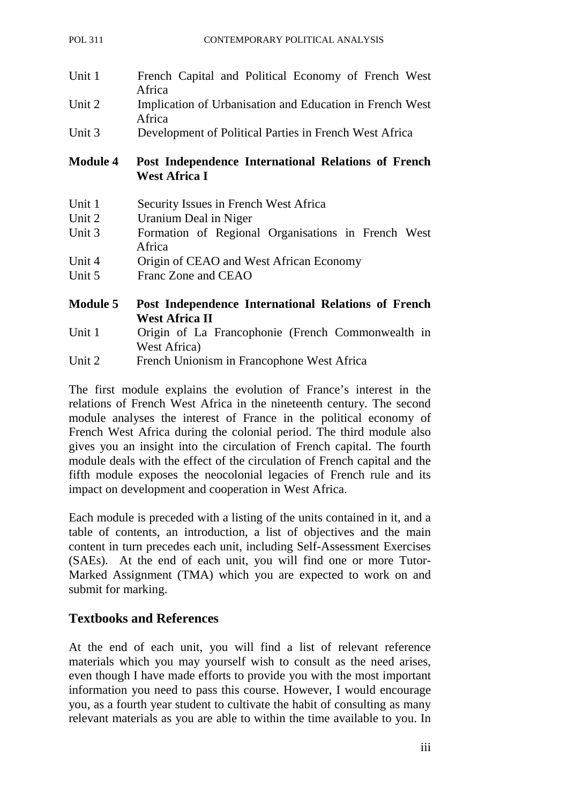| Unit 1          | French Capital and Political Economy of French West<br>Africa               |
|-----------------|-----------------------------------------------------------------------------|
| Unit 2          | Implication of Urbanisation and Education in French West<br>Africa          |
| Unit 3          | Development of Political Parties in French West Africa                      |
|                 |                                                                             |
| <b>Module 4</b> | Post Independence International Relations of French<br><b>West Africa I</b> |
| Unit 1          | Security Issues in French West Africa                                       |
| Unit 2          | Uranium Deal in Niger                                                       |

- Unit 4 Origin of CEAO and West African Economy
- Unit 5 Franc Zone and CEAO
- **Module 5 Post Independence International Relations of French West Africa II**
- Unit 1 Origin of La Francophonie (French Commonwealth in West Africa)
- Unit 2 French Unionism in Francophone West Africa

The first module explains the evolution of France's interest in the relations of French West Africa in the nineteenth century. The second module analyses the interest of France in the political economy of French West Africa during the colonial period. The third module also gives you an insight into the circulation of French capital. The fourth module deals with the effect of the circulation of French capital and the fifth module exposes the neocolonial legacies of French rule and its impact on development and cooperation in West Africa.

Each module is preceded with a listing of the units contained in it, and a table of contents, an introduction, a list of objectives and the main content in turn precedes each unit, including Self-Assessment Exercises (SAEs). At the end of each unit, you will find one or more Tutor-Marked Assignment (TMA) which you are expected to work on and submit for marking.

# **Textbooks and References**

At the end of each unit, you will find a list of relevant reference materials which you may yourself wish to consult as the need arises, even though I have made efforts to provide you with the most important information you need to pass this course. However, I would encourage you, as a fourth year student to cultivate the habit of consulting as many relevant materials as you are able to within the time available to you. In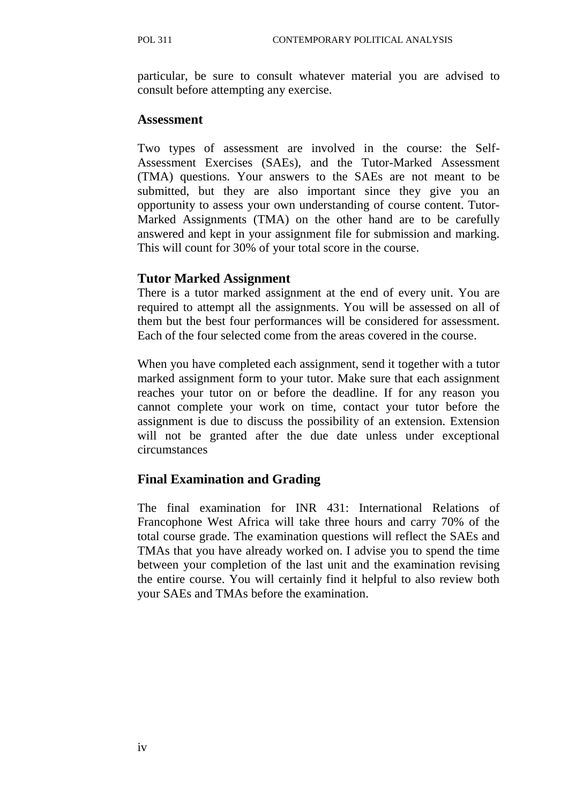particular, be sure to consult whatever material you are advised to consult before attempting any exercise.

#### **Assessment**

Two types of assessment are involved in the course: the Self-Assessment Exercises (SAEs), and the Tutor-Marked Assessment (TMA) questions. Your answers to the SAEs are not meant to be submitted, but they are also important since they give you an opportunity to assess your own understanding of course content. Tutor-Marked Assignments (TMA) on the other hand are to be carefully answered and kept in your assignment file for submission and marking. This will count for 30% of your total score in the course.

# **Tutor Marked Assignment**

There is a tutor marked assignment at the end of every unit. You are required to attempt all the assignments. You will be assessed on all of them but the best four performances will be considered for assessment. Each of the four selected come from the areas covered in the course.

When you have completed each assignment, send it together with a tutor marked assignment form to your tutor. Make sure that each assignment reaches your tutor on or before the deadline. If for any reason you cannot complete your work on time, contact your tutor before the assignment is due to discuss the possibility of an extension. Extension will not be granted after the due date unless under exceptional circumstances

# **Final Examination and Grading**

The final examination for INR 431: International Relations of Francophone West Africa will take three hours and carry 70% of the total course grade. The examination questions will reflect the SAEs and TMAs that you have already worked on. I advise you to spend the time between your completion of the last unit and the examination revising the entire course. You will certainly find it helpful to also review both your SAEs and TMAs before the examination.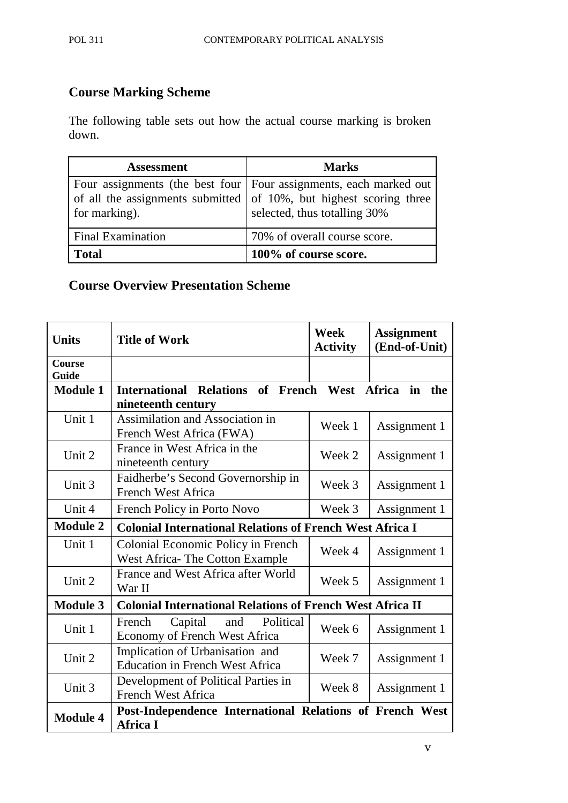# **Course Marking Scheme**

The following table sets out how the actual course marking is broken down.

| <b>Assessment</b>        | <b>Marks</b>                                                                                                                                                                  |
|--------------------------|-------------------------------------------------------------------------------------------------------------------------------------------------------------------------------|
| for marking).            | Four assignments (the best four   Four assignments, each marked out<br>of all the assignments submitted of $10\%$ , but highest scoring three<br>selected, thus totalling 30% |
| <b>Final Examination</b> | 70% of overall course score.                                                                                                                                                  |
| <b>Total</b>             | 100% of course score.                                                                                                                                                         |

# **Course Overview Presentation Scheme**

| <b>Units</b>           | <b>Title of Work</b>                                                        | <b>Week</b><br><b>Activity</b> | <b>Assignment</b><br>(End-of-Unit) |
|------------------------|-----------------------------------------------------------------------------|--------------------------------|------------------------------------|
| <b>Course</b><br>Guide |                                                                             |                                |                                    |
| <b>Module 1</b>        | International Relations of French West<br>nineteenth century                |                                | in<br><b>Africa</b><br>the         |
| Unit 1                 | Assimilation and Association in<br>French West Africa (FWA)                 | Week 1                         | Assignment 1                       |
| Unit 2                 | France in West Africa in the<br>nineteenth century                          | Week 2                         | Assignment 1                       |
| Unit 3                 | Faidherbe's Second Governorship in<br><b>French West Africa</b>             | Week 3                         | Assignment 1                       |
| Unit 4                 | French Policy in Porto Novo                                                 | Week 3                         | Assignment 1                       |
| <b>Module 2</b>        | <b>Colonial International Relations of French West Africa I</b>             |                                |                                    |
| Unit 1                 | Colonial Economic Policy in French<br>West Africa-The Cotton Example        | Week 4                         | Assignment 1                       |
| Unit 2                 | France and West Africa after World<br>War II                                | Week 5                         | Assignment 1                       |
| <b>Module 3</b>        | <b>Colonial International Relations of French West Africa II</b>            |                                |                                    |
| Unit 1                 | Capital<br>Political<br>French<br>and<br>Economy of French West Africa      | Week 6                         | Assignment 1                       |
| Unit 2                 | Implication of Urbanisation and<br><b>Education in French West Africa</b>   | Week 7                         | Assignment 1                       |
| Unit 3                 | Development of Political Parties in<br><b>French West Africa</b>            | Week 8                         | Assignment 1                       |
| <b>Module 4</b>        | Post-Independence International Relations of French West<br><b>Africa I</b> |                                |                                    |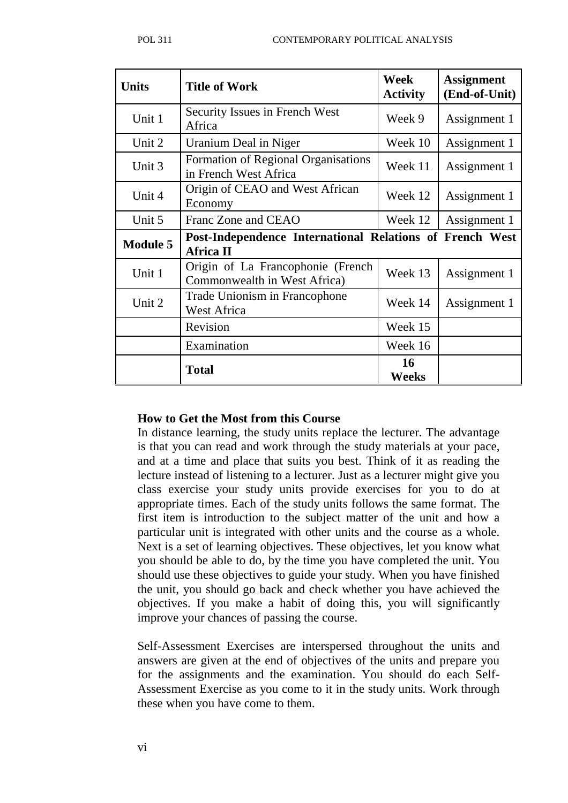| <b>Units</b>    | <b>Title of Work</b>                                                         | Week<br><b>Activity</b> | <b>Assignment</b><br>(End-of-Unit) |
|-----------------|------------------------------------------------------------------------------|-------------------------|------------------------------------|
| Unit 1          | Security Issues in French West<br>Africa                                     | Week 9                  | Assignment 1                       |
| Unit 2          | Uranium Deal in Niger                                                        | Week 10                 | Assignment 1                       |
| Unit 3          | Formation of Regional Organisations<br>in French West Africa                 | Week 11                 | Assignment 1                       |
| Unit 4          | Origin of CEAO and West African<br>Economy                                   | Week 12                 | Assignment 1                       |
| Unit 5          | Franc Zone and CEAO                                                          | Week 12                 | Assignment 1                       |
| <b>Module 5</b> | Post-Independence International Relations of French West<br><b>Africa II</b> |                         |                                    |
| Unit 1          | Origin of La Francophonie (French<br>Commonwealth in West Africa)            | Week 13                 | Assignment 1                       |
| Unit 2          | Trade Unionism in Francophone<br>West Africa                                 | Week 14                 | Assignment 1                       |
|                 | Revision                                                                     | Week 15                 |                                    |
|                 | Examination                                                                  | Week 16                 |                                    |
|                 | <b>Total</b>                                                                 | 16<br>Weeks             |                                    |

#### **How to Get the Most from this Course**

In distance learning, the study units replace the lecturer. The advantage is that you can read and work through the study materials at your pace, and at a time and place that suits you best. Think of it as reading the lecture instead of listening to a lecturer. Just as a lecturer might give you class exercise your study units provide exercises for you to do at appropriate times. Each of the study units follows the same format. The first item is introduction to the subject matter of the unit and how a particular unit is integrated with other units and the course as a whole. Next is a set of learning objectives. These objectives, let you know what you should be able to do, by the time you have completed the unit. You should use these objectives to guide your study. When you have finished the unit, you should go back and check whether you have achieved the objectives. If you make a habit of doing this, you will significantly improve your chances of passing the course.

Self-Assessment Exercises are interspersed throughout the units and answers are given at the end of objectives of the units and prepare you for the assignments and the examination. You should do each Self-Assessment Exercise as you come to it in the study units. Work through these when you have come to them.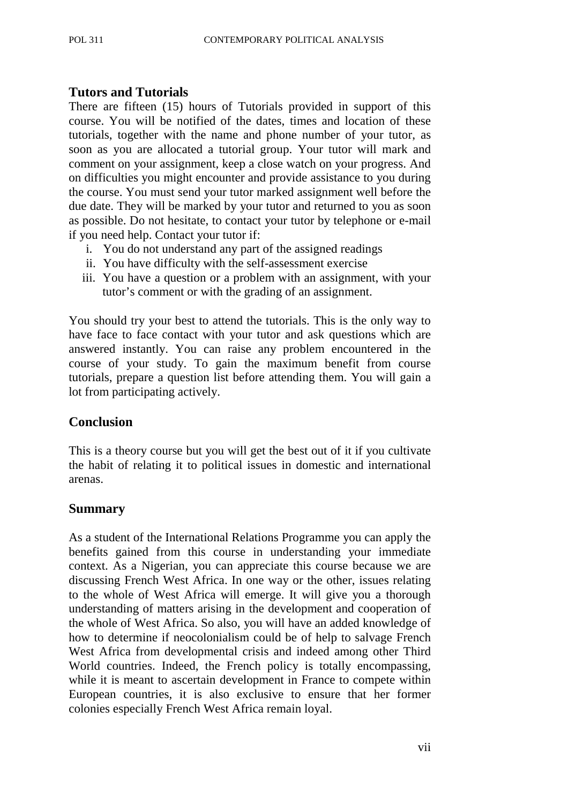## **Tutors and Tutorials**

There are fifteen (15) hours of Tutorials provided in support of this course. You will be notified of the dates, times and location of these tutorials, together with the name and phone number of your tutor, as soon as you are allocated a tutorial group. Your tutor will mark and comment on your assignment, keep a close watch on your progress. And on difficulties you might encounter and provide assistance to you during the course. You must send your tutor marked assignment well before the due date. They will be marked by your tutor and returned to you as soon as possible. Do not hesitate, to contact your tutor by telephone or e-mail if you need help. Contact your tutor if:

- i. You do not understand any part of the assigned readings
- ii. You have difficulty with the self-assessment exercise
- iii. You have a question or a problem with an assignment, with your tutor's comment or with the grading of an assignment.

You should try your best to attend the tutorials. This is the only way to have face to face contact with your tutor and ask questions which are answered instantly. You can raise any problem encountered in the course of your study. To gain the maximum benefit from course tutorials, prepare a question list before attending them. You will gain a lot from participating actively.

# **Conclusion**

This is a theory course but you will get the best out of it if you cultivate the habit of relating it to political issues in domestic and international arenas.

# **Summary**

As a student of the International Relations Programme you can apply the benefits gained from this course in understanding your immediate context. As a Nigerian, you can appreciate this course because we are discussing French West Africa. In one way or the other, issues relating to the whole of West Africa will emerge. It will give you a thorough understanding of matters arising in the development and cooperation of the whole of West Africa. So also, you will have an added knowledge of how to determine if neocolonialism could be of help to salvage French West Africa from developmental crisis and indeed among other Third World countries. Indeed, the French policy is totally encompassing, while it is meant to ascertain development in France to compete within European countries, it is also exclusive to ensure that her former colonies especially French West Africa remain loyal.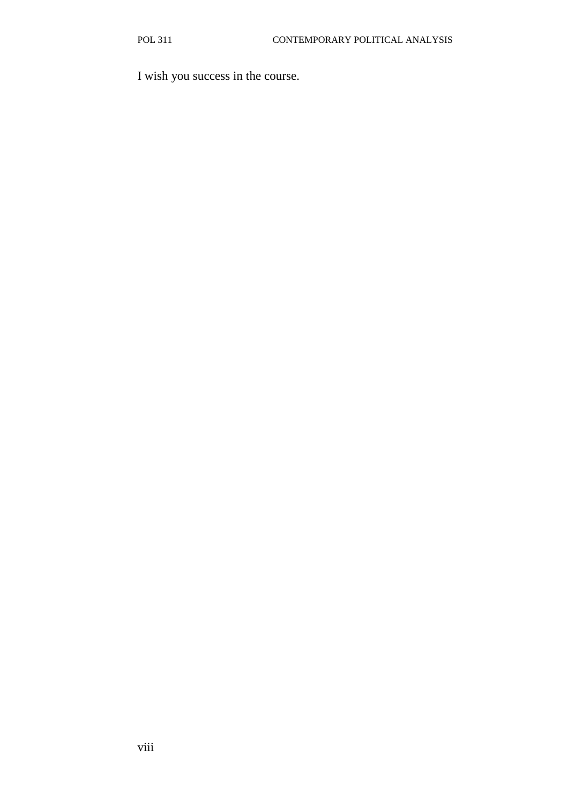I wish you success in the course.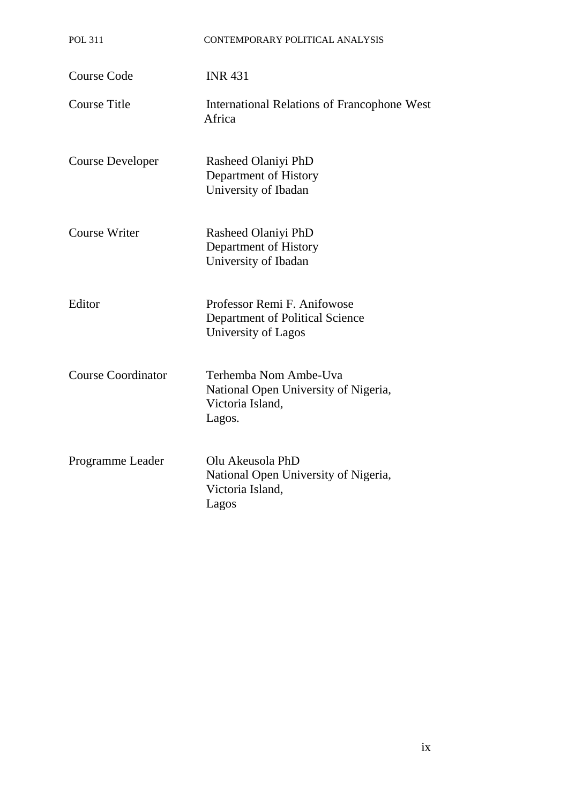| <b>POL 311</b>            | CONTEMPORARY POLITICAL ANALYSIS                                                             |
|---------------------------|---------------------------------------------------------------------------------------------|
| <b>Course Code</b>        | <b>INR 431</b>                                                                              |
| <b>Course Title</b>       | <b>International Relations of Francophone West</b><br>Africa                                |
| <b>Course Developer</b>   | Rasheed Olaniyi PhD<br>Department of History<br>University of Ibadan                        |
| <b>Course Writer</b>      | Rasheed Olaniyi PhD<br>Department of History<br>University of Ibadan                        |
| Editor                    | Professor Remi F. Anifowose<br>Department of Political Science<br>University of Lagos       |
| <b>Course Coordinator</b> | Terhemba Nom Ambe-Uva<br>National Open University of Nigeria,<br>Victoria Island,<br>Lagos. |
| Programme Leader          | Olu Akeusola PhD<br>National Open University of Nigeria,<br>Victoria Island,<br>Lagos       |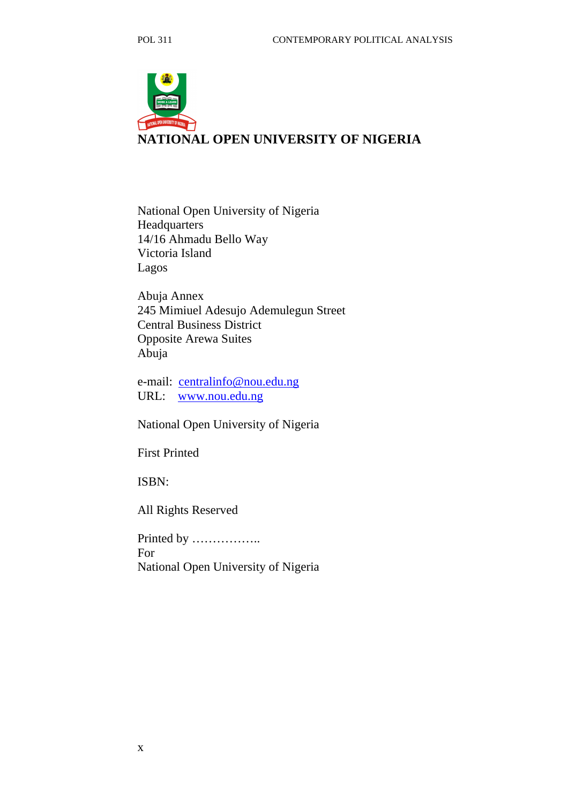

National Open University of Nigeria Headquarters 14/16 Ahmadu Bello Way Victoria Island Lagos

Abuja Annex 245 Mimiuel Adesujo Ademulegun Street Central Business District Opposite Arewa Suites Abuja

e-mail: centralinfo@nou.edu.ng URL: www.nou.edu.ng

National Open University of Nigeria

First Printed

ISBN:

All Rights Reserved

Printed by …………….. For National Open University of Nigeria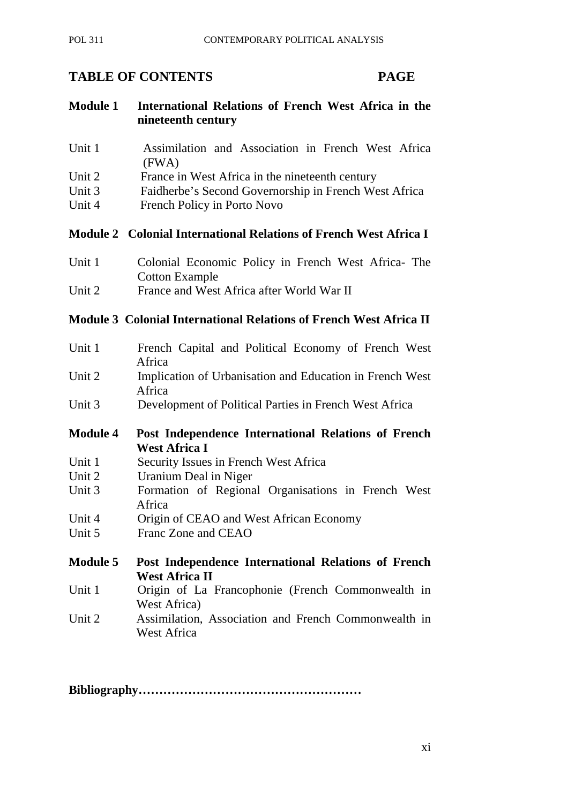# **TABLE OF CONTENTS PAGE**

- **Module 1 International Relations of French West Africa in the nineteenth century**
- Unit 1 **Assimilation and Association in French West Africa** (FWA)
- Unit 2 France in West Africa in the nineteenth century
- Unit 3 Faidherbe's Second Governorship in French West Africa
- Unit 4 French Policy in Porto Novo

#### **Module 2 Colonial International Relations of French West Africa I**

- Unit 1 Colonial Economic Policy in French West Africa- The Cotton Example
- Unit 2 France and West Africa after World War II

# **Module 3 Colonial International Relations of French West Africa II**

- Unit 1 French Capital and Political Economy of French West Africa
- Unit 2 Implication of Urbanisation and Education in French West Africa
- Unit 3 Development of Political Parties in French West Africa
- **Module 4 Post Independence International Relations of French West Africa I**
- Unit 1 Security Issues in French West Africa
- Unit 2 Uranium Deal in Niger
- Unit 3 Formation of Regional Organisations in French West Africa
- Unit 4 Origin of CEAO and West African Economy
- Unit 5 Franc Zone and CEAO
- **Module 5 Post Independence International Relations of French West Africa II**
- Unit 1 Origin of La Francophonie (French Commonwealth in West Africa)
- Unit 2 Assimilation, Association and French Commonwealth in West Africa

**Bibliography………………………………………………**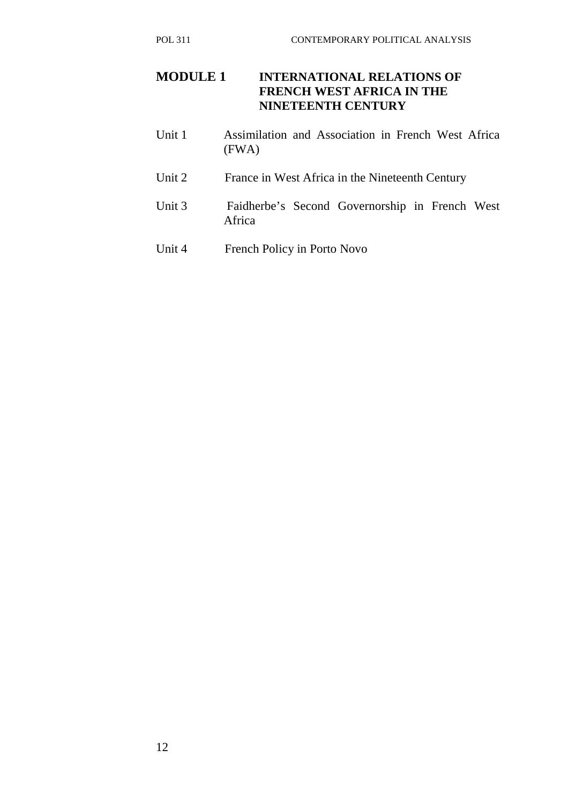- Unit 1 Assimilation and Association in French West Africa (FWA)
- Unit 2 France in West Africa in the Nineteenth Century
- Unit 3 Faidherbe's Second Governorship in French West Africa
- Unit 4 French Policy in Porto Novo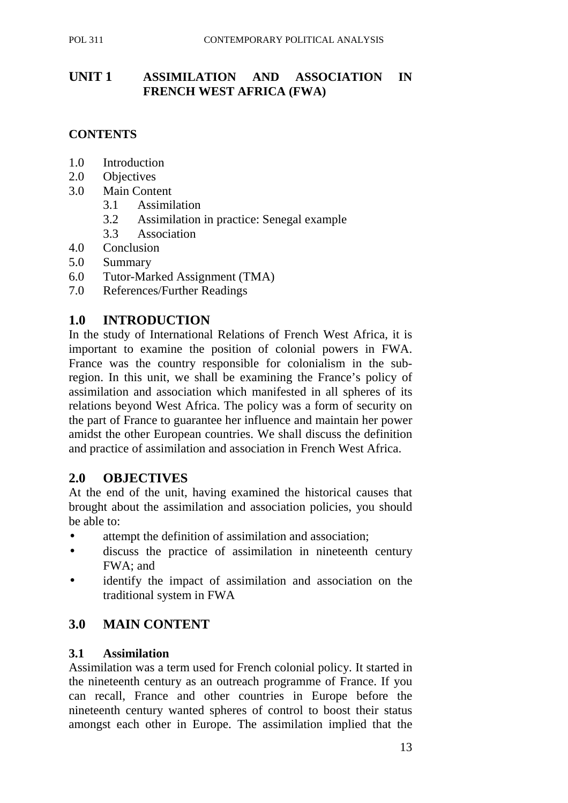# **UNIT 1 ASSIMILATION AND ASSOCIATION IN FRENCH WEST AFRICA (FWA)**

# **CONTENTS**

- 1.0 Introduction
- 2.0 Objectives
- 3.0 Main Content
	- 3.1 Assimilation
	- 3.2Assimilation in practice: Senegal example
	- 3.3 Association
- 4.0 Conclusion
- 5.0 Summary
- 6.0 Tutor-Marked Assignment (TMA)
- 7.0 References/Further Readings

# **1.0 INTRODUCTION**

In the study of International Relations of French West Africa, it is important to examine the position of colonial powers in FWA. France was the country responsible for colonialism in the subregion. In this unit, we shall be examining the France's policy of assimilation and association which manifested in all spheres of its relations beyond West Africa. The policy was a form of security on the part of France to guarantee her influence and maintain her power amidst the other European countries. We shall discuss the definition and practice of assimilation and association in French West Africa.

# **2.0 OBJECTIVES**

At the end of the unit, having examined the historical causes that brought about the assimilation and association policies, you should be able to:

- attempt the definition of assimilation and association;
- discuss the practice of assimilation in nineteenth century FWA; and
- identify the impact of assimilation and association on the traditional system in FWA

# **3.0 MAIN CONTENT**

#### **3.1 Assimilation**

Assimilation was a term used for French colonial policy. It started in the nineteenth century as an outreach programme of France. If you can recall, France and other countries in Europe before the nineteenth century wanted spheres of control to boost their status amongst each other in Europe. The assimilation implied that the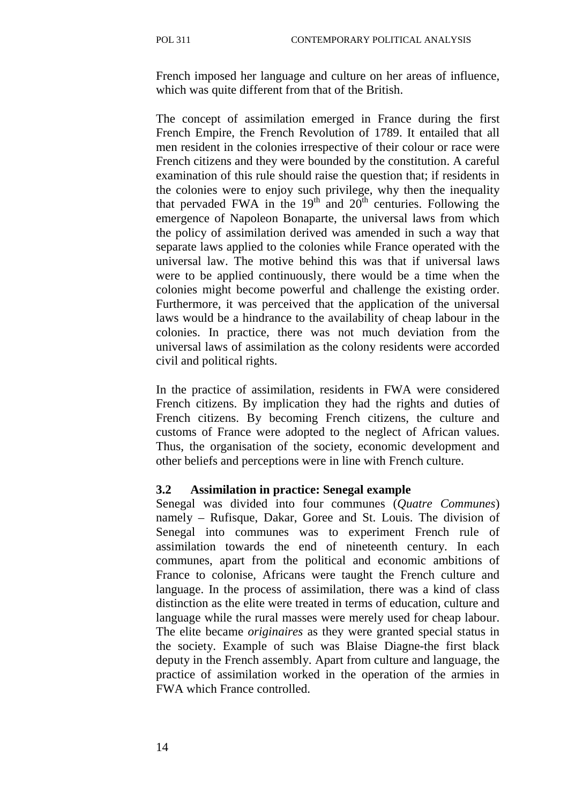French imposed her language and culture on her areas of influence, which was quite different from that of the British.

The concept of assimilation emerged in France during the first French Empire, the French Revolution of 1789. It entailed that all men resident in the colonies irrespective of their colour or race were French citizens and they were bounded by the constitution. A careful examination of this rule should raise the question that; if residents in the colonies were to enjoy such privilege, why then the inequality that pervaded FWA in the  $19<sup>th</sup>$  and  $20<sup>th</sup>$  centuries. Following the emergence of Napoleon Bonaparte, the universal laws from which the policy of assimilation derived was amended in such a way that separate laws applied to the colonies while France operated with the universal law. The motive behind this was that if universal laws were to be applied continuously, there would be a time when the colonies might become powerful and challenge the existing order. Furthermore, it was perceived that the application of the universal laws would be a hindrance to the availability of cheap labour in the colonies. In practice, there was not much deviation from the universal laws of assimilation as the colony residents were accorded civil and political rights.

In the practice of assimilation, residents in FWA were considered French citizens. By implication they had the rights and duties of French citizens. By becoming French citizens, the culture and customs of France were adopted to the neglect of African values. Thus, the organisation of the society, economic development and other beliefs and perceptions were in line with French culture.

#### **3.2 Assimilation in practice: Senegal example**

Senegal was divided into four communes (*Quatre Communes*) namely – Rufisque, Dakar, Goree and St. Louis. The division of Senegal into communes was to experiment French rule of assimilation towards the end of nineteenth century. In each communes, apart from the political and economic ambitions of France to colonise, Africans were taught the French culture and language. In the process of assimilation, there was a kind of class distinction as the elite were treated in terms of education, culture and language while the rural masses were merely used for cheap labour. The elite became *originaires* as they were granted special status in the society. Example of such was Blaise Diagne-the first black deputy in the French assembly. Apart from culture and language, the practice of assimilation worked in the operation of the armies in FWA which France controlled.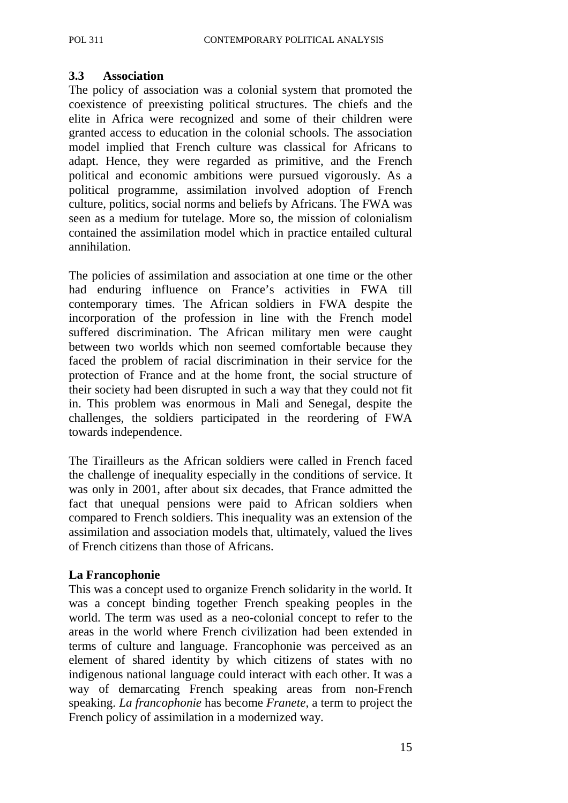#### **3.3 Association**

The policy of association was a colonial system that promoted the coexistence of preexisting political structures. The chiefs and the elite in Africa were recognized and some of their children were granted access to education in the colonial schools. The association model implied that French culture was classical for Africans to adapt. Hence, they were regarded as primitive, and the French political and economic ambitions were pursued vigorously. As a political programme, assimilation involved adoption of French culture, politics, social norms and beliefs by Africans. The FWA was seen as a medium for tutelage. More so, the mission of colonialism contained the assimilation model which in practice entailed cultural annihilation.

The policies of assimilation and association at one time or the other had enduring influence on France's activities in FWA till contemporary times. The African soldiers in FWA despite the incorporation of the profession in line with the French model suffered discrimination. The African military men were caught between two worlds which non seemed comfortable because they faced the problem of racial discrimination in their service for the protection of France and at the home front, the social structure of their society had been disrupted in such a way that they could not fit in. This problem was enormous in Mali and Senegal, despite the challenges, the soldiers participated in the reordering of FWA towards independence.

The Tirailleurs as the African soldiers were called in French faced the challenge of inequality especially in the conditions of service. It was only in 2001, after about six decades, that France admitted the fact that unequal pensions were paid to African soldiers when compared to French soldiers. This inequality was an extension of the assimilation and association models that, ultimately, valued the lives of French citizens than those of Africans.

#### **La Francophonie**

This was a concept used to organize French solidarity in the world. It was a concept binding together French speaking peoples in the world. The term was used as a neo-colonial concept to refer to the areas in the world where French civilization had been extended in terms of culture and language. Francophonie was perceived as an element of shared identity by which citizens of states with no indigenous national language could interact with each other. It was a way of demarcating French speaking areas from non-French speaking. *La francophonie* has become *Franete,* a term to project the French policy of assimilation in a modernized way.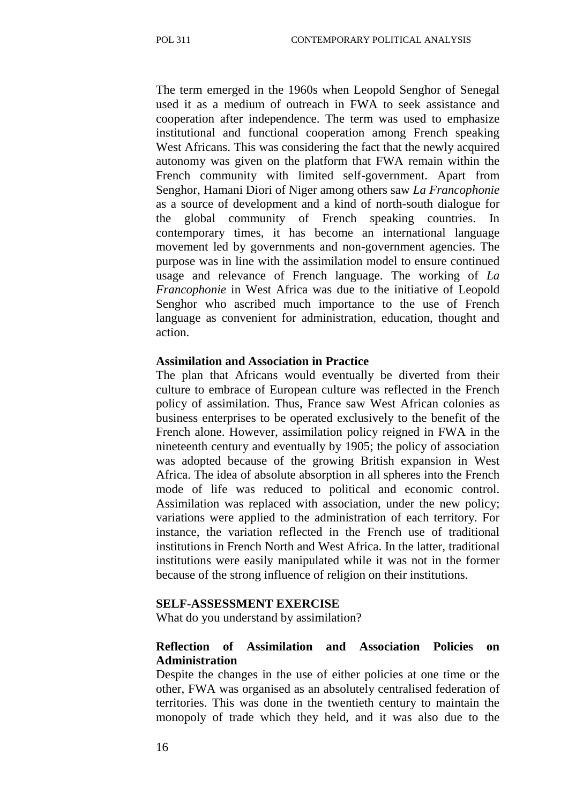The term emerged in the 1960s when Leopold Senghor of Senegal used it as a medium of outreach in FWA to seek assistance and cooperation after independence. The term was used to emphasize institutional and functional cooperation among French speaking West Africans. This was considering the fact that the newly acquired autonomy was given on the platform that FWA remain within the French community with limited self-government. Apart from Senghor, Hamani Diori of Niger among others saw *La Francophonie*  as a source of development and a kind of north-south dialogue for the global community of French speaking countries. In contemporary times, it has become an international language movement led by governments and non-government agencies. The purpose was in line with the assimilation model to ensure continued usage and relevance of French language. The working of *La Francophonie* in West Africa was due to the initiative of Leopold Senghor who ascribed much importance to the use of French language as convenient for administration, education, thought and action.

#### **Assimilation and Association in Practice**

The plan that Africans would eventually be diverted from their culture to embrace of European culture was reflected in the French policy of assimilation. Thus, France saw West African colonies as business enterprises to be operated exclusively to the benefit of the French alone. However, assimilation policy reigned in FWA in the nineteenth century and eventually by 1905; the policy of association was adopted because of the growing British expansion in West Africa. The idea of absolute absorption in all spheres into the French mode of life was reduced to political and economic control. Assimilation was replaced with association, under the new policy; variations were applied to the administration of each territory. For instance, the variation reflected in the French use of traditional institutions in French North and West Africa. In the latter, traditional institutions were easily manipulated while it was not in the former because of the strong influence of religion on their institutions.

#### **SELF-ASSESSMENT EXERCISE**

What do you understand by assimilation?

#### **Reflection of Assimilation and Association Policies on Administration**

Despite the changes in the use of either policies at one time or the other, FWA was organised as an absolutely centralised federation of territories. This was done in the twentieth century to maintain the monopoly of trade which they held, and it was also due to the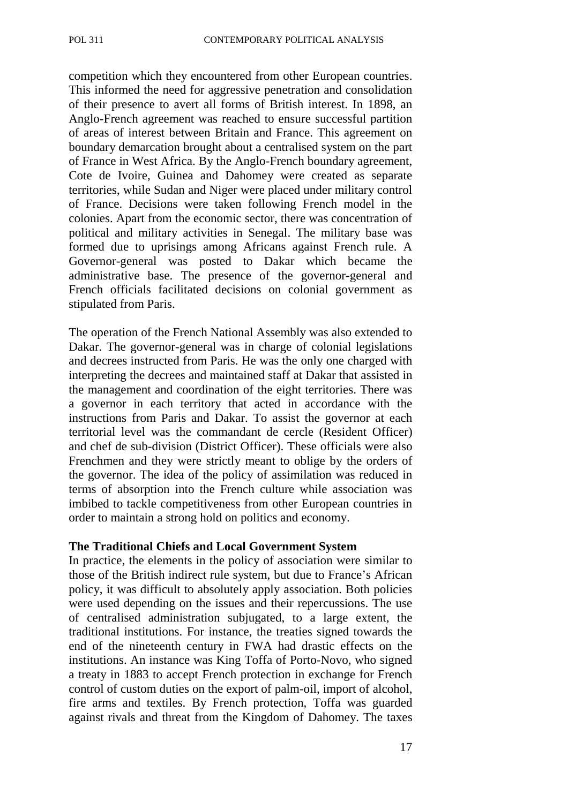competition which they encountered from other European countries. This informed the need for aggressive penetration and consolidation of their presence to avert all forms of British interest. In 1898, an Anglo-French agreement was reached to ensure successful partition of areas of interest between Britain and France. This agreement on boundary demarcation brought about a centralised system on the part of France in West Africa. By the Anglo-French boundary agreement, Cote de Ivoire, Guinea and Dahomey were created as separate territories, while Sudan and Niger were placed under military control of France. Decisions were taken following French model in the colonies. Apart from the economic sector, there was concentration of political and military activities in Senegal. The military base was formed due to uprisings among Africans against French rule. A Governor-general was posted to Dakar which became the administrative base. The presence of the governor-general and French officials facilitated decisions on colonial government as stipulated from Paris.

The operation of the French National Assembly was also extended to Dakar. The governor-general was in charge of colonial legislations and decrees instructed from Paris. He was the only one charged with interpreting the decrees and maintained staff at Dakar that assisted in the management and coordination of the eight territories. There was a governor in each territory that acted in accordance with the instructions from Paris and Dakar. To assist the governor at each territorial level was the commandant de cercle (Resident Officer) and chef de sub-division (District Officer). These officials were also Frenchmen and they were strictly meant to oblige by the orders of the governor. The idea of the policy of assimilation was reduced in terms of absorption into the French culture while association was imbibed to tackle competitiveness from other European countries in order to maintain a strong hold on politics and economy.

#### **The Traditional Chiefs and Local Government System**

In practice, the elements in the policy of association were similar to those of the British indirect rule system, but due to France's African policy, it was difficult to absolutely apply association. Both policies were used depending on the issues and their repercussions. The use of centralised administration subjugated, to a large extent, the traditional institutions. For instance, the treaties signed towards the end of the nineteenth century in FWA had drastic effects on the institutions. An instance was King Toffa of Porto-Novo, who signed a treaty in 1883 to accept French protection in exchange for French control of custom duties on the export of palm-oil, import of alcohol, fire arms and textiles. By French protection, Toffa was guarded against rivals and threat from the Kingdom of Dahomey. The taxes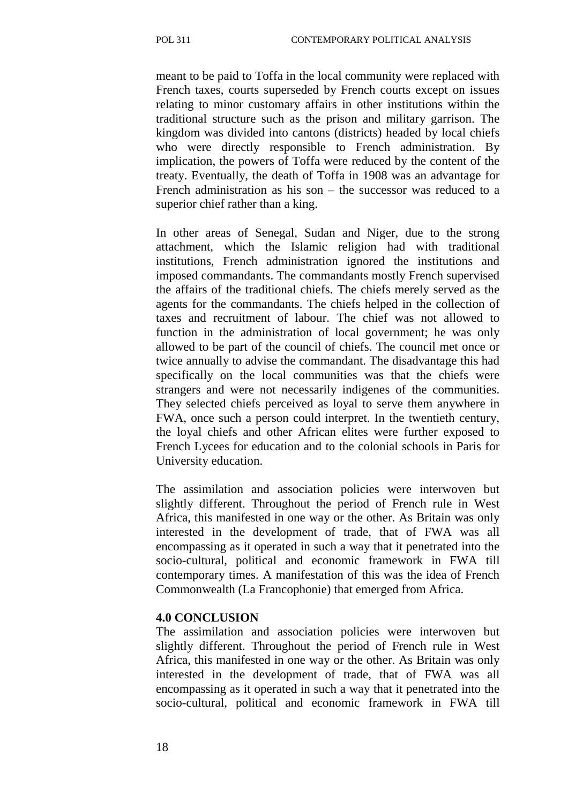meant to be paid to Toffa in the local community were replaced with French taxes, courts superseded by French courts except on issues relating to minor customary affairs in other institutions within the traditional structure such as the prison and military garrison. The kingdom was divided into cantons (districts) headed by local chiefs who were directly responsible to French administration. By implication, the powers of Toffa were reduced by the content of the treaty. Eventually, the death of Toffa in 1908 was an advantage for French administration as his son – the successor was reduced to a superior chief rather than a king.

In other areas of Senegal, Sudan and Niger, due to the strong attachment, which the Islamic religion had with traditional institutions, French administration ignored the institutions and imposed commandants. The commandants mostly French supervised the affairs of the traditional chiefs. The chiefs merely served as the agents for the commandants. The chiefs helped in the collection of taxes and recruitment of labour. The chief was not allowed to function in the administration of local government; he was only allowed to be part of the council of chiefs. The council met once or twice annually to advise the commandant. The disadvantage this had specifically on the local communities was that the chiefs were strangers and were not necessarily indigenes of the communities. They selected chiefs perceived as loyal to serve them anywhere in FWA, once such a person could interpret. In the twentieth century, the loyal chiefs and other African elites were further exposed to French Lycees for education and to the colonial schools in Paris for University education.

The assimilation and association policies were interwoven but slightly different. Throughout the period of French rule in West Africa, this manifested in one way or the other. As Britain was only interested in the development of trade, that of FWA was all encompassing as it operated in such a way that it penetrated into the socio-cultural, political and economic framework in FWA till contemporary times. A manifestation of this was the idea of French Commonwealth (La Francophonie) that emerged from Africa.

#### **4.0 CONCLUSION**

The assimilation and association policies were interwoven but slightly different. Throughout the period of French rule in West Africa, this manifested in one way or the other. As Britain was only interested in the development of trade, that of FWA was all encompassing as it operated in such a way that it penetrated into the socio-cultural, political and economic framework in FWA till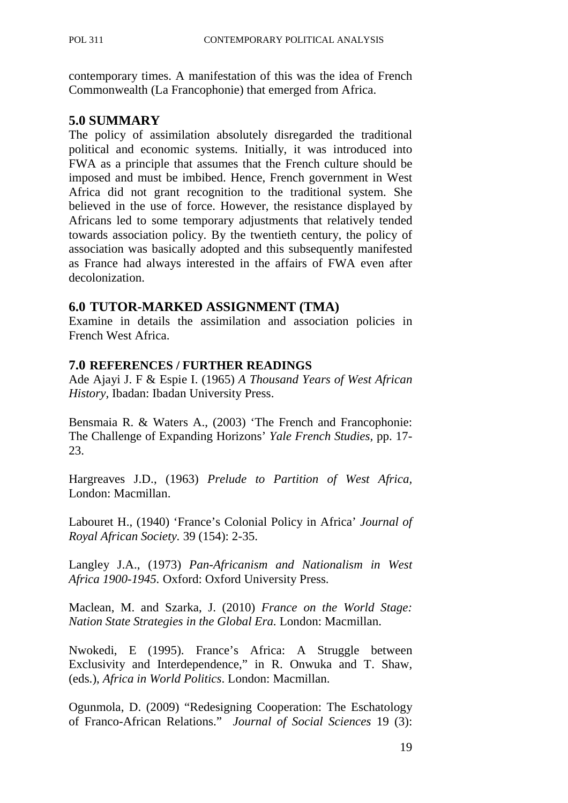contemporary times. A manifestation of this was the idea of French Commonwealth (La Francophonie) that emerged from Africa.

## **5.0 SUMMARY**

The policy of assimilation absolutely disregarded the traditional political and economic systems. Initially, it was introduced into FWA as a principle that assumes that the French culture should be imposed and must be imbibed. Hence, French government in West Africa did not grant recognition to the traditional system. She believed in the use of force. However, the resistance displayed by Africans led to some temporary adjustments that relatively tended towards association policy. By the twentieth century, the policy of association was basically adopted and this subsequently manifested as France had always interested in the affairs of FWA even after decolonization.

## **6.0 TUTOR-MARKED ASSIGNMENT (TMA)**

Examine in details the assimilation and association policies in French West Africa.

## **7.0 REFERENCES / FURTHER READINGS**

Ade Ajayi J. F & Espie I. (1965) *A Thousand Years of West African History,* Ibadan: Ibadan University Press.

Bensmaia R. & Waters A., (2003) 'The French and Francophonie: The Challenge of Expanding Horizons' *Yale French Studies,* pp. 17- 23.

Hargreaves J.D., (1963) *Prelude to Partition of West Africa,*  London: Macmillan.

Labouret H., (1940) 'France's Colonial Policy in Africa' *Journal of Royal African Society.* 39 (154): 2-35.

Langley J.A., (1973) *Pan-Africanism and Nationalism in West Africa 1900-1945.* Oxford: Oxford University Press.

Maclean, M. and Szarka, J. (2010) *France on the World Stage: Nation State Strategies in the Global Era.* London: Macmillan.

Nwokedi, E (1995). France's Africa: A Struggle between Exclusivity and Interdependence," in R. Onwuka and T. Shaw, (eds.), *Africa in World Politics*. London: Macmillan.

Ogunmola, D. (2009) "Redesigning Cooperation: The Eschatology of Franco-African Relations." *Journal of Social Sciences* 19 (3):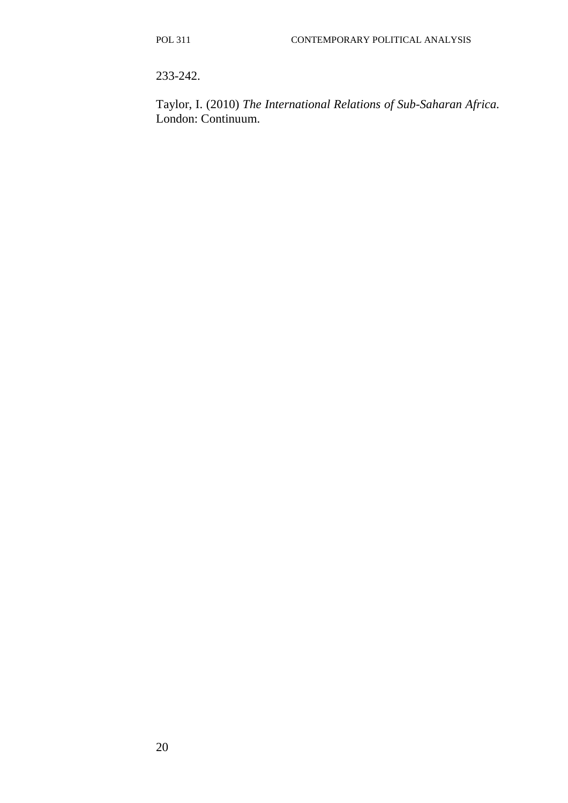233-242.

Taylor, I. (2010) *The International Relations of Sub-Saharan Africa.* London: Continuum.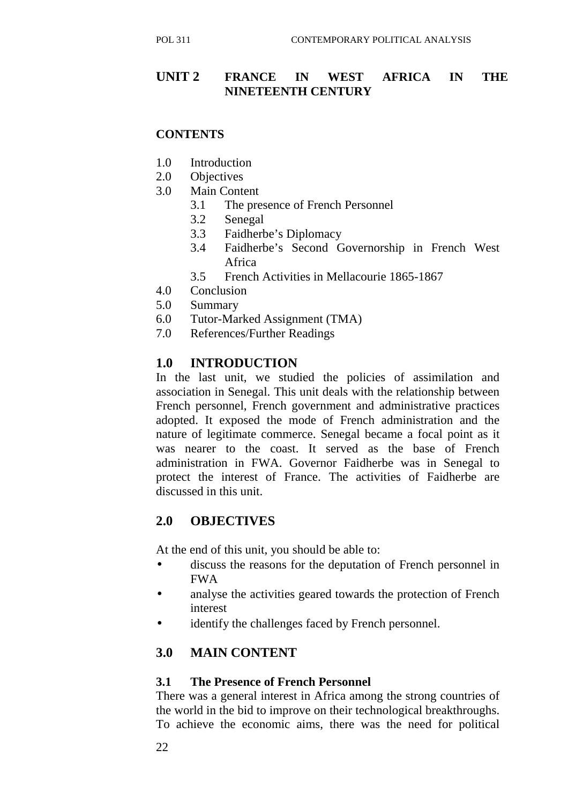# **UNIT 2 FRANCE IN WEST AFRICA IN THE NINETEENTH CENTURY**

## **CONTENTS**

- 1.0 Introduction
- 2.0 Objectives
- 3.0 Main Content
	- 3.1 The presence of French Personnel
	- 3.2 Senegal
	- 3.3 Faidherbe's Diplomacy
	- 3.4 Faidherbe's Second Governorship in French West Africa
	- 3.5 French Activities in Mellacourie 1865-1867
- 4.0 Conclusion
- 5.0 Summary
- 6.0 Tutor-Marked Assignment (TMA)
- 7.0 References/Further Readings

# **1.0 INTRODUCTION**

In the last unit, we studied the policies of assimilation and association in Senegal. This unit deals with the relationship between French personnel, French government and administrative practices adopted. It exposed the mode of French administration and the nature of legitimate commerce. Senegal became a focal point as it was nearer to the coast. It served as the base of French administration in FWA. Governor Faidherbe was in Senegal to protect the interest of France. The activities of Faidherbe are discussed in this unit.

# **2.0 OBJECTIVES**

At the end of this unit, you should be able to:

- discuss the reasons for the deputation of French personnel in FWA
- analyse the activities geared towards the protection of French interest
- identify the challenges faced by French personnel.

# **3.0 MAIN CONTENT**

#### **3.1 The Presence of French Personnel**

There was a general interest in Africa among the strong countries of the world in the bid to improve on their technological breakthroughs. To achieve the economic aims, there was the need for political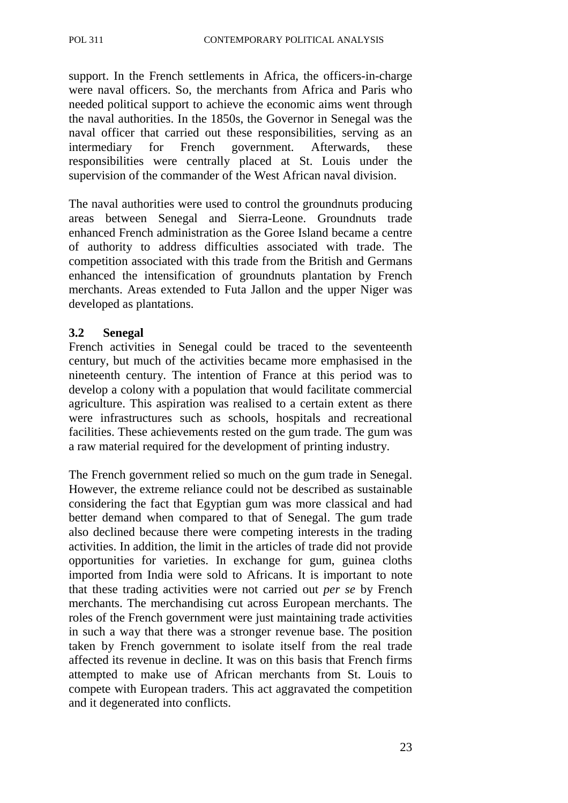support. In the French settlements in Africa, the officers-in-charge were naval officers. So, the merchants from Africa and Paris who needed political support to achieve the economic aims went through the naval authorities. In the 1850s, the Governor in Senegal was the naval officer that carried out these responsibilities, serving as an intermediary for French government. Afterwards, these responsibilities were centrally placed at St. Louis under the supervision of the commander of the West African naval division.

The naval authorities were used to control the groundnuts producing areas between Senegal and Sierra-Leone. Groundnuts trade enhanced French administration as the Goree Island became a centre of authority to address difficulties associated with trade. The competition associated with this trade from the British and Germans enhanced the intensification of groundnuts plantation by French merchants. Areas extended to Futa Jallon and the upper Niger was developed as plantations.

#### **3.2 Senegal**

French activities in Senegal could be traced to the seventeenth century, but much of the activities became more emphasised in the nineteenth century. The intention of France at this period was to develop a colony with a population that would facilitate commercial agriculture. This aspiration was realised to a certain extent as there were infrastructures such as schools, hospitals and recreational facilities. These achievements rested on the gum trade. The gum was a raw material required for the development of printing industry.

The French government relied so much on the gum trade in Senegal. However, the extreme reliance could not be described as sustainable considering the fact that Egyptian gum was more classical and had better demand when compared to that of Senegal. The gum trade also declined because there were competing interests in the trading activities. In addition, the limit in the articles of trade did not provide opportunities for varieties. In exchange for gum, guinea cloths imported from India were sold to Africans. It is important to note that these trading activities were not carried out *per se* by French merchants. The merchandising cut across European merchants. The roles of the French government were just maintaining trade activities in such a way that there was a stronger revenue base. The position taken by French government to isolate itself from the real trade affected its revenue in decline. It was on this basis that French firms attempted to make use of African merchants from St. Louis to compete with European traders. This act aggravated the competition and it degenerated into conflicts.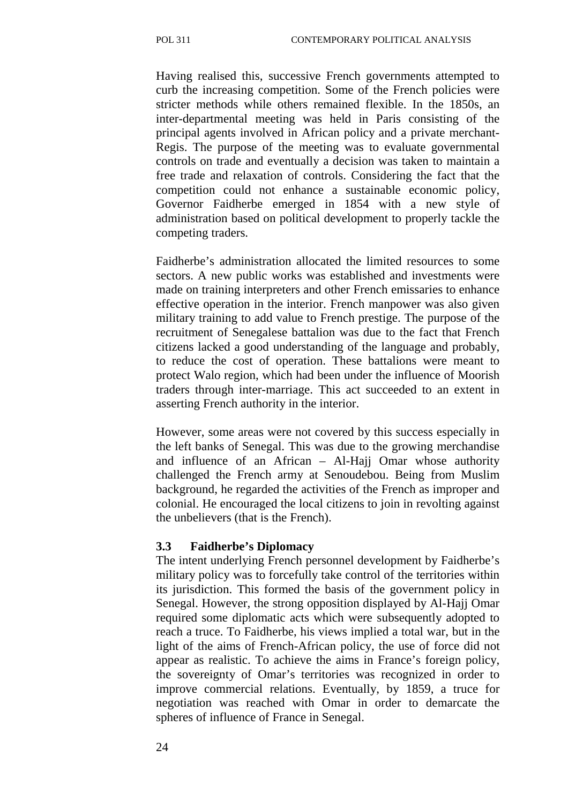Having realised this, successive French governments attempted to curb the increasing competition. Some of the French policies were stricter methods while others remained flexible. In the 1850s, an inter-departmental meeting was held in Paris consisting of the principal agents involved in African policy and a private merchant-Regis. The purpose of the meeting was to evaluate governmental controls on trade and eventually a decision was taken to maintain a free trade and relaxation of controls. Considering the fact that the competition could not enhance a sustainable economic policy, Governor Faidherbe emerged in 1854 with a new style of administration based on political development to properly tackle the competing traders.

Faidherbe's administration allocated the limited resources to some sectors. A new public works was established and investments were made on training interpreters and other French emissaries to enhance effective operation in the interior. French manpower was also given military training to add value to French prestige. The purpose of the recruitment of Senegalese battalion was due to the fact that French citizens lacked a good understanding of the language and probably, to reduce the cost of operation. These battalions were meant to protect Walo region, which had been under the influence of Moorish traders through inter-marriage. This act succeeded to an extent in asserting French authority in the interior.

However, some areas were not covered by this success especially in the left banks of Senegal. This was due to the growing merchandise and influence of an African – Al-Hajj Omar whose authority challenged the French army at Senoudebou. Being from Muslim background, he regarded the activities of the French as improper and colonial. He encouraged the local citizens to join in revolting against the unbelievers (that is the French).

#### **3.3 Faidherbe's Diplomacy**

The intent underlying French personnel development by Faidherbe's military policy was to forcefully take control of the territories within its jurisdiction. This formed the basis of the government policy in Senegal. However, the strong opposition displayed by Al-Hajj Omar required some diplomatic acts which were subsequently adopted to reach a truce. To Faidherbe, his views implied a total war, but in the light of the aims of French-African policy, the use of force did not appear as realistic. To achieve the aims in France's foreign policy, the sovereignty of Omar's territories was recognized in order to improve commercial relations. Eventually, by 1859, a truce for negotiation was reached with Omar in order to demarcate the spheres of influence of France in Senegal.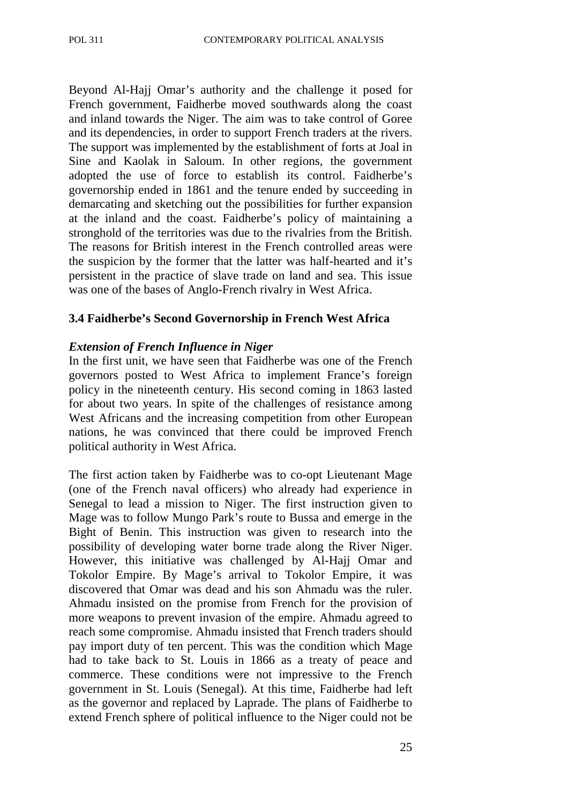Beyond Al-Hajj Omar's authority and the challenge it posed for French government, Faidherbe moved southwards along the coast and inland towards the Niger. The aim was to take control of Goree and its dependencies, in order to support French traders at the rivers. The support was implemented by the establishment of forts at Joal in Sine and Kaolak in Saloum. In other regions, the government adopted the use of force to establish its control. Faidherbe's governorship ended in 1861 and the tenure ended by succeeding in demarcating and sketching out the possibilities for further expansion at the inland and the coast. Faidherbe's policy of maintaining a stronghold of the territories was due to the rivalries from the British. The reasons for British interest in the French controlled areas were the suspicion by the former that the latter was half-hearted and it's persistent in the practice of slave trade on land and sea. This issue was one of the bases of Anglo-French rivalry in West Africa.

#### **3.4 Faidherbe's Second Governorship in French West Africa**

#### *Extension of French Influence in Niger*

In the first unit, we have seen that Faidherbe was one of the French governors posted to West Africa to implement France's foreign policy in the nineteenth century. His second coming in 1863 lasted for about two years. In spite of the challenges of resistance among West Africans and the increasing competition from other European nations, he was convinced that there could be improved French political authority in West Africa.

The first action taken by Faidherbe was to co-opt Lieutenant Mage (one of the French naval officers) who already had experience in Senegal to lead a mission to Niger. The first instruction given to Mage was to follow Mungo Park's route to Bussa and emerge in the Bight of Benin. This instruction was given to research into the possibility of developing water borne trade along the River Niger. However, this initiative was challenged by Al-Hajj Omar and Tokolor Empire. By Mage's arrival to Tokolor Empire, it was discovered that Omar was dead and his son Ahmadu was the ruler. Ahmadu insisted on the promise from French for the provision of more weapons to prevent invasion of the empire. Ahmadu agreed to reach some compromise. Ahmadu insisted that French traders should pay import duty of ten percent. This was the condition which Mage had to take back to St. Louis in 1866 as a treaty of peace and commerce. These conditions were not impressive to the French government in St. Louis (Senegal). At this time, Faidherbe had left as the governor and replaced by Laprade. The plans of Faidherbe to extend French sphere of political influence to the Niger could not be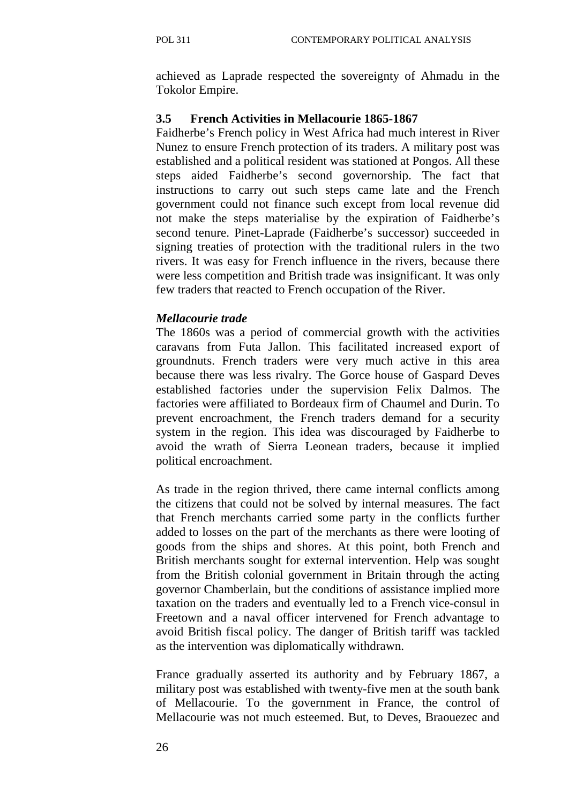achieved as Laprade respected the sovereignty of Ahmadu in the Tokolor Empire.

#### **3.5 French Activities in Mellacourie 1865-1867**

Faidherbe's French policy in West Africa had much interest in River Nunez to ensure French protection of its traders. A military post was established and a political resident was stationed at Pongos. All these steps aided Faidherbe's second governorship. The fact that instructions to carry out such steps came late and the French government could not finance such except from local revenue did not make the steps materialise by the expiration of Faidherbe's second tenure. Pinet-Laprade (Faidherbe's successor) succeeded in signing treaties of protection with the traditional rulers in the two rivers. It was easy for French influence in the rivers, because there were less competition and British trade was insignificant. It was only few traders that reacted to French occupation of the River.

#### *Mellacourie trade*

The 1860s was a period of commercial growth with the activities caravans from Futa Jallon. This facilitated increased export of groundnuts. French traders were very much active in this area because there was less rivalry. The Gorce house of Gaspard Deves established factories under the supervision Felix Dalmos. The factories were affiliated to Bordeaux firm of Chaumel and Durin. To prevent encroachment, the French traders demand for a security system in the region. This idea was discouraged by Faidherbe to avoid the wrath of Sierra Leonean traders, because it implied political encroachment.

As trade in the region thrived, there came internal conflicts among the citizens that could not be solved by internal measures. The fact that French merchants carried some party in the conflicts further added to losses on the part of the merchants as there were looting of goods from the ships and shores. At this point, both French and British merchants sought for external intervention. Help was sought from the British colonial government in Britain through the acting governor Chamberlain, but the conditions of assistance implied more taxation on the traders and eventually led to a French vice-consul in Freetown and a naval officer intervened for French advantage to avoid British fiscal policy. The danger of British tariff was tackled as the intervention was diplomatically withdrawn.

France gradually asserted its authority and by February 1867, a military post was established with twenty-five men at the south bank of Mellacourie. To the government in France, the control of Mellacourie was not much esteemed. But, to Deves, Braouezec and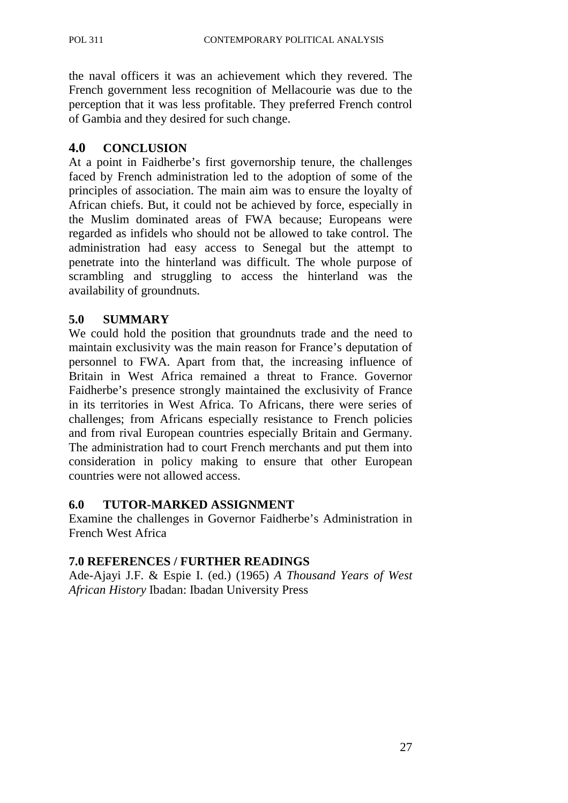the naval officers it was an achievement which they revered. The French government less recognition of Mellacourie was due to the perception that it was less profitable. They preferred French control of Gambia and they desired for such change.

# **4.0 CONCLUSION**

At a point in Faidherbe's first governorship tenure, the challenges faced by French administration led to the adoption of some of the principles of association. The main aim was to ensure the loyalty of African chiefs. But, it could not be achieved by force, especially in the Muslim dominated areas of FWA because; Europeans were regarded as infidels who should not be allowed to take control. The administration had easy access to Senegal but the attempt to penetrate into the hinterland was difficult. The whole purpose of scrambling and struggling to access the hinterland was the availability of groundnuts.

# **5.0 SUMMARY**

We could hold the position that groundnuts trade and the need to maintain exclusivity was the main reason for France's deputation of personnel to FWA. Apart from that, the increasing influence of Britain in West Africa remained a threat to France. Governor Faidherbe's presence strongly maintained the exclusivity of France in its territories in West Africa. To Africans, there were series of challenges; from Africans especially resistance to French policies and from rival European countries especially Britain and Germany. The administration had to court French merchants and put them into consideration in policy making to ensure that other European countries were not allowed access.

# **6.0 TUTOR-MARKED ASSIGNMENT**

Examine the challenges in Governor Faidherbe's Administration in French West Africa

# **7.0 REFERENCES / FURTHER READINGS**

Ade-Ajayi J.F. & Espie I. (ed.) (1965) *A Thousand Years of West African History* Ibadan: Ibadan University Press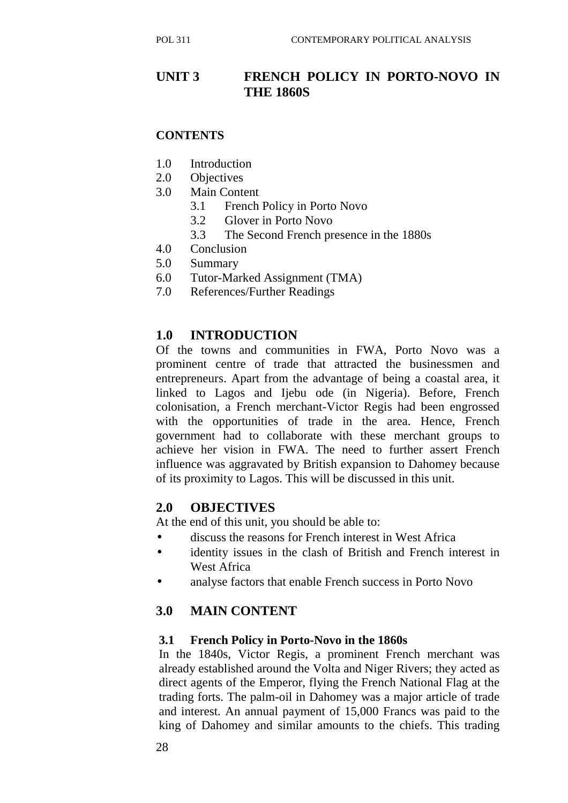# **UNIT 3 FRENCH POLICY IN PORTO-NOVO IN THE 1860S**

#### **CONTENTS**

- 1.0 Introduction
- 2.0 Objectives
- 3.0 Main Content
	- 3.1 French Policy in Porto Novo
	- 3.2 Glover in Porto Novo
	- 3.3 The Second French presence in the 1880s
- 4.0 Conclusion
- 5.0 Summary
- 6.0 Tutor-Marked Assignment (TMA)
- 7.0 References/Further Readings

# **1.0 INTRODUCTION**

Of the towns and communities in FWA, Porto Novo was a prominent centre of trade that attracted the businessmen and entrepreneurs. Apart from the advantage of being a coastal area, it linked to Lagos and Ijebu ode (in Nigeria). Before, French colonisation, a French merchant-Victor Regis had been engrossed with the opportunities of trade in the area. Hence, French government had to collaborate with these merchant groups to achieve her vision in FWA. The need to further assert French influence was aggravated by British expansion to Dahomey because of its proximity to Lagos. This will be discussed in this unit.

#### **2.0 OBJECTIVES**

At the end of this unit, you should be able to:

- discuss the reasons for French interest in West Africa
- identity issues in the clash of British and French interest in West Africa
- analyse factors that enable French success in Porto Novo

# **3.0 MAIN CONTENT**

#### **3.1 French Policy in Porto-Novo in the 1860s**

In the 1840s, Victor Regis, a prominent French merchant was already established around the Volta and Niger Rivers; they acted as direct agents of the Emperor, flying the French National Flag at the trading forts. The palm-oil in Dahomey was a major article of trade and interest. An annual payment of 15,000 Francs was paid to the king of Dahomey and similar amounts to the chiefs. This trading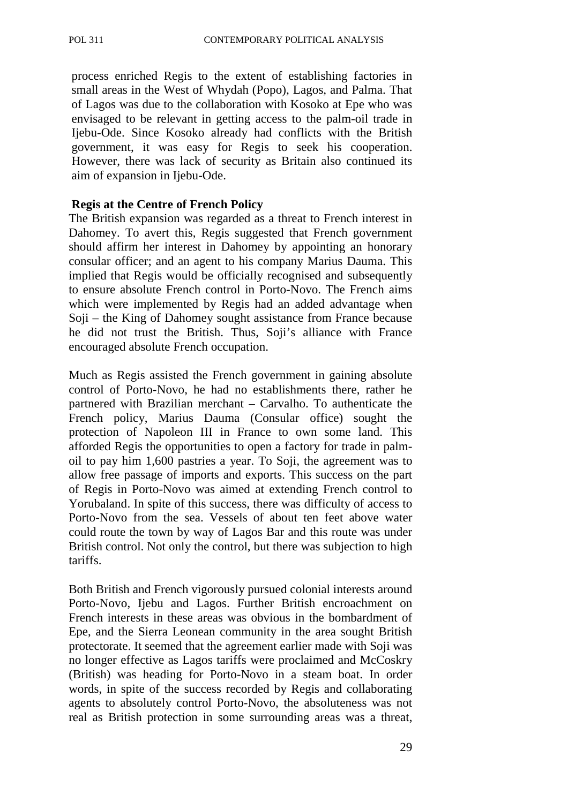process enriched Regis to the extent of establishing factories in small areas in the West of Whydah (Popo), Lagos, and Palma. That of Lagos was due to the collaboration with Kosoko at Epe who was envisaged to be relevant in getting access to the palm-oil trade in Ijebu-Ode. Since Kosoko already had conflicts with the British government, it was easy for Regis to seek his cooperation. However, there was lack of security as Britain also continued its aim of expansion in Ijebu-Ode.

#### **Regis at the Centre of French Policy**

The British expansion was regarded as a threat to French interest in Dahomey. To avert this, Regis suggested that French government should affirm her interest in Dahomey by appointing an honorary consular officer; and an agent to his company Marius Dauma. This implied that Regis would be officially recognised and subsequently to ensure absolute French control in Porto-Novo. The French aims which were implemented by Regis had an added advantage when Soji – the King of Dahomey sought assistance from France because he did not trust the British. Thus, Soji's alliance with France encouraged absolute French occupation.

Much as Regis assisted the French government in gaining absolute control of Porto-Novo, he had no establishments there, rather he partnered with Brazilian merchant – Carvalho. To authenticate the French policy, Marius Dauma (Consular office) sought the protection of Napoleon III in France to own some land. This afforded Regis the opportunities to open a factory for trade in palmoil to pay him 1,600 pastries a year. To Soji, the agreement was to allow free passage of imports and exports. This success on the part of Regis in Porto-Novo was aimed at extending French control to Yorubaland. In spite of this success, there was difficulty of access to Porto-Novo from the sea. Vessels of about ten feet above water could route the town by way of Lagos Bar and this route was under British control. Not only the control, but there was subjection to high tariffs.

Both British and French vigorously pursued colonial interests around Porto-Novo, Ijebu and Lagos. Further British encroachment on French interests in these areas was obvious in the bombardment of Epe, and the Sierra Leonean community in the area sought British protectorate. It seemed that the agreement earlier made with Soji was no longer effective as Lagos tariffs were proclaimed and McCoskry (British) was heading for Porto-Novo in a steam boat. In order words, in spite of the success recorded by Regis and collaborating agents to absolutely control Porto-Novo, the absoluteness was not real as British protection in some surrounding areas was a threat,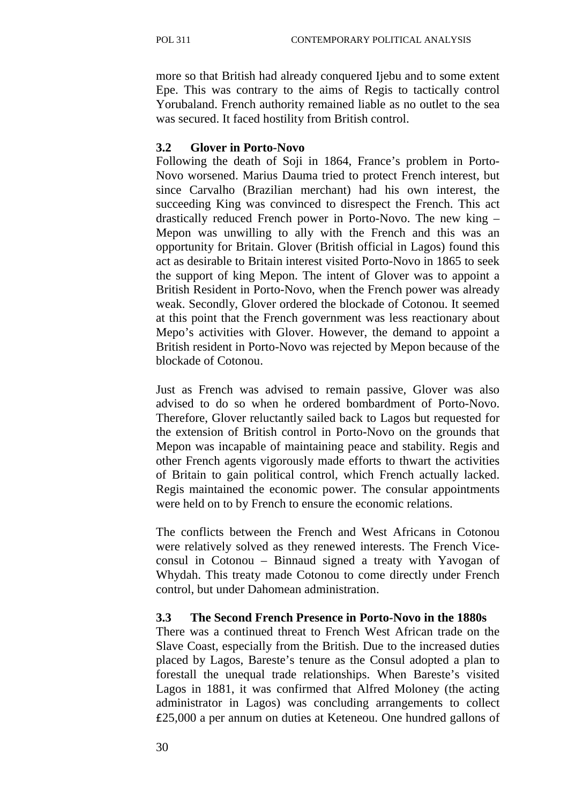more so that British had already conquered Ijebu and to some extent Epe. This was contrary to the aims of Regis to tactically control Yorubaland. French authority remained liable as no outlet to the sea was secured. It faced hostility from British control.

#### **3.2 Glover in Porto-Novo**

Following the death of Soji in 1864, France's problem in Porto-Novo worsened. Marius Dauma tried to protect French interest, but since Carvalho (Brazilian merchant) had his own interest, the succeeding King was convinced to disrespect the French. This act drastically reduced French power in Porto-Novo. The new king – Mepon was unwilling to ally with the French and this was an opportunity for Britain. Glover (British official in Lagos) found this act as desirable to Britain interest visited Porto-Novo in 1865 to seek the support of king Mepon. The intent of Glover was to appoint a British Resident in Porto-Novo, when the French power was already weak. Secondly, Glover ordered the blockade of Cotonou. It seemed at this point that the French government was less reactionary about Mepo's activities with Glover. However, the demand to appoint a British resident in Porto-Novo was rejected by Mepon because of the blockade of Cotonou.

Just as French was advised to remain passive, Glover was also advised to do so when he ordered bombardment of Porto-Novo. Therefore, Glover reluctantly sailed back to Lagos but requested for the extension of British control in Porto-Novo on the grounds that Mepon was incapable of maintaining peace and stability. Regis and other French agents vigorously made efforts to thwart the activities of Britain to gain political control, which French actually lacked. Regis maintained the economic power. The consular appointments were held on to by French to ensure the economic relations.

The conflicts between the French and West Africans in Cotonou were relatively solved as they renewed interests. The French Viceconsul in Cotonou – Binnaud signed a treaty with Yavogan of Whydah. This treaty made Cotonou to come directly under French control, but under Dahomean administration.

#### **3.3 The Second French Presence in Porto-Novo in the 1880s**

There was a continued threat to French West African trade on the Slave Coast, especially from the British. Due to the increased duties placed by Lagos, Bareste's tenure as the Consul adopted a plan to forestall the unequal trade relationships. When Bareste's visited Lagos in 1881, it was confirmed that Alfred Moloney (the acting administrator in Lagos) was concluding arrangements to collect £25,000 a per annum on duties at Keteneou. One hundred gallons of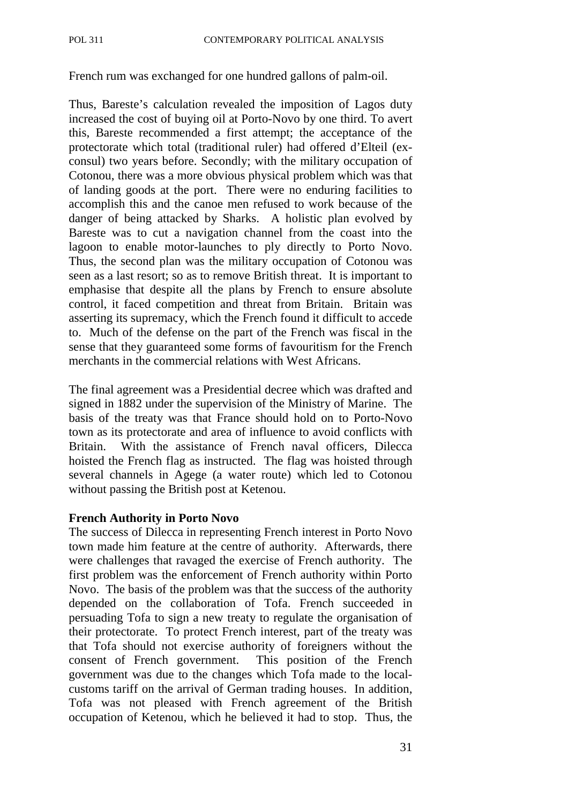French rum was exchanged for one hundred gallons of palm-oil.

Thus, Bareste's calculation revealed the imposition of Lagos duty increased the cost of buying oil at Porto-Novo by one third. To avert this, Bareste recommended a first attempt; the acceptance of the protectorate which total (traditional ruler) had offered d'Elteil (exconsul) two years before. Secondly; with the military occupation of Cotonou, there was a more obvious physical problem which was that of landing goods at the port. There were no enduring facilities to accomplish this and the canoe men refused to work because of the danger of being attacked by Sharks. A holistic plan evolved by Bareste was to cut a navigation channel from the coast into the lagoon to enable motor-launches to ply directly to Porto Novo. Thus, the second plan was the military occupation of Cotonou was seen as a last resort; so as to remove British threat. It is important to emphasise that despite all the plans by French to ensure absolute control, it faced competition and threat from Britain. Britain was asserting its supremacy, which the French found it difficult to accede to. Much of the defense on the part of the French was fiscal in the sense that they guaranteed some forms of favouritism for the French merchants in the commercial relations with West Africans.

The final agreement was a Presidential decree which was drafted and signed in 1882 under the supervision of the Ministry of Marine. The basis of the treaty was that France should hold on to Porto-Novo town as its protectorate and area of influence to avoid conflicts with Britain. With the assistance of French naval officers, Dilecca hoisted the French flag as instructed. The flag was hoisted through several channels in Agege (a water route) which led to Cotonou without passing the British post at Ketenou.

#### **French Authority in Porto Novo**

The success of Dilecca in representing French interest in Porto Novo town made him feature at the centre of authority. Afterwards, there were challenges that ravaged the exercise of French authority. The first problem was the enforcement of French authority within Porto Novo. The basis of the problem was that the success of the authority depended on the collaboration of Tofa. French succeeded in persuading Tofa to sign a new treaty to regulate the organisation of their protectorate. To protect French interest, part of the treaty was that Tofa should not exercise authority of foreigners without the consent of French government. This position of the French government was due to the changes which Tofa made to the localcustoms tariff on the arrival of German trading houses. In addition, Tofa was not pleased with French agreement of the British occupation of Ketenou, which he believed it had to stop. Thus, the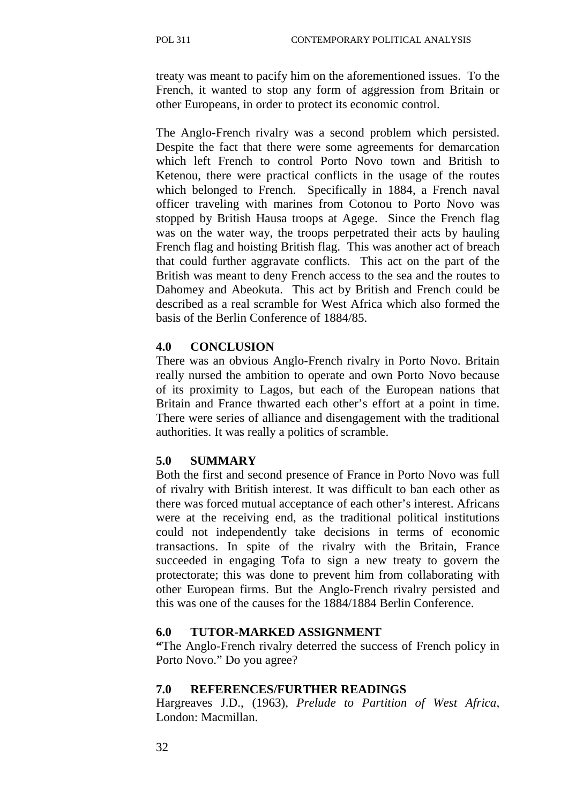treaty was meant to pacify him on the aforementioned issues. To the French, it wanted to stop any form of aggression from Britain or other Europeans, in order to protect its economic control.

The Anglo-French rivalry was a second problem which persisted. Despite the fact that there were some agreements for demarcation which left French to control Porto Novo town and British to Ketenou, there were practical conflicts in the usage of the routes which belonged to French. Specifically in 1884, a French naval officer traveling with marines from Cotonou to Porto Novo was stopped by British Hausa troops at Agege. Since the French flag was on the water way, the troops perpetrated their acts by hauling French flag and hoisting British flag. This was another act of breach that could further aggravate conflicts. This act on the part of the British was meant to deny French access to the sea and the routes to Dahomey and Abeokuta. This act by British and French could be described as a real scramble for West Africa which also formed the basis of the Berlin Conference of 1884/85.

#### **4.0 CONCLUSION**

There was an obvious Anglo-French rivalry in Porto Novo. Britain really nursed the ambition to operate and own Porto Novo because of its proximity to Lagos, but each of the European nations that Britain and France thwarted each other's effort at a point in time. There were series of alliance and disengagement with the traditional authorities. It was really a politics of scramble.

#### **5.0 SUMMARY**

Both the first and second presence of France in Porto Novo was full of rivalry with British interest. It was difficult to ban each other as there was forced mutual acceptance of each other's interest. Africans were at the receiving end, as the traditional political institutions could not independently take decisions in terms of economic transactions. In spite of the rivalry with the Britain, France succeeded in engaging Tofa to sign a new treaty to govern the protectorate; this was done to prevent him from collaborating with other European firms. But the Anglo-French rivalry persisted and this was one of the causes for the 1884/1884 Berlin Conference.

#### **6.0 TUTOR-MARKED ASSIGNMENT**

**"**The Anglo-French rivalry deterred the success of French policy in Porto Novo." Do you agree?

#### **7.0 REFERENCES/FURTHER READINGS**

Hargreaves J.D., (1963), *Prelude to Partition of West Africa,*  London: Macmillan.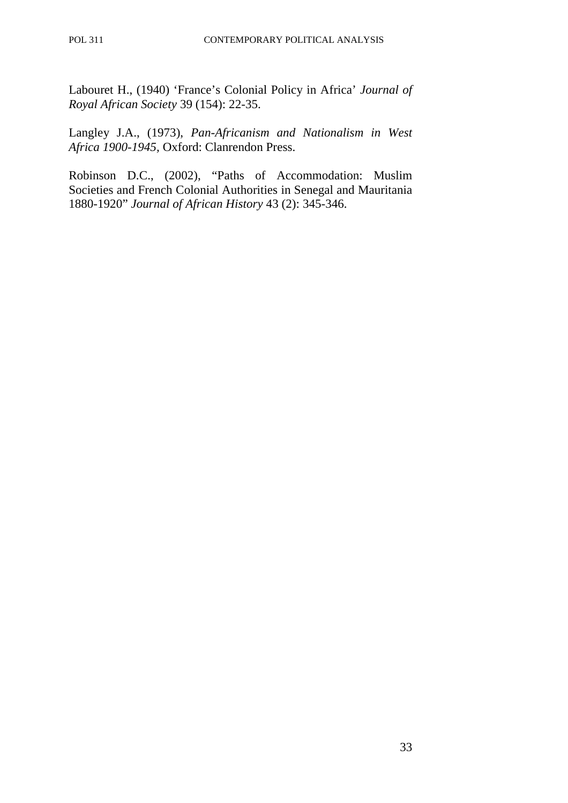Labouret H., (1940) 'France's Colonial Policy in Africa' *Journal of Royal African Society* 39 (154): 22-35.

Langley J.A., (1973), *Pan-Africanism and Nationalism in West Africa 1900-1945,* Oxford: Clanrendon Press.

Robinson D.C., (2002), "Paths of Accommodation: Muslim Societies and French Colonial Authorities in Senegal and Mauritania 1880-1920" *Journal of African History* 43 (2): 345-346.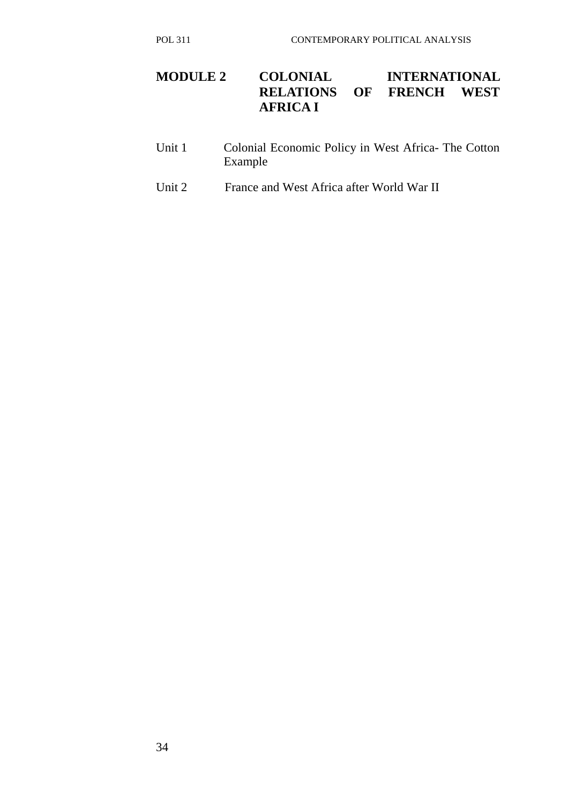# **MODULE 2 COLONIAL INTERNATIONAL RELATIONS OF FRENCH WEST RELATIONS OF FRENCH WEST AFRICA I**

- Unit 1 Colonial Economic Policy in West Africa- The Cotton Example
- Unit 2 France and West Africa after World War II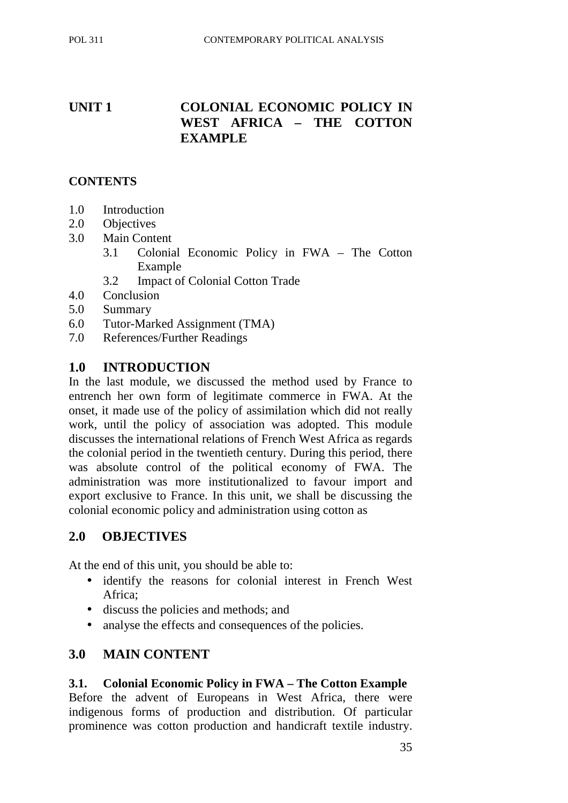# **UNIT 1 COLONIAL ECONOMIC POLICY IN WEST AFRICA – THE COTTON EXAMPLE**

#### **CONTENTS**

- 1.0 Introduction
- 2.0 Objectives
- 3.0 Main Content
	- 3.1 Colonial Economic Policy in FWA The Cotton Example
	- 3.2 Impact of Colonial Cotton Trade
- 4.0 Conclusion
- 5.0 Summary
- 6.0 Tutor-Marked Assignment (TMA)
- 7.0 References/Further Readings

## **1.0 INTRODUCTION**

In the last module, we discussed the method used by France to entrench her own form of legitimate commerce in FWA. At the onset, it made use of the policy of assimilation which did not really work, until the policy of association was adopted. This module discusses the international relations of French West Africa as regards the colonial period in the twentieth century. During this period, there was absolute control of the political economy of FWA. The administration was more institutionalized to favour import and export exclusive to France. In this unit, we shall be discussing the colonial economic policy and administration using cotton as

## **2.0 OBJECTIVES**

At the end of this unit, you should be able to:

- identify the reasons for colonial interest in French West Africa;
- discuss the policies and methods; and
- analyse the effects and consequences of the policies.

## **3.0 MAIN CONTENT**

#### **3.1. Colonial Economic Policy in FWA – The Cotton Example**

Before the advent of Europeans in West Africa, there were indigenous forms of production and distribution. Of particular prominence was cotton production and handicraft textile industry.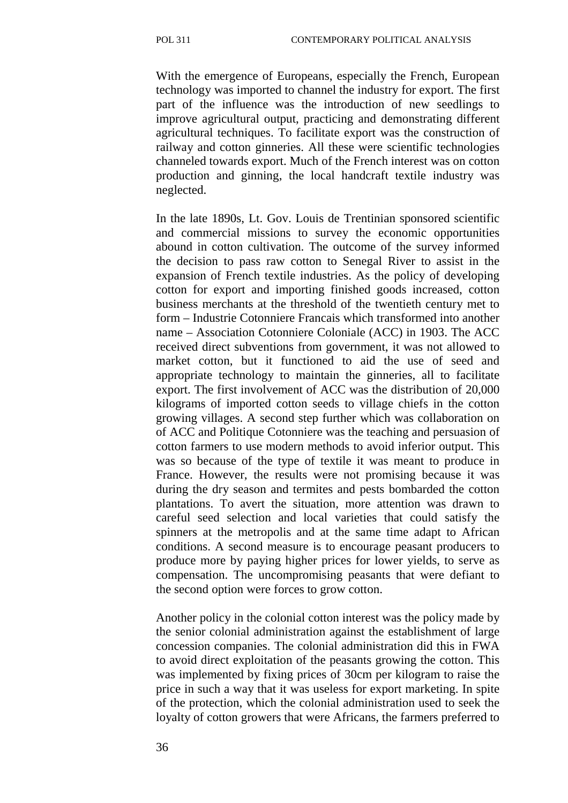With the emergence of Europeans, especially the French, European technology was imported to channel the industry for export. The first part of the influence was the introduction of new seedlings to improve agricultural output, practicing and demonstrating different agricultural techniques. To facilitate export was the construction of railway and cotton ginneries. All these were scientific technologies channeled towards export. Much of the French interest was on cotton production and ginning, the local handcraft textile industry was neglected.

In the late 1890s, Lt. Gov. Louis de Trentinian sponsored scientific and commercial missions to survey the economic opportunities abound in cotton cultivation. The outcome of the survey informed the decision to pass raw cotton to Senegal River to assist in the expansion of French textile industries. As the policy of developing cotton for export and importing finished goods increased, cotton business merchants at the threshold of the twentieth century met to form – Industrie Cotonniere Francais which transformed into another name – Association Cotonniere Coloniale (ACC) in 1903. The ACC received direct subventions from government, it was not allowed to market cotton, but it functioned to aid the use of seed and appropriate technology to maintain the ginneries, all to facilitate export. The first involvement of ACC was the distribution of 20,000 kilograms of imported cotton seeds to village chiefs in the cotton growing villages. A second step further which was collaboration on of ACC and Politique Cotonniere was the teaching and persuasion of cotton farmers to use modern methods to avoid inferior output. This was so because of the type of textile it was meant to produce in France. However, the results were not promising because it was during the dry season and termites and pests bombarded the cotton plantations. To avert the situation, more attention was drawn to careful seed selection and local varieties that could satisfy the spinners at the metropolis and at the same time adapt to African conditions. A second measure is to encourage peasant producers to produce more by paying higher prices for lower yields, to serve as compensation. The uncompromising peasants that were defiant to the second option were forces to grow cotton.

Another policy in the colonial cotton interest was the policy made by the senior colonial administration against the establishment of large concession companies. The colonial administration did this in FWA to avoid direct exploitation of the peasants growing the cotton. This was implemented by fixing prices of 30cm per kilogram to raise the price in such a way that it was useless for export marketing. In spite of the protection, which the colonial administration used to seek the loyalty of cotton growers that were Africans, the farmers preferred to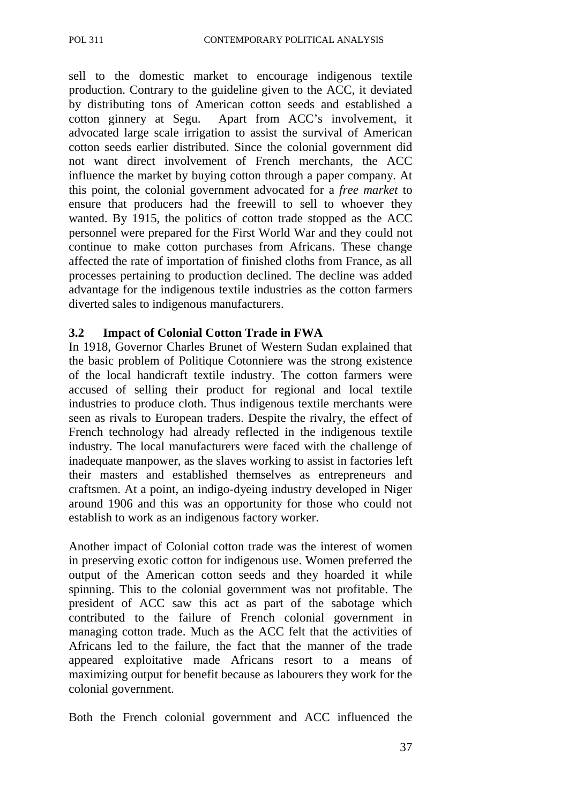sell to the domestic market to encourage indigenous textile production. Contrary to the guideline given to the ACC, it deviated by distributing tons of American cotton seeds and established a cotton ginnery at Segu. Apart from ACC's involvement, it advocated large scale irrigation to assist the survival of American cotton seeds earlier distributed. Since the colonial government did not want direct involvement of French merchants, the ACC influence the market by buying cotton through a paper company. At this point, the colonial government advocated for a *free market* to ensure that producers had the freewill to sell to whoever they wanted. By 1915, the politics of cotton trade stopped as the ACC personnel were prepared for the First World War and they could not continue to make cotton purchases from Africans. These change affected the rate of importation of finished cloths from France, as all processes pertaining to production declined. The decline was added advantage for the indigenous textile industries as the cotton farmers diverted sales to indigenous manufacturers.

#### **3.2 Impact of Colonial Cotton Trade in FWA**

In 1918, Governor Charles Brunet of Western Sudan explained that the basic problem of Politique Cotonniere was the strong existence of the local handicraft textile industry. The cotton farmers were accused of selling their product for regional and local textile industries to produce cloth. Thus indigenous textile merchants were seen as rivals to European traders. Despite the rivalry, the effect of French technology had already reflected in the indigenous textile industry. The local manufacturers were faced with the challenge of inadequate manpower, as the slaves working to assist in factories left their masters and established themselves as entrepreneurs and craftsmen. At a point, an indigo-dyeing industry developed in Niger around 1906 and this was an opportunity for those who could not establish to work as an indigenous factory worker.

Another impact of Colonial cotton trade was the interest of women in preserving exotic cotton for indigenous use. Women preferred the output of the American cotton seeds and they hoarded it while spinning. This to the colonial government was not profitable. The president of ACC saw this act as part of the sabotage which contributed to the failure of French colonial government in managing cotton trade. Much as the ACC felt that the activities of Africans led to the failure, the fact that the manner of the trade appeared exploitative made Africans resort to a means of maximizing output for benefit because as labourers they work for the colonial government.

Both the French colonial government and ACC influenced the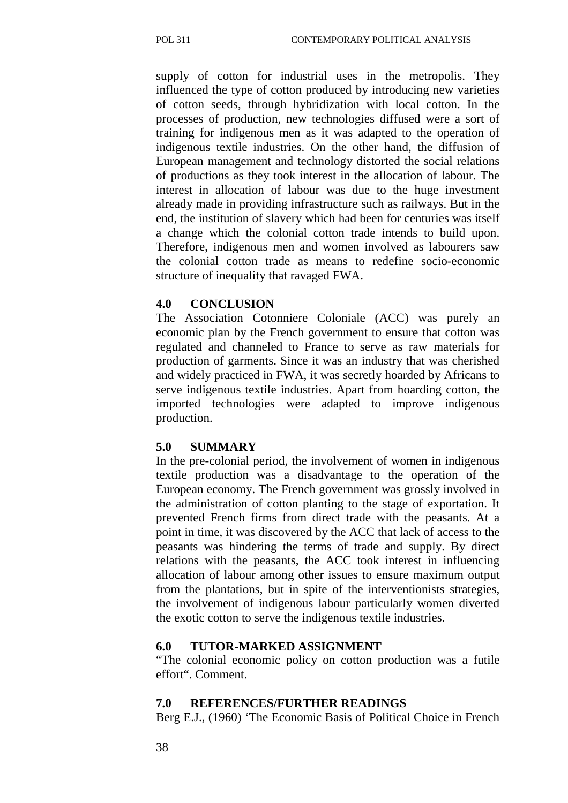supply of cotton for industrial uses in the metropolis. They influenced the type of cotton produced by introducing new varieties of cotton seeds, through hybridization with local cotton. In the processes of production, new technologies diffused were a sort of training for indigenous men as it was adapted to the operation of indigenous textile industries. On the other hand, the diffusion of European management and technology distorted the social relations of productions as they took interest in the allocation of labour. The interest in allocation of labour was due to the huge investment already made in providing infrastructure such as railways. But in the end, the institution of slavery which had been for centuries was itself a change which the colonial cotton trade intends to build upon. Therefore, indigenous men and women involved as labourers saw the colonial cotton trade as means to redefine socio-economic structure of inequality that ravaged FWA.

#### **4.0 CONCLUSION**

The Association Cotonniere Coloniale (ACC) was purely an economic plan by the French government to ensure that cotton was regulated and channeled to France to serve as raw materials for production of garments. Since it was an industry that was cherished and widely practiced in FWA, it was secretly hoarded by Africans to serve indigenous textile industries. Apart from hoarding cotton, the imported technologies were adapted to improve indigenous production.

#### **5.0 SUMMARY**

In the pre-colonial period, the involvement of women in indigenous textile production was a disadvantage to the operation of the European economy. The French government was grossly involved in the administration of cotton planting to the stage of exportation. It prevented French firms from direct trade with the peasants. At a point in time, it was discovered by the ACC that lack of access to the peasants was hindering the terms of trade and supply. By direct relations with the peasants, the ACC took interest in influencing allocation of labour among other issues to ensure maximum output from the plantations, but in spite of the interventionists strategies, the involvement of indigenous labour particularly women diverted the exotic cotton to serve the indigenous textile industries.

#### **6.0 TUTOR-MARKED ASSIGNMENT**

"The colonial economic policy on cotton production was a futile effort". Comment.

#### **7.0 REFERENCES/FURTHER READINGS**

Berg E.J., (1960) 'The Economic Basis of Political Choice in French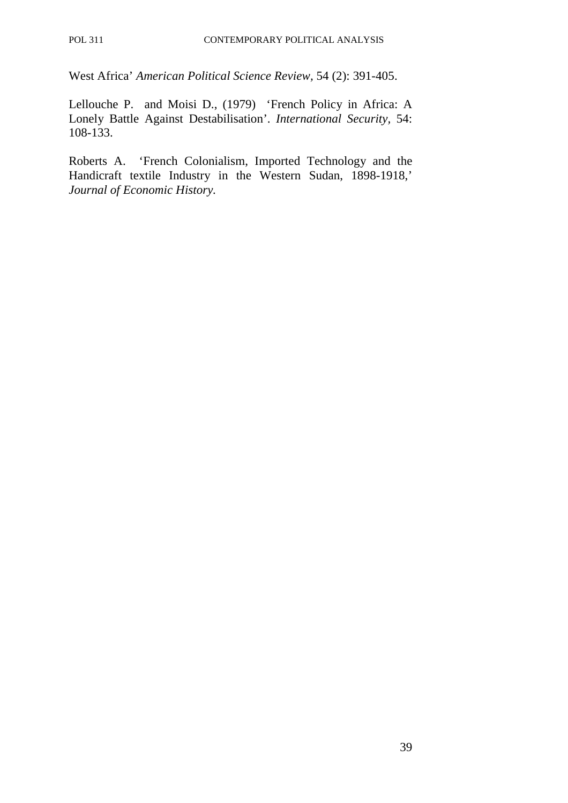West Africa' *American Political Science Review,* 54 (2): 391-405.

Lellouche P. and Moisi D., (1979) 'French Policy in Africa: A Lonely Battle Against Destabilisation'. *International Security,* 54: 108-133.

Roberts A. 'French Colonialism, Imported Technology and the Handicraft textile Industry in the Western Sudan, 1898-1918,' *Journal of Economic History.*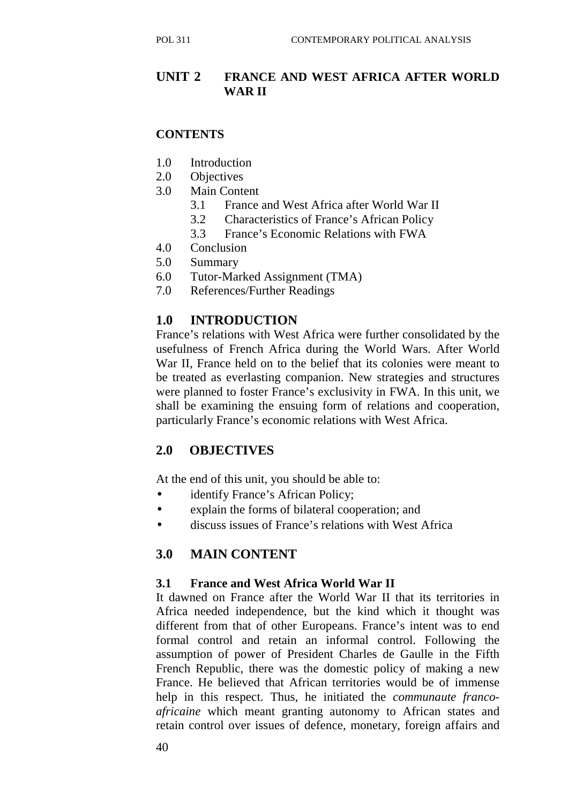# **UNIT 2 FRANCE AND WEST AFRICA AFTER WORLD WAR II**

## **CONTENTS**

- 1.0 Introduction
- 2.0 Objectives
- 3.0 Main Content
	- 3.1 France and West Africa after World War II
	- 3.2 Characteristics of France's African Policy
	- 3.3 France's Economic Relations with FWA
- 4.0 Conclusion
- 5.0 Summary
- 6.0 Tutor-Marked Assignment (TMA)
- 7.0 References/Further Readings

## **1.0 INTRODUCTION**

France's relations with West Africa were further consolidated by the usefulness of French Africa during the World Wars. After World War II, France held on to the belief that its colonies were meant to be treated as everlasting companion. New strategies and structures were planned to foster France's exclusivity in FWA. In this unit, we shall be examining the ensuing form of relations and cooperation, particularly France's economic relations with West Africa.

# **2.0 OBJECTIVES**

At the end of this unit, you should be able to:

- identify France's African Policy;
- explain the forms of bilateral cooperation; and
- discuss issues of France's relations with West Africa

## **3.0 MAIN CONTENT**

#### **3.1 France and West Africa World War II**

It dawned on France after the World War II that its territories in Africa needed independence, but the kind which it thought was different from that of other Europeans. France's intent was to end formal control and retain an informal control. Following the assumption of power of President Charles de Gaulle in the Fifth French Republic, there was the domestic policy of making a new France. He believed that African territories would be of immense help in this respect. Thus, he initiated the *communaute francoafricaine* which meant granting autonomy to African states and retain control over issues of defence, monetary, foreign affairs and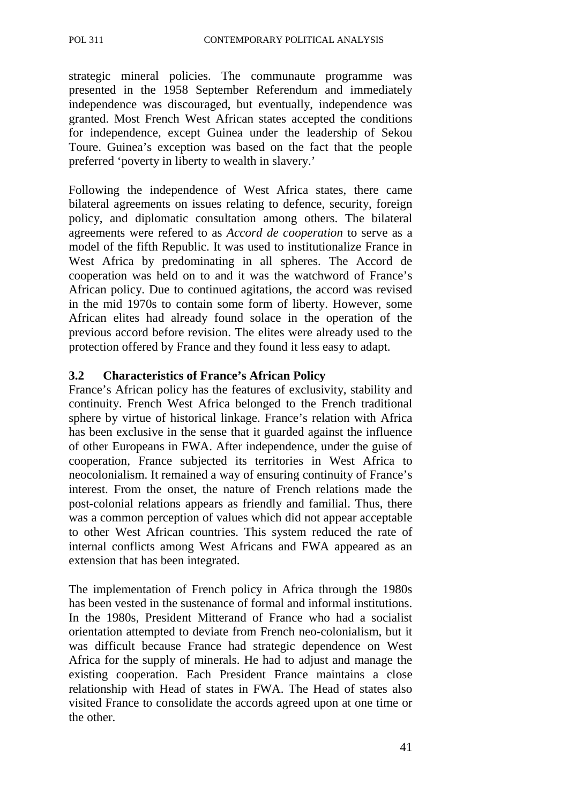strategic mineral policies. The communaute programme was presented in the 1958 September Referendum and immediately independence was discouraged, but eventually, independence was granted. Most French West African states accepted the conditions for independence, except Guinea under the leadership of Sekou Toure. Guinea's exception was based on the fact that the people preferred 'poverty in liberty to wealth in slavery.'

Following the independence of West Africa states, there came bilateral agreements on issues relating to defence, security, foreign policy, and diplomatic consultation among others. The bilateral agreements were refered to as *Accord de cooperation* to serve as a model of the fifth Republic. It was used to institutionalize France in West Africa by predominating in all spheres. The Accord de cooperation was held on to and it was the watchword of France's African policy. Due to continued agitations, the accord was revised in the mid 1970s to contain some form of liberty. However, some African elites had already found solace in the operation of the previous accord before revision. The elites were already used to the protection offered by France and they found it less easy to adapt.

#### **3.2 Characteristics of France's African Policy**

France's African policy has the features of exclusivity, stability and continuity. French West Africa belonged to the French traditional sphere by virtue of historical linkage. France's relation with Africa has been exclusive in the sense that it guarded against the influence of other Europeans in FWA. After independence, under the guise of cooperation, France subjected its territories in West Africa to neocolonialism. It remained a way of ensuring continuity of France's interest. From the onset, the nature of French relations made the post-colonial relations appears as friendly and familial. Thus, there was a common perception of values which did not appear acceptable to other West African countries. This system reduced the rate of internal conflicts among West Africans and FWA appeared as an extension that has been integrated.

The implementation of French policy in Africa through the 1980s has been vested in the sustenance of formal and informal institutions. In the 1980s, President Mitterand of France who had a socialist orientation attempted to deviate from French neo-colonialism, but it was difficult because France had strategic dependence on West Africa for the supply of minerals. He had to adjust and manage the existing cooperation. Each President France maintains a close relationship with Head of states in FWA. The Head of states also visited France to consolidate the accords agreed upon at one time or the other.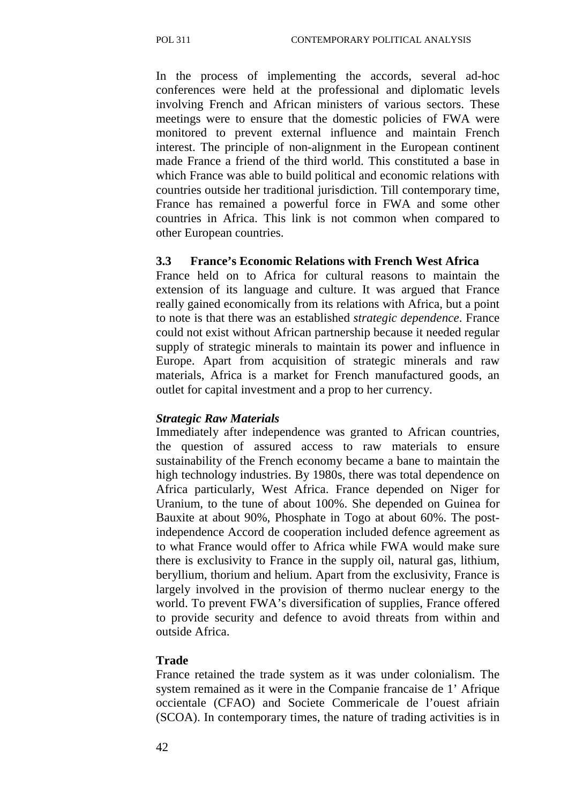In the process of implementing the accords, several ad-hoc conferences were held at the professional and diplomatic levels involving French and African ministers of various sectors. These meetings were to ensure that the domestic policies of FWA were monitored to prevent external influence and maintain French interest. The principle of non-alignment in the European continent made France a friend of the third world. This constituted a base in which France was able to build political and economic relations with countries outside her traditional jurisdiction. Till contemporary time, France has remained a powerful force in FWA and some other countries in Africa. This link is not common when compared to other European countries.

#### **3.3 France's Economic Relations with French West Africa**

France held on to Africa for cultural reasons to maintain the extension of its language and culture. It was argued that France really gained economically from its relations with Africa, but a point to note is that there was an established *strategic dependence*. France could not exist without African partnership because it needed regular supply of strategic minerals to maintain its power and influence in Europe. Apart from acquisition of strategic minerals and raw materials, Africa is a market for French manufactured goods, an outlet for capital investment and a prop to her currency.

#### *Strategic Raw Materials*

Immediately after independence was granted to African countries, the question of assured access to raw materials to ensure sustainability of the French economy became a bane to maintain the high technology industries. By 1980s, there was total dependence on Africa particularly, West Africa. France depended on Niger for Uranium, to the tune of about 100%. She depended on Guinea for Bauxite at about 90%, Phosphate in Togo at about 60%. The postindependence Accord de cooperation included defence agreement as to what France would offer to Africa while FWA would make sure there is exclusivity to France in the supply oil, natural gas, lithium, beryllium, thorium and helium. Apart from the exclusivity, France is largely involved in the provision of thermo nuclear energy to the world. To prevent FWA's diversification of supplies, France offered to provide security and defence to avoid threats from within and outside Africa.

#### **Trade**

France retained the trade system as it was under colonialism. The system remained as it were in the Companie francaise de 1' Afrique occientale (CFAO) and Societe Commericale de l'ouest afriain (SCOA). In contemporary times, the nature of trading activities is in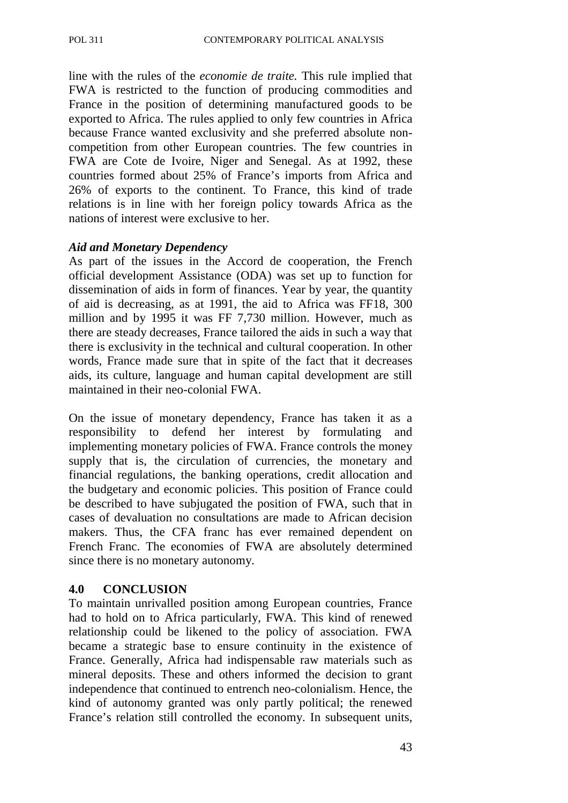line with the rules of the *economie de traite.* This rule implied that FWA is restricted to the function of producing commodities and France in the position of determining manufactured goods to be exported to Africa. The rules applied to only few countries in Africa because France wanted exclusivity and she preferred absolute noncompetition from other European countries. The few countries in FWA are Cote de Ivoire, Niger and Senegal. As at 1992, these countries formed about 25% of France's imports from Africa and 26% of exports to the continent. To France, this kind of trade relations is in line with her foreign policy towards Africa as the nations of interest were exclusive to her.

#### *Aid and Monetary Dependency*

As part of the issues in the Accord de cooperation, the French official development Assistance (ODA) was set up to function for dissemination of aids in form of finances. Year by year, the quantity of aid is decreasing, as at 1991, the aid to Africa was FF18, 300 million and by 1995 it was FF 7,730 million. However, much as there are steady decreases, France tailored the aids in such a way that there is exclusivity in the technical and cultural cooperation. In other words, France made sure that in spite of the fact that it decreases aids, its culture, language and human capital development are still maintained in their neo-colonial FWA.

On the issue of monetary dependency, France has taken it as a responsibility to defend her interest by formulating and implementing monetary policies of FWA. France controls the money supply that is, the circulation of currencies, the monetary and financial regulations, the banking operations, credit allocation and the budgetary and economic policies. This position of France could be described to have subjugated the position of FWA, such that in cases of devaluation no consultations are made to African decision makers. Thus, the CFA franc has ever remained dependent on French Franc. The economies of FWA are absolutely determined since there is no monetary autonomy.

#### **4.0 CONCLUSION**

To maintain unrivalled position among European countries, France had to hold on to Africa particularly, FWA. This kind of renewed relationship could be likened to the policy of association. FWA became a strategic base to ensure continuity in the existence of France. Generally, Africa had indispensable raw materials such as mineral deposits. These and others informed the decision to grant independence that continued to entrench neo-colonialism. Hence, the kind of autonomy granted was only partly political; the renewed France's relation still controlled the economy. In subsequent units,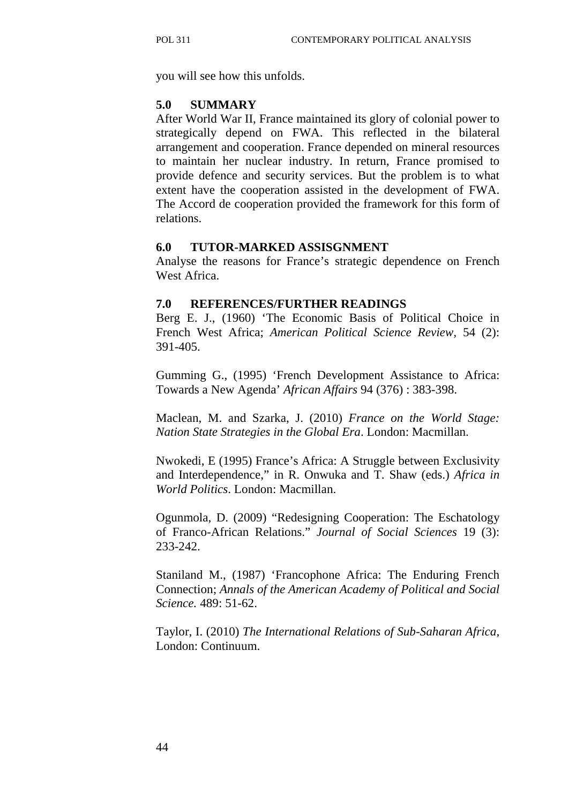you will see how this unfolds.

#### **5.0 SUMMARY**

After World War II, France maintained its glory of colonial power to strategically depend on FWA. This reflected in the bilateral arrangement and cooperation. France depended on mineral resources to maintain her nuclear industry. In return, France promised to provide defence and security services. But the problem is to what extent have the cooperation assisted in the development of FWA. The Accord de cooperation provided the framework for this form of relations.

#### **6.0 TUTOR-MARKED ASSISGNMENT**

Analyse the reasons for France's strategic dependence on French West Africa.

#### **7.0 REFERENCES/FURTHER READINGS**

Berg E. J., (1960) 'The Economic Basis of Political Choice in French West Africa; *American Political Science Review,* 54 (2): 391-405.

Gumming G., (1995) 'French Development Assistance to Africa: Towards a New Agenda' *African Affairs* 94 (376) : 383-398.

Maclean, M. and Szarka, J. (2010) *France on the World Stage: Nation State Strategies in the Global Era*. London: Macmillan.

Nwokedi, E (1995) France's Africa: A Struggle between Exclusivity and Interdependence," in R. Onwuka and T. Shaw (eds.) *Africa in World Politics*. London: Macmillan.

Ogunmola, D. (2009) "Redesigning Cooperation: The Eschatology of Franco-African Relations." *Journal of Social Sciences* 19 (3): 233-242.

Staniland M., (1987) 'Francophone Africa: The Enduring French Connection; *Annals of the American Academy of Political and Social Science.* 489: 51-62.

Taylor, I. (2010) *The International Relations of Sub-Saharan Africa*, London: Continuum.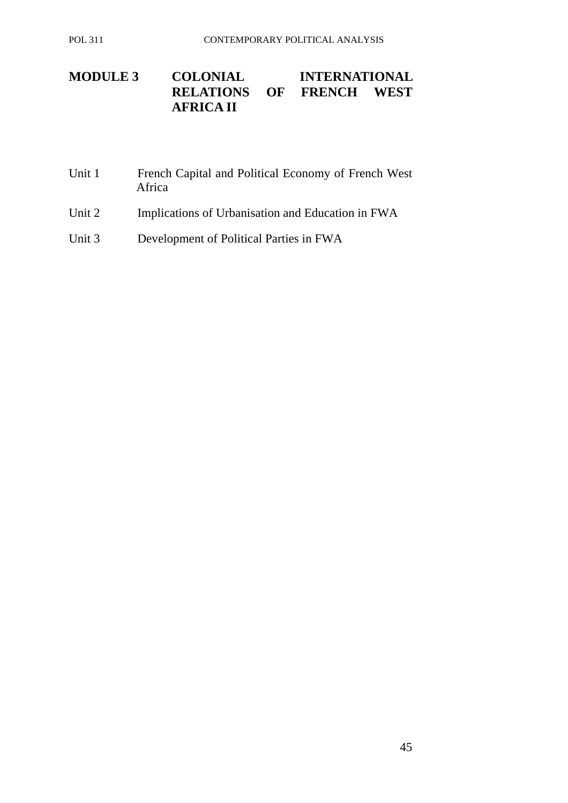# **MODULE 3 COLONIAL INTERNATIONAL RELATIONS OF FRENCH WEST OF FRENCH WEST AFRICA II**

| Unit 1 | French Capital and Political Economy of French West<br>Africa |
|--------|---------------------------------------------------------------|
| Unit 2 | Implications of Urbanisation and Education in FWA             |

Unit 3 Development of Political Parties in FWA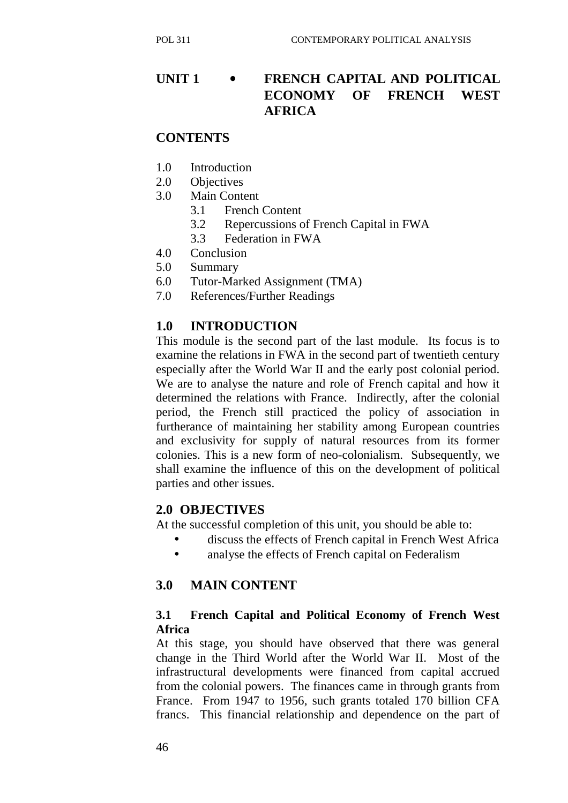# **UNIT 1** • **FRENCH CAPITAL AND POLITICAL ECONOMY OF FRENCH WEST AFRICA**

#### **CONTENTS**

- 1.0 Introduction
- 2.0 Objectives
- 3.0 Main Content
	- 3.1 French Content
	- 3.2 Repercussions of French Capital in FWA
	- 3.3 Federation in FWA
- 4.0 Conclusion
- 5.0 Summary
- 6.0 Tutor-Marked Assignment (TMA)
- 7.0 References/Further Readings

## **1.0 INTRODUCTION**

This module is the second part of the last module. Its focus is to examine the relations in FWA in the second part of twentieth century especially after the World War II and the early post colonial period. We are to analyse the nature and role of French capital and how it determined the relations with France. Indirectly, after the colonial period, the French still practiced the policy of association in furtherance of maintaining her stability among European countries and exclusivity for supply of natural resources from its former colonies. This is a new form of neo-colonialism. Subsequently, we shall examine the influence of this on the development of political parties and other issues.

#### **2.0 OBJECTIVES**

At the successful completion of this unit, you should be able to:

- discuss the effects of French capital in French West Africa
- analyse the effects of French capital on Federalism

## **3.0 MAIN CONTENT**

#### **3.1 French Capital and Political Economy of French West Africa**

At this stage, you should have observed that there was general change in the Third World after the World War II. Most of the infrastructural developments were financed from capital accrued from the colonial powers. The finances came in through grants from France. From 1947 to 1956, such grants totaled 170 billion CFA francs. This financial relationship and dependence on the part of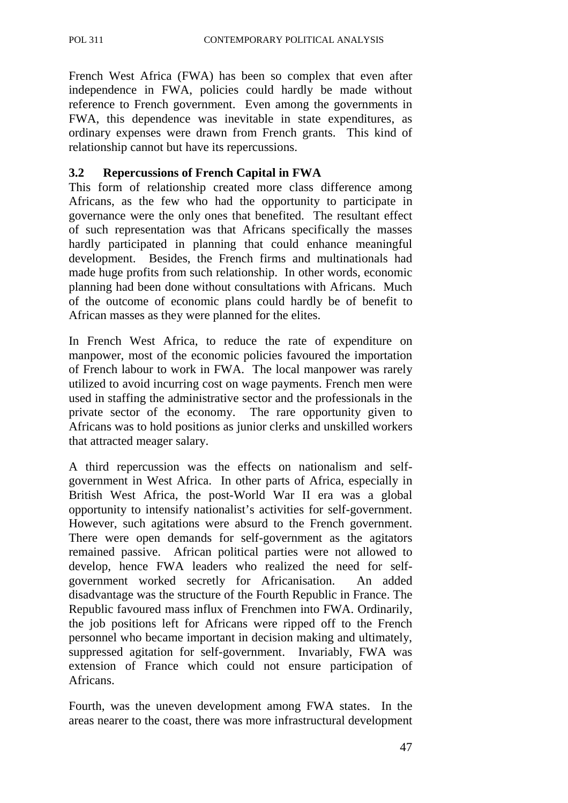French West Africa (FWA) has been so complex that even after independence in FWA, policies could hardly be made without reference to French government. Even among the governments in FWA, this dependence was inevitable in state expenditures, as ordinary expenses were drawn from French grants. This kind of relationship cannot but have its repercussions.

## **3.2 Repercussions of French Capital in FWA**

This form of relationship created more class difference among Africans, as the few who had the opportunity to participate in governance were the only ones that benefited. The resultant effect of such representation was that Africans specifically the masses hardly participated in planning that could enhance meaningful development. Besides, the French firms and multinationals had made huge profits from such relationship. In other words, economic planning had been done without consultations with Africans. Much of the outcome of economic plans could hardly be of benefit to African masses as they were planned for the elites.

In French West Africa, to reduce the rate of expenditure on manpower, most of the economic policies favoured the importation of French labour to work in FWA. The local manpower was rarely utilized to avoid incurring cost on wage payments. French men were used in staffing the administrative sector and the professionals in the private sector of the economy. The rare opportunity given to Africans was to hold positions as junior clerks and unskilled workers that attracted meager salary.

A third repercussion was the effects on nationalism and selfgovernment in West Africa. In other parts of Africa, especially in British West Africa, the post-World War II era was a global opportunity to intensify nationalist's activities for self-government. However, such agitations were absurd to the French government. There were open demands for self-government as the agitators remained passive. African political parties were not allowed to develop, hence FWA leaders who realized the need for selfgovernment worked secretly for Africanisation. An added disadvantage was the structure of the Fourth Republic in France. The Republic favoured mass influx of Frenchmen into FWA. Ordinarily, the job positions left for Africans were ripped off to the French personnel who became important in decision making and ultimately, suppressed agitation for self-government. Invariably, FWA was extension of France which could not ensure participation of Africans.

Fourth, was the uneven development among FWA states. In the areas nearer to the coast, there was more infrastructural development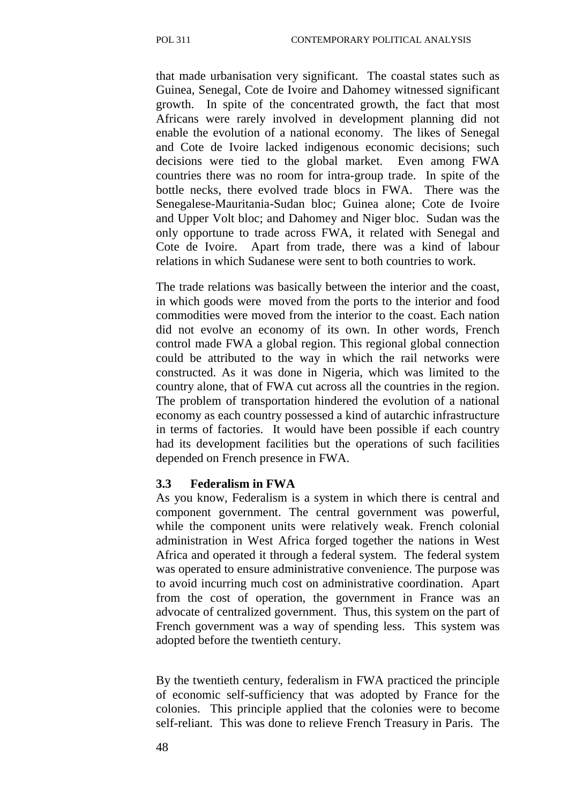that made urbanisation very significant. The coastal states such as Guinea, Senegal, Cote de Ivoire and Dahomey witnessed significant growth. In spite of the concentrated growth, the fact that most Africans were rarely involved in development planning did not enable the evolution of a national economy. The likes of Senegal and Cote de Ivoire lacked indigenous economic decisions; such decisions were tied to the global market. Even among FWA countries there was no room for intra-group trade. In spite of the bottle necks, there evolved trade blocs in FWA. There was the Senegalese-Mauritania-Sudan bloc; Guinea alone; Cote de Ivoire and Upper Volt bloc; and Dahomey and Niger bloc. Sudan was the only opportune to trade across FWA, it related with Senegal and Cote de Ivoire. Apart from trade, there was a kind of labour relations in which Sudanese were sent to both countries to work.

The trade relations was basically between the interior and the coast, in which goods were moved from the ports to the interior and food commodities were moved from the interior to the coast. Each nation did not evolve an economy of its own. In other words, French control made FWA a global region. This regional global connection could be attributed to the way in which the rail networks were constructed. As it was done in Nigeria, which was limited to the country alone, that of FWA cut across all the countries in the region. The problem of transportation hindered the evolution of a national economy as each country possessed a kind of autarchic infrastructure in terms of factories. It would have been possible if each country had its development facilities but the operations of such facilities depended on French presence in FWA.

#### **3.3 Federalism in FWA**

As you know, Federalism is a system in which there is central and component government. The central government was powerful, while the component units were relatively weak. French colonial administration in West Africa forged together the nations in West Africa and operated it through a federal system. The federal system was operated to ensure administrative convenience. The purpose was to avoid incurring much cost on administrative coordination. Apart from the cost of operation, the government in France was an advocate of centralized government. Thus, this system on the part of French government was a way of spending less. This system was adopted before the twentieth century.

By the twentieth century, federalism in FWA practiced the principle of economic self-sufficiency that was adopted by France for the colonies. This principle applied that the colonies were to become self-reliant. This was done to relieve French Treasury in Paris. The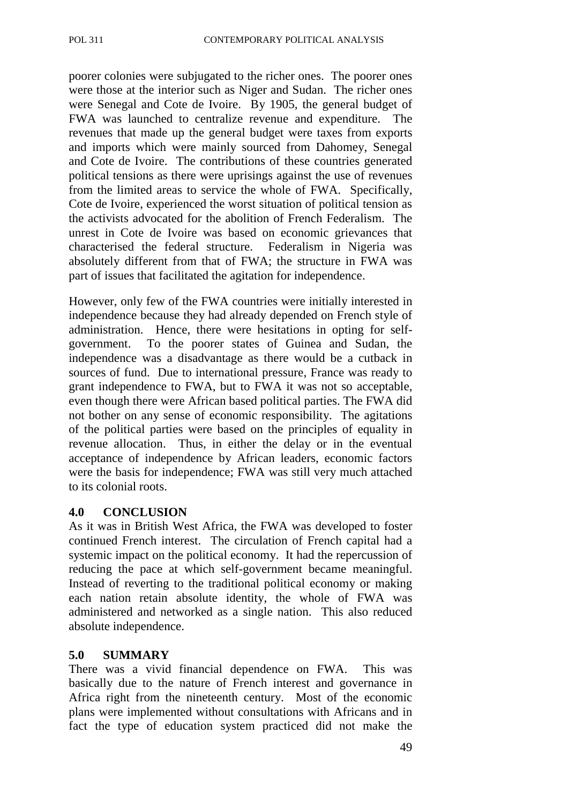poorer colonies were subjugated to the richer ones. The poorer ones were those at the interior such as Niger and Sudan. The richer ones were Senegal and Cote de Ivoire. By 1905, the general budget of FWA was launched to centralize revenue and expenditure. The revenues that made up the general budget were taxes from exports and imports which were mainly sourced from Dahomey, Senegal and Cote de Ivoire. The contributions of these countries generated political tensions as there were uprisings against the use of revenues from the limited areas to service the whole of FWA. Specifically, Cote de Ivoire, experienced the worst situation of political tension as the activists advocated for the abolition of French Federalism. The unrest in Cote de Ivoire was based on economic grievances that characterised the federal structure. Federalism in Nigeria was absolutely different from that of FWA; the structure in FWA was part of issues that facilitated the agitation for independence.

However, only few of the FWA countries were initially interested in independence because they had already depended on French style of administration. Hence, there were hesitations in opting for selfgovernment. To the poorer states of Guinea and Sudan, the independence was a disadvantage as there would be a cutback in sources of fund. Due to international pressure, France was ready to grant independence to FWA, but to FWA it was not so acceptable, even though there were African based political parties. The FWA did not bother on any sense of economic responsibility. The agitations of the political parties were based on the principles of equality in revenue allocation. Thus, in either the delay or in the eventual acceptance of independence by African leaders, economic factors were the basis for independence; FWA was still very much attached to its colonial roots.

#### **4.0 CONCLUSION**

As it was in British West Africa, the FWA was developed to foster continued French interest. The circulation of French capital had a systemic impact on the political economy. It had the repercussion of reducing the pace at which self-government became meaningful. Instead of reverting to the traditional political economy or making each nation retain absolute identity, the whole of FWA was administered and networked as a single nation. This also reduced absolute independence.

#### **5.0 SUMMARY**

There was a vivid financial dependence on FWA. This was basically due to the nature of French interest and governance in Africa right from the nineteenth century. Most of the economic plans were implemented without consultations with Africans and in fact the type of education system practiced did not make the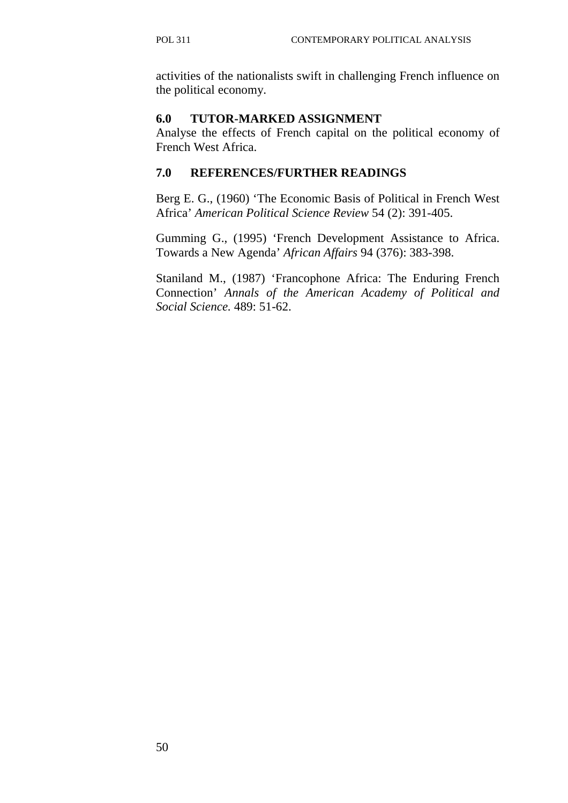activities of the nationalists swift in challenging French influence on the political economy.

#### **6.0 TUTOR-MARKED ASSIGNMENT**

Analyse the effects of French capital on the political economy of French West Africa.

## **7.0 REFERENCES/FURTHER READINGS**

Berg E. G., (1960) 'The Economic Basis of Political in French West Africa' *American Political Science Review* 54 (2): 391-405.

Gumming G., (1995) 'French Development Assistance to Africa. Towards a New Agenda' *African Affairs* 94 (376): 383-398.

Staniland M., (1987) 'Francophone Africa: The Enduring French Connection' *Annals of the American Academy of Political and Social Science.* 489: 51-62.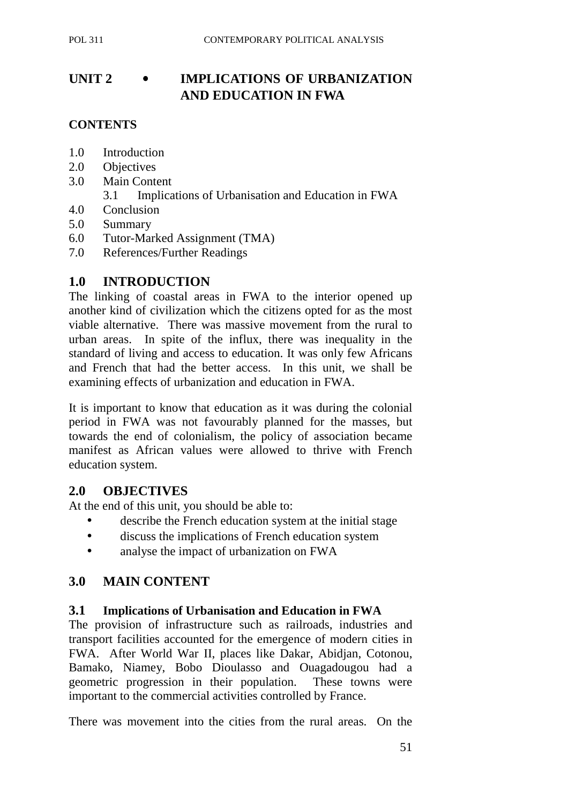# **UNIT 2** • **IMPLICATIONS OF URBANIZATION AND EDUCATION IN FWA**

#### **CONTENTS**

- 1.0 Introduction
- 2.0 Objectives
- 3.0 Main Content
	- 3.1 Implications of Urbanisation and Education in FWA
- 4.0 Conclusion
- 5.0 Summary
- 6.0 Tutor-Marked Assignment (TMA)
- 7.0 References/Further Readings

## **1.0 INTRODUCTION**

The linking of coastal areas in FWA to the interior opened up another kind of civilization which the citizens opted for as the most viable alternative. There was massive movement from the rural to urban areas. In spite of the influx, there was inequality in the standard of living and access to education. It was only few Africans and French that had the better access. In this unit, we shall be examining effects of urbanization and education in FWA.

It is important to know that education as it was during the colonial period in FWA was not favourably planned for the masses, but towards the end of colonialism, the policy of association became manifest as African values were allowed to thrive with French education system.

## **2.0 OBJECTIVES**

At the end of this unit, you should be able to:

- describe the French education system at the initial stage
- discuss the implications of French education system
- analyse the impact of urbanization on FWA

## **3.0 MAIN CONTENT**

#### **3.1 Implications of Urbanisation and Education in FWA**

The provision of infrastructure such as railroads, industries and transport facilities accounted for the emergence of modern cities in FWA. After World War II, places like Dakar, Abidjan, Cotonou, Bamako, Niamey, Bobo Dioulasso and Ouagadougou had a geometric progression in their population. These towns were important to the commercial activities controlled by France.

There was movement into the cities from the rural areas. On the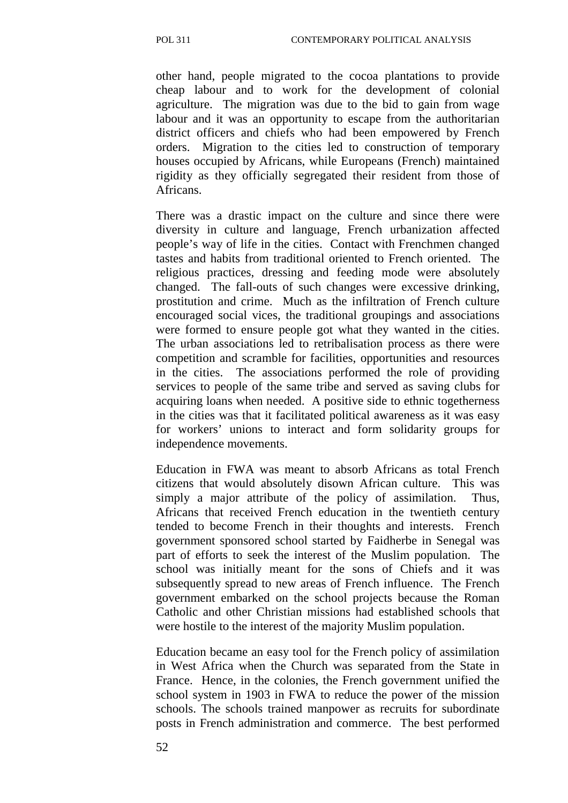other hand, people migrated to the cocoa plantations to provide cheap labour and to work for the development of colonial agriculture. The migration was due to the bid to gain from wage labour and it was an opportunity to escape from the authoritarian district officers and chiefs who had been empowered by French orders. Migration to the cities led to construction of temporary houses occupied by Africans, while Europeans (French) maintained rigidity as they officially segregated their resident from those of Africans.

There was a drastic impact on the culture and since there were diversity in culture and language, French urbanization affected people's way of life in the cities. Contact with Frenchmen changed tastes and habits from traditional oriented to French oriented. The religious practices, dressing and feeding mode were absolutely changed. The fall-outs of such changes were excessive drinking, prostitution and crime. Much as the infiltration of French culture encouraged social vices, the traditional groupings and associations were formed to ensure people got what they wanted in the cities. The urban associations led to retribalisation process as there were competition and scramble for facilities, opportunities and resources in the cities. The associations performed the role of providing services to people of the same tribe and served as saving clubs for acquiring loans when needed. A positive side to ethnic togetherness in the cities was that it facilitated political awareness as it was easy for workers' unions to interact and form solidarity groups for independence movements.

Education in FWA was meant to absorb Africans as total French citizens that would absolutely disown African culture. This was simply a major attribute of the policy of assimilation. Thus, Africans that received French education in the twentieth century tended to become French in their thoughts and interests. French government sponsored school started by Faidherbe in Senegal was part of efforts to seek the interest of the Muslim population. The school was initially meant for the sons of Chiefs and it was subsequently spread to new areas of French influence. The French government embarked on the school projects because the Roman Catholic and other Christian missions had established schools that were hostile to the interest of the majority Muslim population.

Education became an easy tool for the French policy of assimilation in West Africa when the Church was separated from the State in France. Hence, in the colonies, the French government unified the school system in 1903 in FWA to reduce the power of the mission schools. The schools trained manpower as recruits for subordinate posts in French administration and commerce. The best performed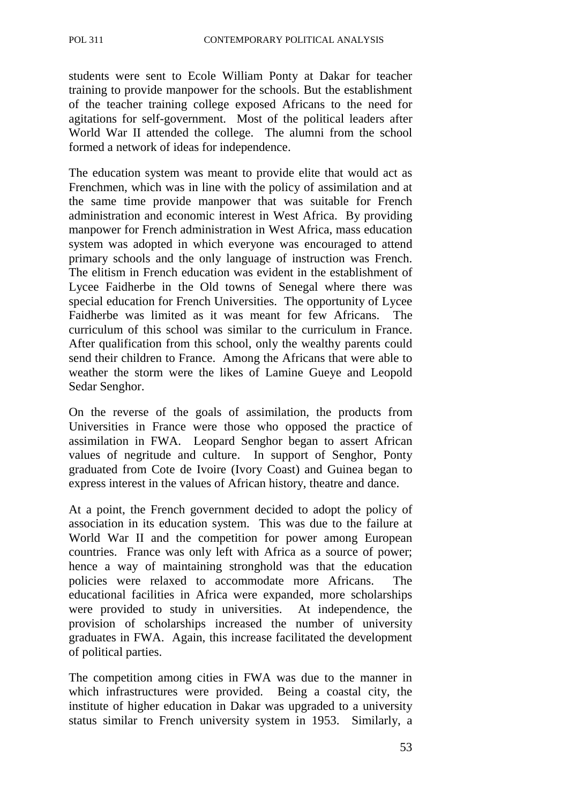students were sent to Ecole William Ponty at Dakar for teacher training to provide manpower for the schools. But the establishment of the teacher training college exposed Africans to the need for agitations for self-government. Most of the political leaders after World War II attended the college. The alumni from the school formed a network of ideas for independence.

The education system was meant to provide elite that would act as Frenchmen, which was in line with the policy of assimilation and at the same time provide manpower that was suitable for French administration and economic interest in West Africa. By providing manpower for French administration in West Africa, mass education system was adopted in which everyone was encouraged to attend primary schools and the only language of instruction was French. The elitism in French education was evident in the establishment of Lycee Faidherbe in the Old towns of Senegal where there was special education for French Universities. The opportunity of Lycee Faidherbe was limited as it was meant for few Africans. The curriculum of this school was similar to the curriculum in France. After qualification from this school, only the wealthy parents could send their children to France. Among the Africans that were able to weather the storm were the likes of Lamine Gueye and Leopold Sedar Senghor.

On the reverse of the goals of assimilation, the products from Universities in France were those who opposed the practice of assimilation in FWA. Leopard Senghor began to assert African values of negritude and culture. In support of Senghor, Ponty graduated from Cote de Ivoire (Ivory Coast) and Guinea began to express interest in the values of African history, theatre and dance.

At a point, the French government decided to adopt the policy of association in its education system. This was due to the failure at World War II and the competition for power among European countries. France was only left with Africa as a source of power; hence a way of maintaining stronghold was that the education policies were relaxed to accommodate more Africans. The educational facilities in Africa were expanded, more scholarships were provided to study in universities. At independence, the provision of scholarships increased the number of university graduates in FWA. Again, this increase facilitated the development of political parties.

The competition among cities in FWA was due to the manner in which infrastructures were provided. Being a coastal city, the institute of higher education in Dakar was upgraded to a university status similar to French university system in 1953. Similarly, a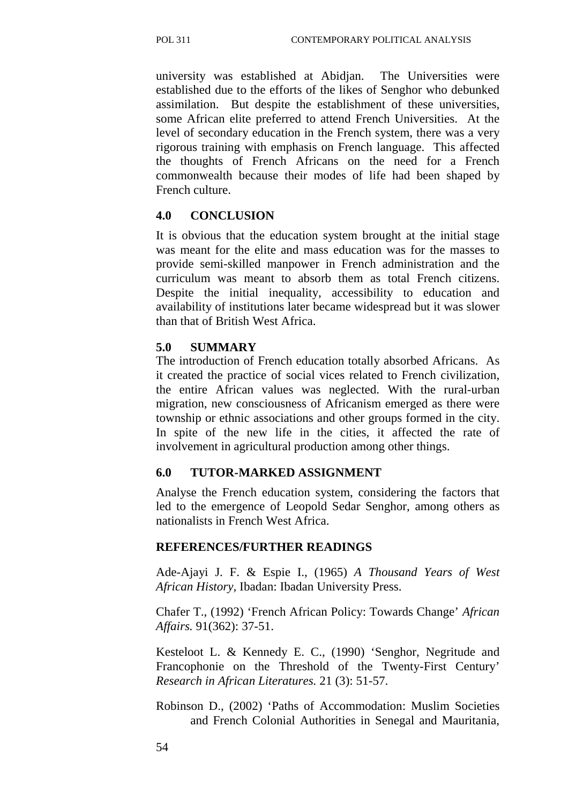university was established at Abidjan. The Universities were established due to the efforts of the likes of Senghor who debunked assimilation. But despite the establishment of these universities, some African elite preferred to attend French Universities. At the level of secondary education in the French system, there was a very rigorous training with emphasis on French language. This affected the thoughts of French Africans on the need for a French commonwealth because their modes of life had been shaped by French culture.

#### **4.0 CONCLUSION**

It is obvious that the education system brought at the initial stage was meant for the elite and mass education was for the masses to provide semi-skilled manpower in French administration and the curriculum was meant to absorb them as total French citizens. Despite the initial inequality, accessibility to education and availability of institutions later became widespread but it was slower than that of British West Africa.

#### **5.0 SUMMARY**

The introduction of French education totally absorbed Africans. As it created the practice of social vices related to French civilization, the entire African values was neglected. With the rural-urban migration, new consciousness of Africanism emerged as there were township or ethnic associations and other groups formed in the city. In spite of the new life in the cities, it affected the rate of involvement in agricultural production among other things.

#### **6.0 TUTOR-MARKED ASSIGNMENT**

Analyse the French education system, considering the factors that led to the emergence of Leopold Sedar Senghor, among others as nationalists in French West Africa.

#### **REFERENCES/FURTHER READINGS**

Ade-Ajayi J. F. & Espie I., (1965) *A Thousand Years of West African History,* Ibadan: Ibadan University Press.

Chafer T., (1992) 'French African Policy: Towards Change' *African Affairs.* 91(362): 37-51.

Kesteloot L. & Kennedy E. C., (1990) 'Senghor, Negritude and Francophonie on the Threshold of the Twenty-First Century' *Research in African Literatures.* 21 (3): 51-57.

Robinson D., (2002) 'Paths of Accommodation: Muslim Societies and French Colonial Authorities in Senegal and Mauritania,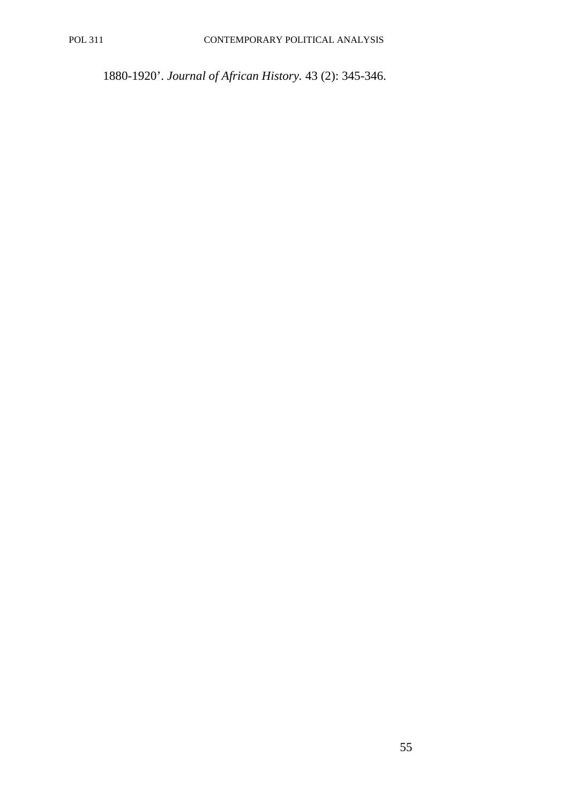1880-1920'. *Journal of African History.* 43 (2): 345-346.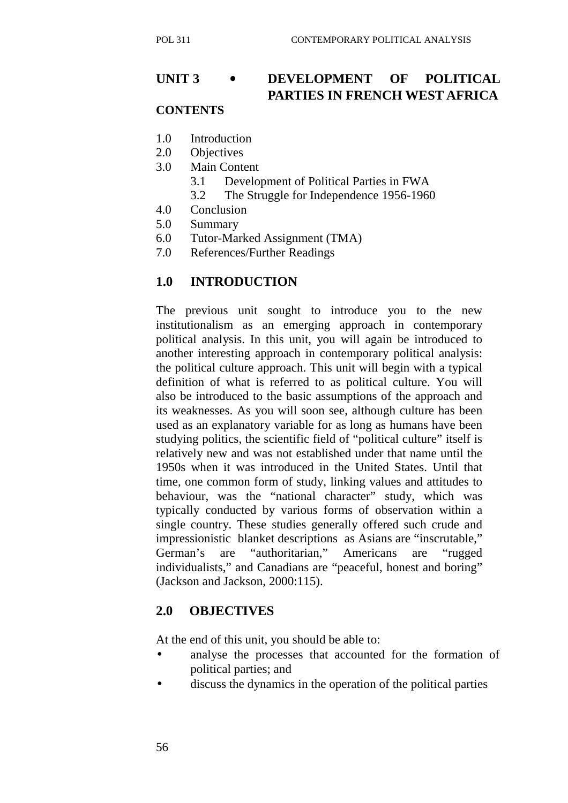# **UNIT 3** • **DEVELOPMENT OF POLITICAL PARTIES IN FRENCH WEST AFRICA**

# **CONTENTS**

- 1.0 Introduction
- 2.0 Objectives
- 3.0 Main Content
	- 3.1 Development of Political Parties in FWA
	- 3.2 The Struggle for Independence 1956-1960
- 4.0 Conclusion
- 5.0 Summary
- 6.0 Tutor-Marked Assignment (TMA)
- 7.0 References/Further Readings

#### **1.0 INTRODUCTION**

The previous unit sought to introduce you to the new institutionalism as an emerging approach in contemporary political analysis. In this unit, you will again be introduced to another interesting approach in contemporary political analysis: the political culture approach. This unit will begin with a typical definition of what is referred to as political culture. You will also be introduced to the basic assumptions of the approach and its weaknesses. As you will soon see, although culture has been used as an explanatory variable for as long as humans have been studying politics, the scientific field of "political culture" itself is relatively new and was not established under that name until the 1950s when it was introduced in the United States. Until that time, one common form of study, linking values and attitudes to behaviour, was the "national character" study, which was typically conducted by various forms of observation within a single country. These studies generally offered such crude and impressionistic blanket descriptions as Asians are "inscrutable," German's are "authoritarian," Americans are "rugged individualists," and Canadians are "peaceful, honest and boring" (Jackson and Jackson, 2000:115).

## **2.0 OBJECTIVES**

At the end of this unit, you should be able to:

- analyse the processes that accounted for the formation of political parties; and
- discuss the dynamics in the operation of the political parties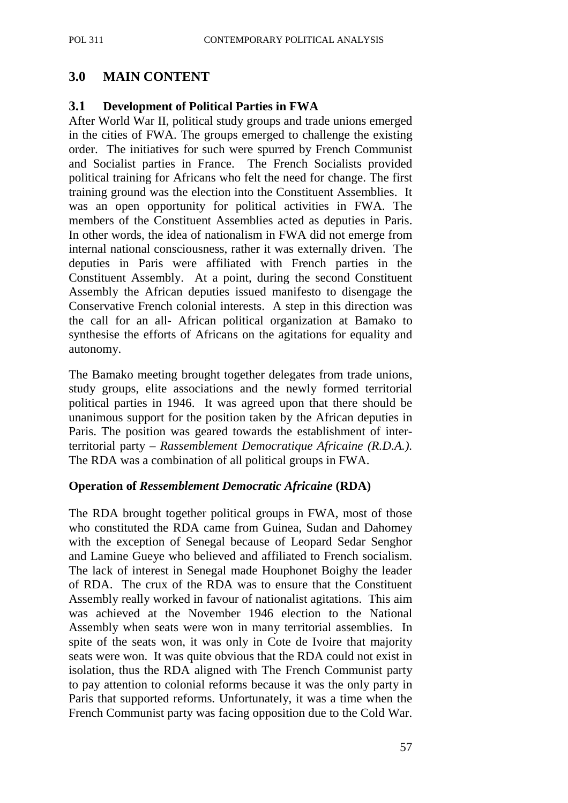# **3.0 MAIN CONTENT**

#### **3.1 Development of Political Parties in FWA**

After World War II, political study groups and trade unions emerged in the cities of FWA. The groups emerged to challenge the existing order. The initiatives for such were spurred by French Communist and Socialist parties in France. The French Socialists provided political training for Africans who felt the need for change. The first training ground was the election into the Constituent Assemblies. It was an open opportunity for political activities in FWA. The members of the Constituent Assemblies acted as deputies in Paris. In other words, the idea of nationalism in FWA did not emerge from internal national consciousness, rather it was externally driven. The deputies in Paris were affiliated with French parties in the Constituent Assembly. At a point, during the second Constituent Assembly the African deputies issued manifesto to disengage the Conservative French colonial interests. A step in this direction was the call for an all- African political organization at Bamako to synthesise the efforts of Africans on the agitations for equality and autonomy.

The Bamako meeting brought together delegates from trade unions, study groups, elite associations and the newly formed territorial political parties in 1946. It was agreed upon that there should be unanimous support for the position taken by the African deputies in Paris. The position was geared towards the establishment of interterritorial party – *Rassemblement Democratique Africaine (R.D.A.).* The RDA was a combination of all political groups in FWA.

#### **Operation of** *Ressemblement Democratic Africaine* **(RDA)**

The RDA brought together political groups in FWA, most of those who constituted the RDA came from Guinea, Sudan and Dahomey with the exception of Senegal because of Leopard Sedar Senghor and Lamine Gueye who believed and affiliated to French socialism. The lack of interest in Senegal made Houphonet Boighy the leader of RDA. The crux of the RDA was to ensure that the Constituent Assembly really worked in favour of nationalist agitations. This aim was achieved at the November 1946 election to the National Assembly when seats were won in many territorial assemblies. In spite of the seats won, it was only in Cote de Ivoire that majority seats were won. It was quite obvious that the RDA could not exist in isolation, thus the RDA aligned with The French Communist party to pay attention to colonial reforms because it was the only party in Paris that supported reforms. Unfortunately, it was a time when the French Communist party was facing opposition due to the Cold War.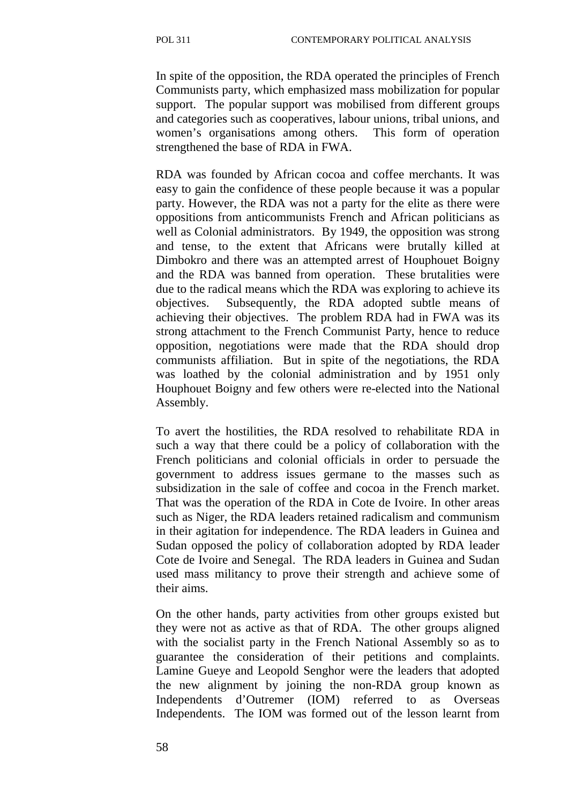In spite of the opposition, the RDA operated the principles of French Communists party, which emphasized mass mobilization for popular support. The popular support was mobilised from different groups and categories such as cooperatives, labour unions, tribal unions, and women's organisations among others. This form of operation strengthened the base of RDA in FWA.

RDA was founded by African cocoa and coffee merchants. It was easy to gain the confidence of these people because it was a popular party. However, the RDA was not a party for the elite as there were oppositions from anticommunists French and African politicians as well as Colonial administrators. By 1949, the opposition was strong and tense, to the extent that Africans were brutally killed at Dimbokro and there was an attempted arrest of Houphouet Boigny and the RDA was banned from operation. These brutalities were due to the radical means which the RDA was exploring to achieve its objectives. Subsequently, the RDA adopted subtle means of achieving their objectives. The problem RDA had in FWA was its strong attachment to the French Communist Party, hence to reduce opposition, negotiations were made that the RDA should drop communists affiliation. But in spite of the negotiations, the RDA was loathed by the colonial administration and by 1951 only Houphouet Boigny and few others were re-elected into the National Assembly.

To avert the hostilities, the RDA resolved to rehabilitate RDA in such a way that there could be a policy of collaboration with the French politicians and colonial officials in order to persuade the government to address issues germane to the masses such as subsidization in the sale of coffee and cocoa in the French market. That was the operation of the RDA in Cote de Ivoire. In other areas such as Niger, the RDA leaders retained radicalism and communism in their agitation for independence. The RDA leaders in Guinea and Sudan opposed the policy of collaboration adopted by RDA leader Cote de Ivoire and Senegal. The RDA leaders in Guinea and Sudan used mass militancy to prove their strength and achieve some of their aims.

On the other hands, party activities from other groups existed but they were not as active as that of RDA. The other groups aligned with the socialist party in the French National Assembly so as to guarantee the consideration of their petitions and complaints. Lamine Gueye and Leopold Senghor were the leaders that adopted the new alignment by joining the non-RDA group known as Independents d'Outremer (IOM) referred to as Overseas Independents. The IOM was formed out of the lesson learnt from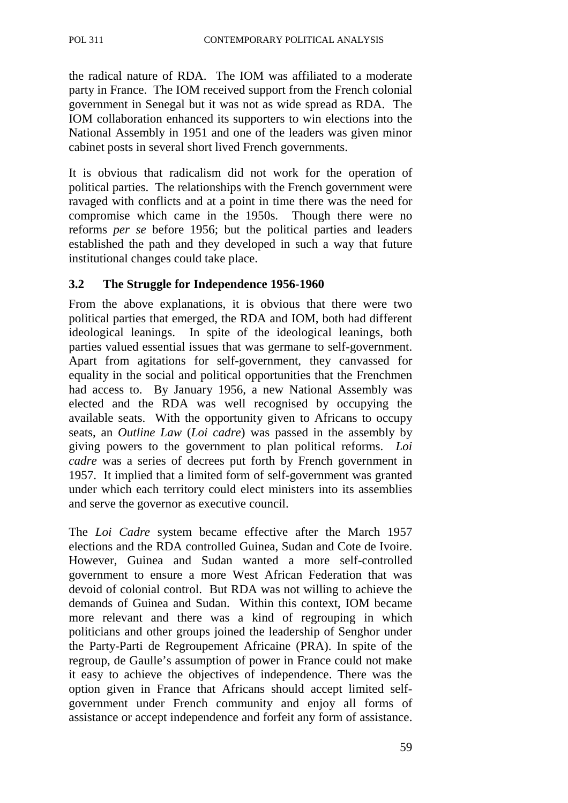the radical nature of RDA. The IOM was affiliated to a moderate party in France. The IOM received support from the French colonial government in Senegal but it was not as wide spread as RDA. The IOM collaboration enhanced its supporters to win elections into the National Assembly in 1951 and one of the leaders was given minor cabinet posts in several short lived French governments.

It is obvious that radicalism did not work for the operation of political parties. The relationships with the French government were ravaged with conflicts and at a point in time there was the need for compromise which came in the 1950s. Though there were no reforms *per se* before 1956; but the political parties and leaders established the path and they developed in such a way that future institutional changes could take place.

#### **3.2 The Struggle for Independence 1956-1960**

From the above explanations, it is obvious that there were two political parties that emerged, the RDA and IOM, both had different ideological leanings. In spite of the ideological leanings, both parties valued essential issues that was germane to self-government. Apart from agitations for self-government, they canvassed for equality in the social and political opportunities that the Frenchmen had access to. By January 1956, a new National Assembly was elected and the RDA was well recognised by occupying the available seats. With the opportunity given to Africans to occupy seats, an *Outline Law* (*Loi cadre*) was passed in the assembly by giving powers to the government to plan political reforms. *Loi cadre* was a series of decrees put forth by French government in 1957. It implied that a limited form of self-government was granted under which each territory could elect ministers into its assemblies and serve the governor as executive council.

The *Loi Cadre* system became effective after the March 1957 elections and the RDA controlled Guinea, Sudan and Cote de Ivoire. However, Guinea and Sudan wanted a more self-controlled government to ensure a more West African Federation that was devoid of colonial control. But RDA was not willing to achieve the demands of Guinea and Sudan. Within this context, IOM became more relevant and there was a kind of regrouping in which politicians and other groups joined the leadership of Senghor under the Party-Parti de Regroupement Africaine (PRA). In spite of the regroup, de Gaulle's assumption of power in France could not make it easy to achieve the objectives of independence. There was the option given in France that Africans should accept limited selfgovernment under French community and enjoy all forms of assistance or accept independence and forfeit any form of assistance.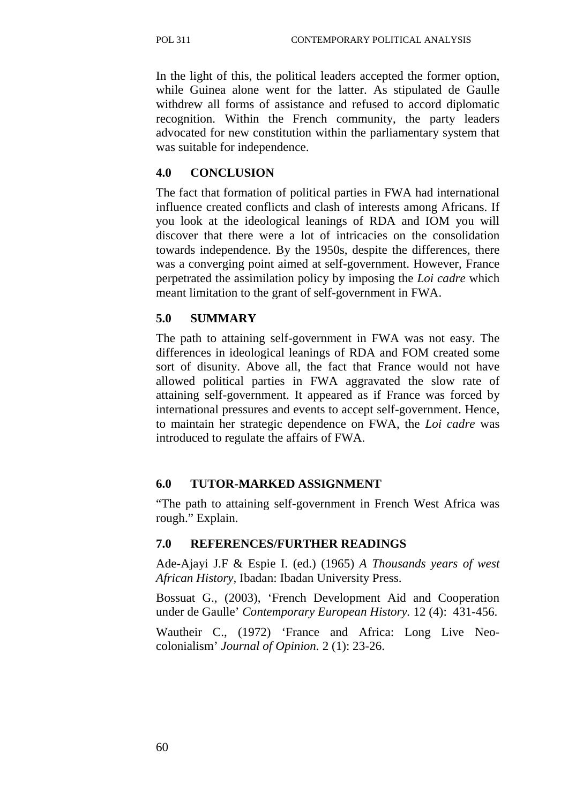In the light of this, the political leaders accepted the former option, while Guinea alone went for the latter. As stipulated de Gaulle withdrew all forms of assistance and refused to accord diplomatic recognition. Within the French community, the party leaders advocated for new constitution within the parliamentary system that was suitable for independence.

## **4.0 CONCLUSION**

The fact that formation of political parties in FWA had international influence created conflicts and clash of interests among Africans. If you look at the ideological leanings of RDA and IOM you will discover that there were a lot of intricacies on the consolidation towards independence. By the 1950s, despite the differences, there was a converging point aimed at self-government. However, France perpetrated the assimilation policy by imposing the *Loi cadre* which meant limitation to the grant of self-government in FWA.

## **5.0 SUMMARY**

The path to attaining self-government in FWA was not easy. The differences in ideological leanings of RDA and FOM created some sort of disunity. Above all, the fact that France would not have allowed political parties in FWA aggravated the slow rate of attaining self-government. It appeared as if France was forced by international pressures and events to accept self-government. Hence, to maintain her strategic dependence on FWA, the *Loi cadre* was introduced to regulate the affairs of FWA.

## **6.0 TUTOR-MARKED ASSIGNMENT**

"The path to attaining self-government in French West Africa was rough." Explain.

## **7.0 REFERENCES/FURTHER READINGS**

Ade-Ajayi J.F & Espie I. (ed.) (1965) *A Thousands years of west African History,* Ibadan: Ibadan University Press.

Bossuat G., (2003), 'French Development Aid and Cooperation under de Gaulle' *Contemporary European History.* 12 (4): 431-456.

Wautheir C., (1972) 'France and Africa: Long Live Neocolonialism' *Journal of Opinion.* 2 (1): 23-26.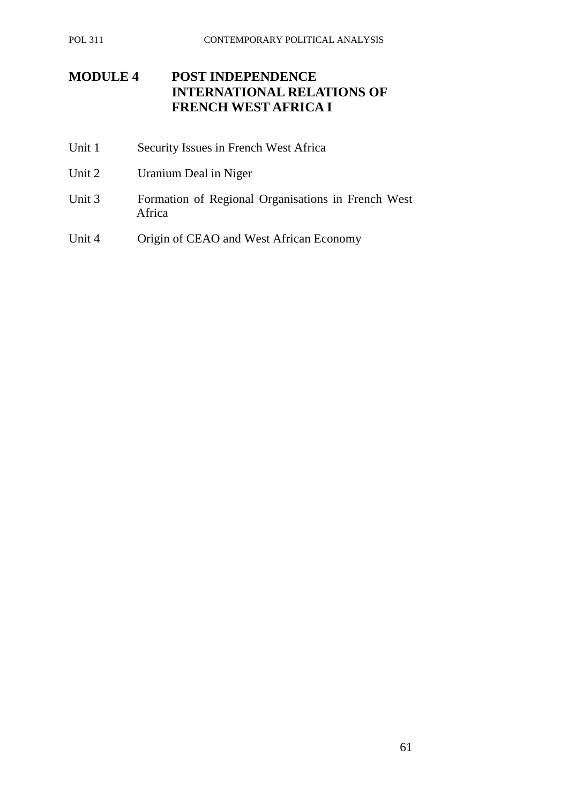# **MODULE 4 POST INDEPENDENCE INTERNATIONAL RELATIONS OF FRENCH WEST AFRICA I**

- Unit 1 Security Issues in French West Africa
- Unit 2 Uranium Deal in Niger
- Unit 3 Formation of Regional Organisations in French West Africa
- Unit 4 Origin of CEAO and West African Economy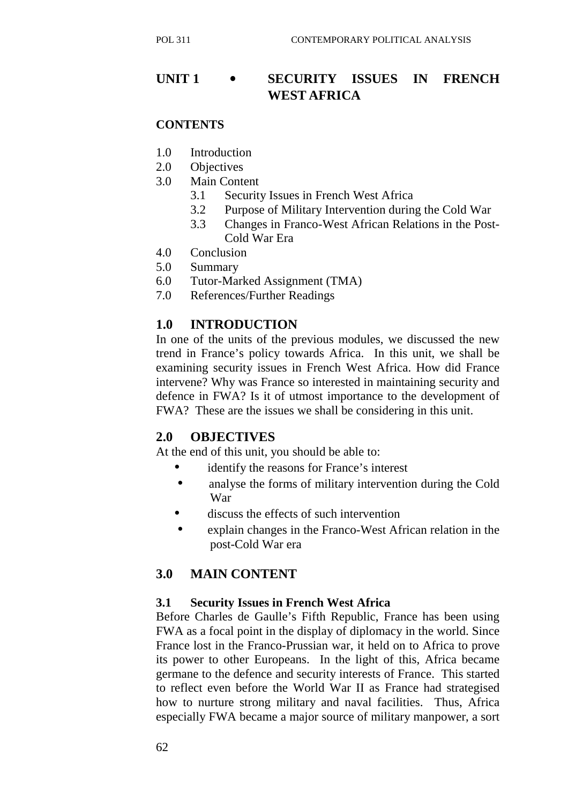# **UNIT 1** • **SECURITY ISSUES IN FRENCH WEST AFRICA**

#### **CONTENTS**

- 1.0 Introduction
- 2.0 Objectives
- 3.0 Main Content
	- 3.1 Security Issues in French West Africa
	- 3.2 Purpose of Military Intervention during the Cold War
	- 3.3 Changes in Franco-West African Relations in the Post-Cold War Era
- 4.0 Conclusion
- 5.0 Summary
- 6.0 Tutor-Marked Assignment (TMA)
- 7.0 References/Further Readings

# **1.0 INTRODUCTION**

In one of the units of the previous modules, we discussed the new trend in France's policy towards Africa. In this unit, we shall be examining security issues in French West Africa. How did France intervene? Why was France so interested in maintaining security and defence in FWA? Is it of utmost importance to the development of FWA? These are the issues we shall be considering in this unit.

## **2.0 OBJECTIVES**

At the end of this unit, you should be able to:

- identify the reasons for France's interest
- analyse the forms of military intervention during the Cold War
- discuss the effects of such intervention
- explain changes in the Franco-West African relation in the post-Cold War era

## **3.0 MAIN CONTENT**

#### **3.1 Security Issues in French West Africa**

Before Charles de Gaulle's Fifth Republic, France has been using FWA as a focal point in the display of diplomacy in the world. Since France lost in the Franco-Prussian war, it held on to Africa to prove its power to other Europeans. In the light of this, Africa became germane to the defence and security interests of France. This started to reflect even before the World War II as France had strategised how to nurture strong military and naval facilities. Thus, Africa especially FWA became a major source of military manpower, a sort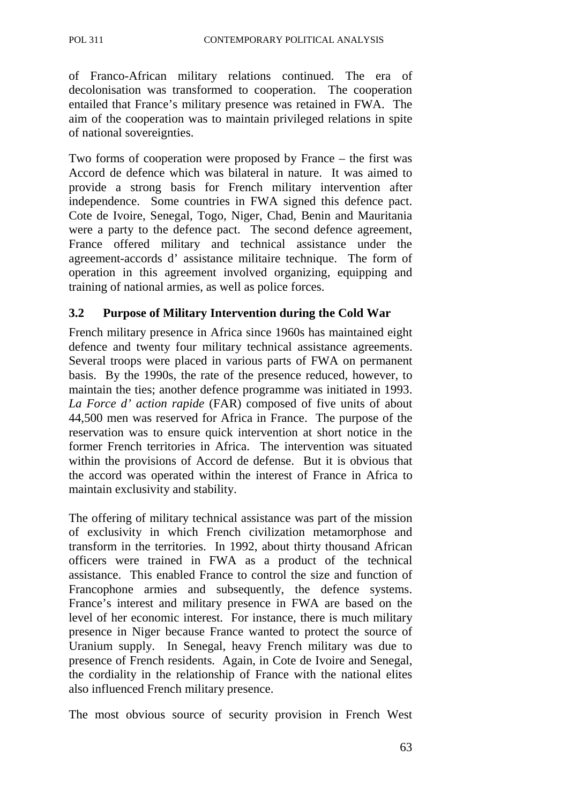of Franco-African military relations continued. The era of decolonisation was transformed to cooperation. The cooperation entailed that France's military presence was retained in FWA. The aim of the cooperation was to maintain privileged relations in spite of national sovereignties.

Two forms of cooperation were proposed by France – the first was Accord de defence which was bilateral in nature. It was aimed to provide a strong basis for French military intervention after independence. Some countries in FWA signed this defence pact. Cote de Ivoire, Senegal, Togo, Niger, Chad, Benin and Mauritania were a party to the defence pact. The second defence agreement, France offered military and technical assistance under the agreement-accords d' assistance militaire technique. The form of operation in this agreement involved organizing, equipping and training of national armies, as well as police forces.

## **3.2 Purpose of Military Intervention during the Cold War**

French military presence in Africa since 1960s has maintained eight defence and twenty four military technical assistance agreements. Several troops were placed in various parts of FWA on permanent basis. By the 1990s, the rate of the presence reduced, however, to maintain the ties; another defence programme was initiated in 1993. *La Force d' action rapide* (FAR) composed of five units of about 44,500 men was reserved for Africa in France. The purpose of the reservation was to ensure quick intervention at short notice in the former French territories in Africa. The intervention was situated within the provisions of Accord de defense. But it is obvious that the accord was operated within the interest of France in Africa to maintain exclusivity and stability.

The offering of military technical assistance was part of the mission of exclusivity in which French civilization metamorphose and transform in the territories. In 1992, about thirty thousand African officers were trained in FWA as a product of the technical assistance. This enabled France to control the size and function of Francophone armies and subsequently, the defence systems. France's interest and military presence in FWA are based on the level of her economic interest. For instance, there is much military presence in Niger because France wanted to protect the source of Uranium supply. In Senegal, heavy French military was due to presence of French residents. Again, in Cote de Ivoire and Senegal, the cordiality in the relationship of France with the national elites also influenced French military presence.

The most obvious source of security provision in French West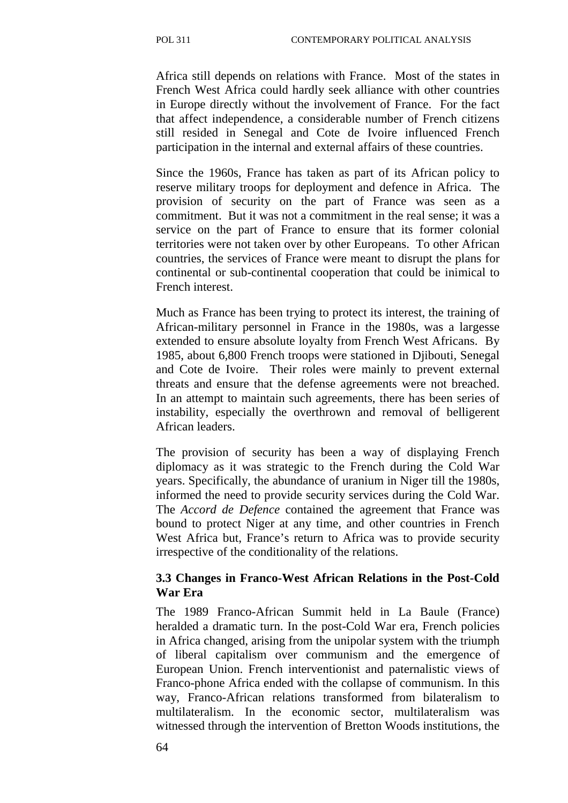Africa still depends on relations with France. Most of the states in French West Africa could hardly seek alliance with other countries in Europe directly without the involvement of France. For the fact that affect independence, a considerable number of French citizens still resided in Senegal and Cote de Ivoire influenced French participation in the internal and external affairs of these countries.

Since the 1960s, France has taken as part of its African policy to reserve military troops for deployment and defence in Africa. The provision of security on the part of France was seen as a commitment. But it was not a commitment in the real sense; it was a service on the part of France to ensure that its former colonial territories were not taken over by other Europeans. To other African countries, the services of France were meant to disrupt the plans for continental or sub-continental cooperation that could be inimical to French interest.

Much as France has been trying to protect its interest, the training of African-military personnel in France in the 1980s, was a largesse extended to ensure absolute loyalty from French West Africans. By 1985, about 6,800 French troops were stationed in Djibouti, Senegal and Cote de Ivoire. Their roles were mainly to prevent external threats and ensure that the defense agreements were not breached. In an attempt to maintain such agreements, there has been series of instability, especially the overthrown and removal of belligerent African leaders.

The provision of security has been a way of displaying French diplomacy as it was strategic to the French during the Cold War years. Specifically, the abundance of uranium in Niger till the 1980s, informed the need to provide security services during the Cold War. The *Accord de Defence* contained the agreement that France was bound to protect Niger at any time, and other countries in French West Africa but, France's return to Africa was to provide security irrespective of the conditionality of the relations.

#### **3.3 Changes in Franco-West African Relations in the Post-Cold War Era**

The 1989 Franco-African Summit held in La Baule (France) heralded a dramatic turn. In the post-Cold War era, French policies in Africa changed, arising from the unipolar system with the triumph of liberal capitalism over communism and the emergence of European Union. French interventionist and paternalistic views of Franco-phone Africa ended with the collapse of communism. In this way, Franco-African relations transformed from bilateralism to multilateralism. In the economic sector, multilateralism was witnessed through the intervention of Bretton Woods institutions, the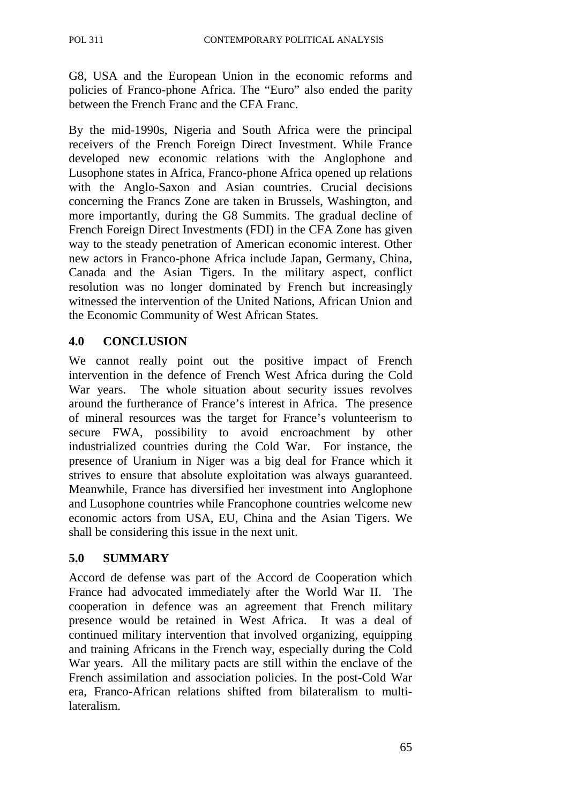G8, USA and the European Union in the economic reforms and policies of Franco-phone Africa. The "Euro" also ended the parity between the French Franc and the CFA Franc.

By the mid-1990s, Nigeria and South Africa were the principal receivers of the French Foreign Direct Investment. While France developed new economic relations with the Anglophone and Lusophone states in Africa, Franco-phone Africa opened up relations with the Anglo-Saxon and Asian countries. Crucial decisions concerning the Francs Zone are taken in Brussels, Washington, and more importantly, during the G8 Summits. The gradual decline of French Foreign Direct Investments (FDI) in the CFA Zone has given way to the steady penetration of American economic interest. Other new actors in Franco-phone Africa include Japan, Germany, China, Canada and the Asian Tigers. In the military aspect, conflict resolution was no longer dominated by French but increasingly witnessed the intervention of the United Nations, African Union and the Economic Community of West African States.

#### **4.0 CONCLUSION**

We cannot really point out the positive impact of French intervention in the defence of French West Africa during the Cold War years. The whole situation about security issues revolves around the furtherance of France's interest in Africa. The presence of mineral resources was the target for France's volunteerism to secure FWA, possibility to avoid encroachment by other industrialized countries during the Cold War. For instance, the presence of Uranium in Niger was a big deal for France which it strives to ensure that absolute exploitation was always guaranteed. Meanwhile, France has diversified her investment into Anglophone and Lusophone countries while Francophone countries welcome new economic actors from USA, EU, China and the Asian Tigers. We shall be considering this issue in the next unit.

## **5.0 SUMMARY**

Accord de defense was part of the Accord de Cooperation which France had advocated immediately after the World War II. The cooperation in defence was an agreement that French military presence would be retained in West Africa. It was a deal of continued military intervention that involved organizing, equipping and training Africans in the French way, especially during the Cold War years. All the military pacts are still within the enclave of the French assimilation and association policies. In the post-Cold War era, Franco-African relations shifted from bilateralism to multilateralism.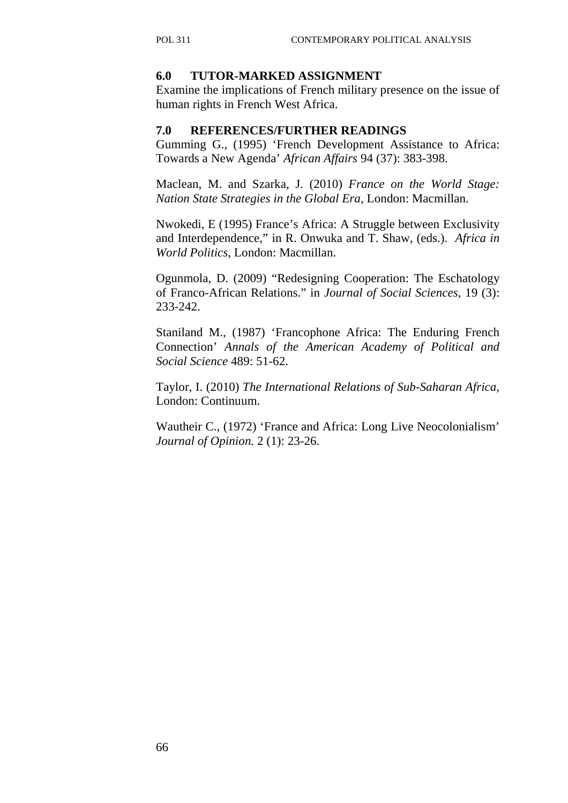#### **6.0 TUTOR-MARKED ASSIGNMENT**

Examine the implications of French military presence on the issue of human rights in French West Africa.

#### **7.0 REFERENCES/FURTHER READINGS**

Gumming G., (1995) 'French Development Assistance to Africa: Towards a New Agenda' *African Affairs* 94 (37): 383-398.

Maclean, M. and Szarka, J. (2010) *France on the World Stage: Nation State Strategies in the Global Era*, London: Macmillan.

Nwokedi, E (1995) France's Africa: A Struggle between Exclusivity and Interdependence," in R. Onwuka and T. Shaw, (eds.). *Africa in World Politics*, London: Macmillan.

Ogunmola, D. (2009) "Redesigning Cooperation: The Eschatology of Franco-African Relations." in *Journal of Social Sciences*, 19 (3): 233-242.

Staniland M., (1987) 'Francophone Africa: The Enduring French Connection' *Annals of the American Academy of Political and Social Science* 489: 51-62.

Taylor, I. (2010) *The International Relations of Sub-Saharan Africa*, London: Continuum.

Wautheir C., (1972) 'France and Africa: Long Live Neocolonialism' *Journal of Opinion.* 2 (1): 23-26.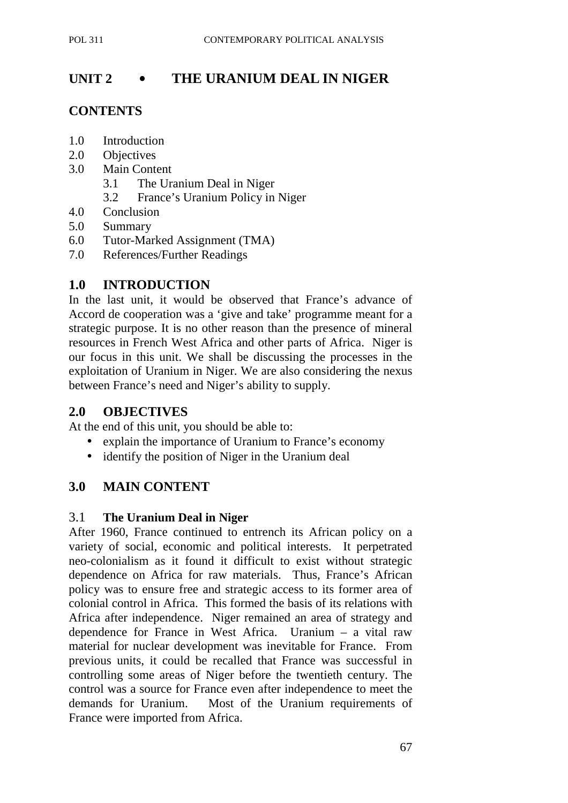# **UNIT 2** • **THE URANIUM DEAL IN NIGER**

# **CONTENTS**

- 1.0 Introduction
- 2.0 Objectives
- 3.0 Main Content
	- 3.1 The Uranium Deal in Niger
	- 3.2 France's Uranium Policy in Niger
- 4.0 Conclusion
- 5.0 Summary
- 6.0 Tutor-Marked Assignment (TMA)
- 7.0 References/Further Readings

# **1.0 INTRODUCTION**

In the last unit, it would be observed that France's advance of Accord de cooperation was a 'give and take' programme meant for a strategic purpose. It is no other reason than the presence of mineral resources in French West Africa and other parts of Africa. Niger is our focus in this unit. We shall be discussing the processes in the exploitation of Uranium in Niger. We are also considering the nexus between France's need and Niger's ability to supply.

## **2.0 OBJECTIVES**

At the end of this unit, you should be able to:

- explain the importance of Uranium to France's economy
- identify the position of Niger in the Uranium deal

## **3.0 MAIN CONTENT**

### 3.1 **The Uranium Deal in Niger**

After 1960, France continued to entrench its African policy on a variety of social, economic and political interests. It perpetrated neo-colonialism as it found it difficult to exist without strategic dependence on Africa for raw materials. Thus, France's African policy was to ensure free and strategic access to its former area of colonial control in Africa. This formed the basis of its relations with Africa after independence. Niger remained an area of strategy and dependence for France in West Africa. Uranium – a vital raw material for nuclear development was inevitable for France. From previous units, it could be recalled that France was successful in controlling some areas of Niger before the twentieth century. The control was a source for France even after independence to meet the demands for Uranium. Most of the Uranium requirements of France were imported from Africa.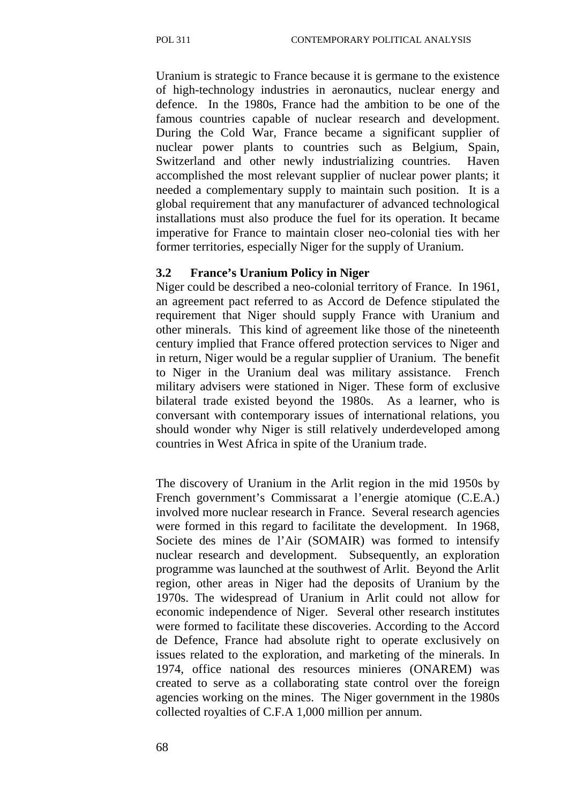Uranium is strategic to France because it is germane to the existence of high-technology industries in aeronautics, nuclear energy and defence. In the 1980s, France had the ambition to be one of the famous countries capable of nuclear research and development. During the Cold War, France became a significant supplier of nuclear power plants to countries such as Belgium, Spain, Switzerland and other newly industrializing countries. Haven accomplished the most relevant supplier of nuclear power plants; it needed a complementary supply to maintain such position. It is a global requirement that any manufacturer of advanced technological installations must also produce the fuel for its operation. It became imperative for France to maintain closer neo-colonial ties with her former territories, especially Niger for the supply of Uranium.

#### **3.2 France's Uranium Policy in Niger**

Niger could be described a neo-colonial territory of France. In 1961, an agreement pact referred to as Accord de Defence stipulated the requirement that Niger should supply France with Uranium and other minerals. This kind of agreement like those of the nineteenth century implied that France offered protection services to Niger and in return, Niger would be a regular supplier of Uranium. The benefit to Niger in the Uranium deal was military assistance. French military advisers were stationed in Niger. These form of exclusive bilateral trade existed beyond the 1980s. As a learner, who is conversant with contemporary issues of international relations, you should wonder why Niger is still relatively underdeveloped among countries in West Africa in spite of the Uranium trade.

The discovery of Uranium in the Arlit region in the mid 1950s by French government's Commissarat a l'energie atomique (C.E.A.) involved more nuclear research in France. Several research agencies were formed in this regard to facilitate the development. In 1968, Societe des mines de l'Air (SOMAIR) was formed to intensify nuclear research and development. Subsequently, an exploration programme was launched at the southwest of Arlit. Beyond the Arlit region, other areas in Niger had the deposits of Uranium by the 1970s. The widespread of Uranium in Arlit could not allow for economic independence of Niger. Several other research institutes were formed to facilitate these discoveries. According to the Accord de Defence, France had absolute right to operate exclusively on issues related to the exploration, and marketing of the minerals. In 1974, office national des resources minieres (ONAREM) was created to serve as a collaborating state control over the foreign agencies working on the mines. The Niger government in the 1980s collected royalties of C.F.A 1,000 million per annum.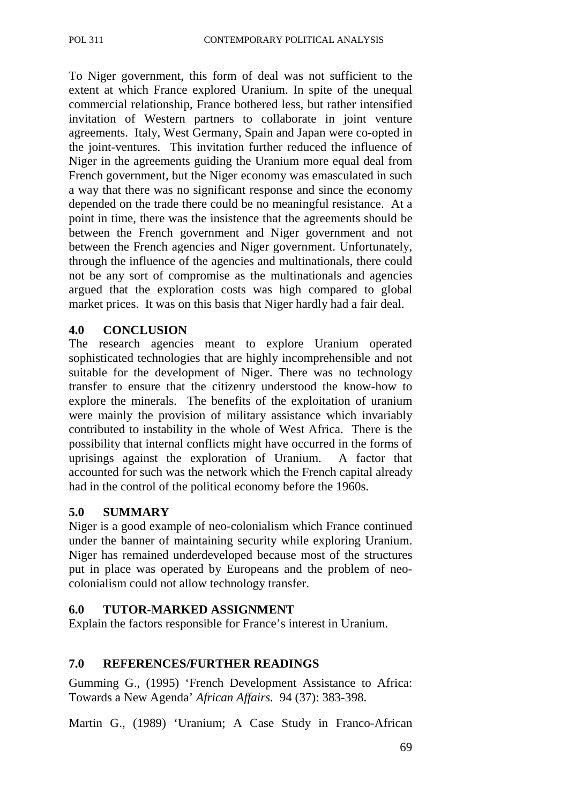To Niger government, this form of deal was not sufficient to the extent at which France explored Uranium. In spite of the unequal commercial relationship, France bothered less, but rather intensified invitation of Western partners to collaborate in joint venture agreements. Italy, West Germany, Spain and Japan were co-opted in the joint-ventures. This invitation further reduced the influence of Niger in the agreements guiding the Uranium more equal deal from French government, but the Niger economy was emasculated in such a way that there was no significant response and since the economy depended on the trade there could be no meaningful resistance. At a point in time, there was the insistence that the agreements should be between the French government and Niger government and not between the French agencies and Niger government. Unfortunately, through the influence of the agencies and multinationals, there could not be any sort of compromise as the multinationals and agencies argued that the exploration costs was high compared to global market prices. It was on this basis that Niger hardly had a fair deal.

#### **4.0 CONCLUSION**

The research agencies meant to explore Uranium operated sophisticated technologies that are highly incomprehensible and not suitable for the development of Niger. There was no technology transfer to ensure that the citizenry understood the know-how to explore the minerals. The benefits of the exploitation of uranium were mainly the provision of military assistance which invariably contributed to instability in the whole of West Africa. There is the possibility that internal conflicts might have occurred in the forms of uprisings against the exploration of Uranium. A factor that accounted for such was the network which the French capital already had in the control of the political economy before the 1960s.

#### **5.0 SUMMARY**

Niger is a good example of neo-colonialism which France continued under the banner of maintaining security while exploring Uranium. Niger has remained underdeveloped because most of the structures put in place was operated by Europeans and the problem of neocolonialism could not allow technology transfer.

#### **6.0 TUTOR-MARKED ASSIGNMENT**

Explain the factors responsible for France's interest in Uranium.

### **7.0 REFERENCES/FURTHER READINGS**

Gumming G., (1995) 'French Development Assistance to Africa: Towards a New Agenda' *African Affairs.* 94 (37): 383-398.

Martin G., (1989) 'Uranium; A Case Study in Franco-African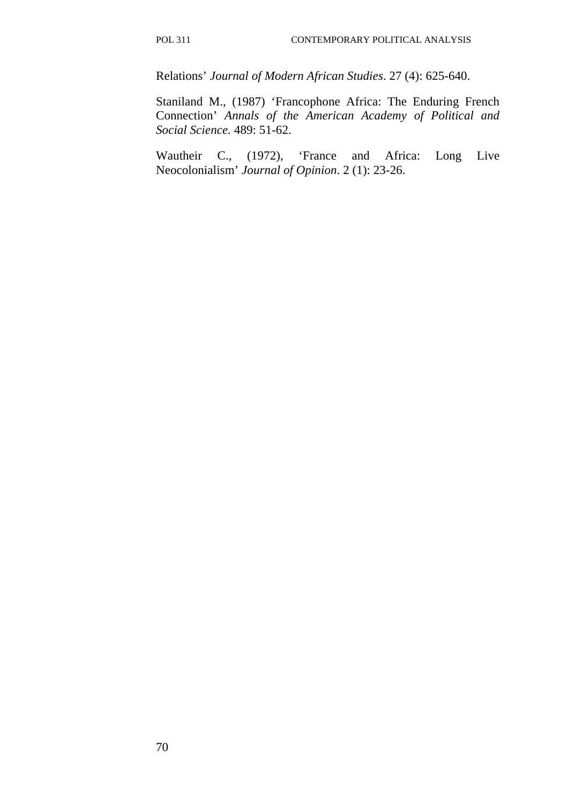Relations' *Journal of Modern African Studies*. 27 (4): 625-640.

Staniland M., (1987) 'Francophone Africa: The Enduring French Connection' *Annals of the American Academy of Political and Social Science.* 489: 51-62.

Wautheir C., (1972), 'France and Africa: Long Live Neocolonialism' *Journal of Opinion*. 2 (1): 23-26.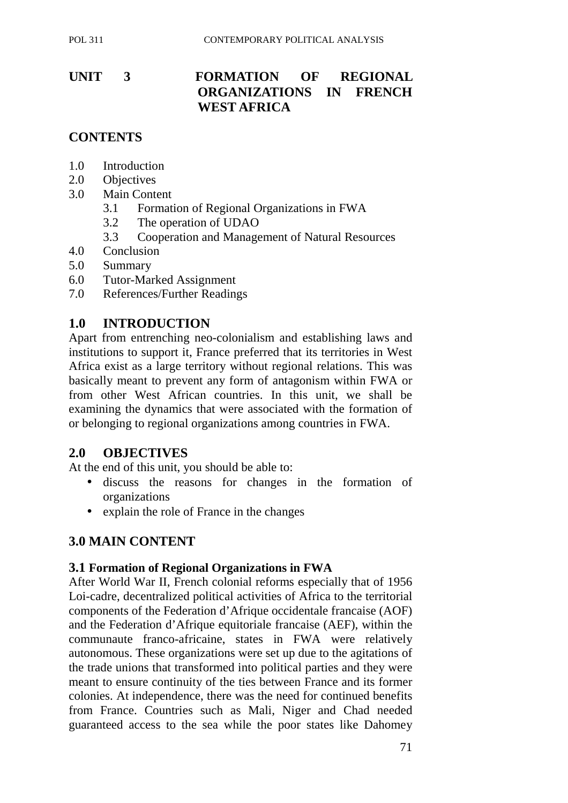## **UNIT 3 FORMATION OF REGIONAL ORGANIZATIONS IN FRENCH WEST AFRICA**

## **CONTENTS**

- 1.0 Introduction
- 2.0 Objectives
- 3.0 Main Content
	- 3.1 Formation of Regional Organizations in FWA
	- 3.2 The operation of UDAO
	- 3.3 Cooperation and Management of Natural Resources
- 4.0 Conclusion
- 5.0 Summary
- 6.0 Tutor-Marked Assignment
- 7.0 References/Further Readings

### **1.0 INTRODUCTION**

Apart from entrenching neo-colonialism and establishing laws and institutions to support it, France preferred that its territories in West Africa exist as a large territory without regional relations. This was basically meant to prevent any form of antagonism within FWA or from other West African countries. In this unit, we shall be examining the dynamics that were associated with the formation of or belonging to regional organizations among countries in FWA.

#### **2.0 OBJECTIVES**

At the end of this unit, you should be able to:

- discuss the reasons for changes in the formation of organizations
- explain the role of France in the changes

### **3.0 MAIN CONTENT**

#### **3.1 Formation of Regional Organizations in FWA**

After World War II, French colonial reforms especially that of 1956 Loi-cadre, decentralized political activities of Africa to the territorial components of the Federation d'Afrique occidentale francaise (AOF) and the Federation d'Afrique equitoriale francaise (AEF), within the communaute franco-africaine, states in FWA were relatively autonomous. These organizations were set up due to the agitations of the trade unions that transformed into political parties and they were meant to ensure continuity of the ties between France and its former colonies. At independence, there was the need for continued benefits from France. Countries such as Mali, Niger and Chad needed guaranteed access to the sea while the poor states like Dahomey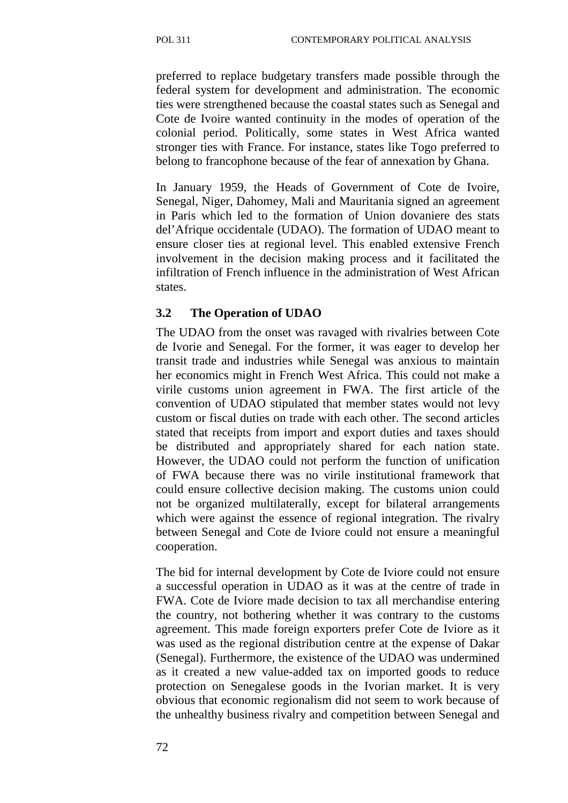preferred to replace budgetary transfers made possible through the federal system for development and administration. The economic ties were strengthened because the coastal states such as Senegal and Cote de Ivoire wanted continuity in the modes of operation of the colonial period. Politically, some states in West Africa wanted stronger ties with France. For instance, states like Togo preferred to belong to francophone because of the fear of annexation by Ghana.

In January 1959, the Heads of Government of Cote de Ivoire, Senegal, Niger, Dahomey, Mali and Mauritania signed an agreement in Paris which led to the formation of Union dovaniere des stats del'Afrique occidentale (UDAO). The formation of UDAO meant to ensure closer ties at regional level. This enabled extensive French involvement in the decision making process and it facilitated the infiltration of French influence in the administration of West African states.

### **3.2 The Operation of UDAO**

The UDAO from the onset was ravaged with rivalries between Cote de Ivorie and Senegal. For the former, it was eager to develop her transit trade and industries while Senegal was anxious to maintain her economics might in French West Africa. This could not make a virile customs union agreement in FWA. The first article of the convention of UDAO stipulated that member states would not levy custom or fiscal duties on trade with each other. The second articles stated that receipts from import and export duties and taxes should be distributed and appropriately shared for each nation state. However, the UDAO could not perform the function of unification of FWA because there was no virile institutional framework that could ensure collective decision making. The customs union could not be organized multilaterally, except for bilateral arrangements which were against the essence of regional integration. The rivalry between Senegal and Cote de Iviore could not ensure a meaningful cooperation.

The bid for internal development by Cote de Iviore could not ensure a successful operation in UDAO as it was at the centre of trade in FWA. Cote de Iviore made decision to tax all merchandise entering the country, not bothering whether it was contrary to the customs agreement. This made foreign exporters prefer Cote de Iviore as it was used as the regional distribution centre at the expense of Dakar (Senegal). Furthermore, the existence of the UDAO was undermined as it created a new value-added tax on imported goods to reduce protection on Senegalese goods in the Ivorian market. It is very obvious that economic regionalism did not seem to work because of the unhealthy business rivalry and competition between Senegal and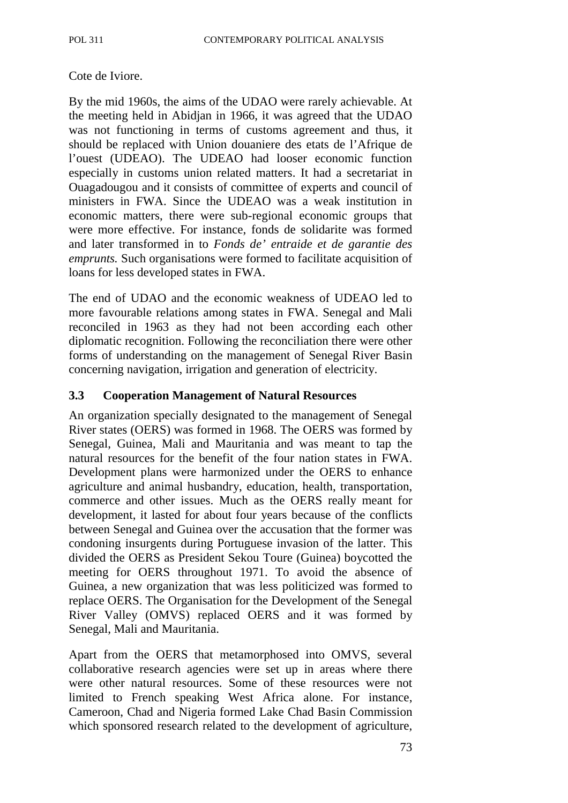#### Cote de Iviore.

By the mid 1960s, the aims of the UDAO were rarely achievable. At the meeting held in Abidjan in 1966, it was agreed that the UDAO was not functioning in terms of customs agreement and thus, it should be replaced with Union douaniere des etats de l'Afrique de l'ouest (UDEAO). The UDEAO had looser economic function especially in customs union related matters. It had a secretariat in Ouagadougou and it consists of committee of experts and council of ministers in FWA. Since the UDEAO was a weak institution in economic matters, there were sub-regional economic groups that were more effective. For instance, fonds de solidarite was formed and later transformed in to *Fonds de' entraide et de garantie des emprunts.* Such organisations were formed to facilitate acquisition of loans for less developed states in FWA.

The end of UDAO and the economic weakness of UDEAO led to more favourable relations among states in FWA. Senegal and Mali reconciled in 1963 as they had not been according each other diplomatic recognition. Following the reconciliation there were other forms of understanding on the management of Senegal River Basin concerning navigation, irrigation and generation of electricity.

#### **3.3 Cooperation Management of Natural Resources**

An organization specially designated to the management of Senegal River states (OERS) was formed in 1968. The OERS was formed by Senegal, Guinea, Mali and Mauritania and was meant to tap the natural resources for the benefit of the four nation states in FWA. Development plans were harmonized under the OERS to enhance agriculture and animal husbandry, education, health, transportation, commerce and other issues. Much as the OERS really meant for development, it lasted for about four years because of the conflicts between Senegal and Guinea over the accusation that the former was condoning insurgents during Portuguese invasion of the latter. This divided the OERS as President Sekou Toure (Guinea) boycotted the meeting for OERS throughout 1971. To avoid the absence of Guinea, a new organization that was less politicized was formed to replace OERS. The Organisation for the Development of the Senegal River Valley (OMVS) replaced OERS and it was formed by Senegal, Mali and Mauritania.

Apart from the OERS that metamorphosed into OMVS, several collaborative research agencies were set up in areas where there were other natural resources. Some of these resources were not limited to French speaking West Africa alone. For instance, Cameroon, Chad and Nigeria formed Lake Chad Basin Commission which sponsored research related to the development of agriculture,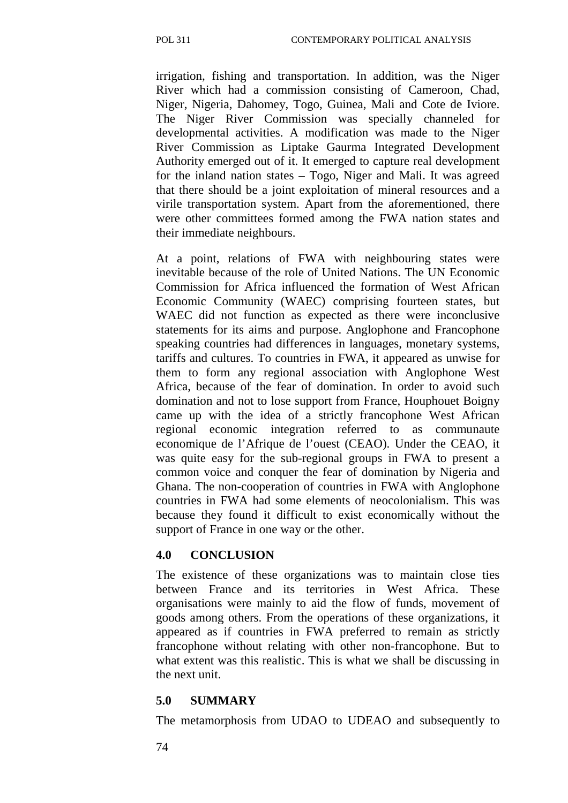irrigation, fishing and transportation. In addition, was the Niger River which had a commission consisting of Cameroon, Chad, Niger, Nigeria, Dahomey, Togo, Guinea, Mali and Cote de Iviore. The Niger River Commission was specially channeled for developmental activities. A modification was made to the Niger River Commission as Liptake Gaurma Integrated Development Authority emerged out of it. It emerged to capture real development for the inland nation states – Togo, Niger and Mali. It was agreed that there should be a joint exploitation of mineral resources and a virile transportation system. Apart from the aforementioned, there were other committees formed among the FWA nation states and their immediate neighbours.

At a point, relations of FWA with neighbouring states were inevitable because of the role of United Nations. The UN Economic Commission for Africa influenced the formation of West African Economic Community (WAEC) comprising fourteen states, but WAEC did not function as expected as there were inconclusive statements for its aims and purpose. Anglophone and Francophone speaking countries had differences in languages, monetary systems, tariffs and cultures. To countries in FWA, it appeared as unwise for them to form any regional association with Anglophone West Africa, because of the fear of domination. In order to avoid such domination and not to lose support from France, Houphouet Boigny came up with the idea of a strictly francophone West African regional economic integration referred to as communaute economique de l'Afrique de l'ouest (CEAO). Under the CEAO, it was quite easy for the sub-regional groups in FWA to present a common voice and conquer the fear of domination by Nigeria and Ghana. The non-cooperation of countries in FWA with Anglophone countries in FWA had some elements of neocolonialism. This was because they found it difficult to exist economically without the support of France in one way or the other.

#### **4.0 CONCLUSION**

The existence of these organizations was to maintain close ties between France and its territories in West Africa. These organisations were mainly to aid the flow of funds, movement of goods among others. From the operations of these organizations, it appeared as if countries in FWA preferred to remain as strictly francophone without relating with other non-francophone. But to what extent was this realistic. This is what we shall be discussing in the next unit.

### **5.0 SUMMARY**

The metamorphosis from UDAO to UDEAO and subsequently to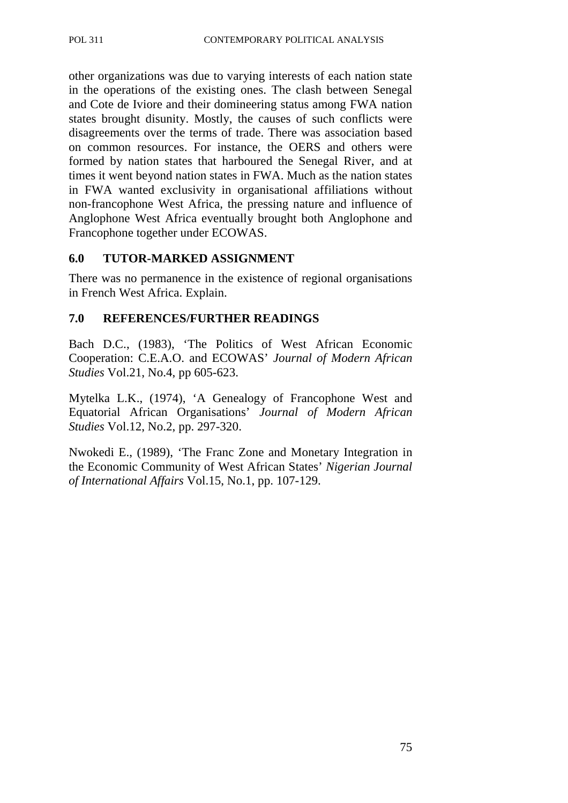other organizations was due to varying interests of each nation state in the operations of the existing ones. The clash between Senegal and Cote de Iviore and their domineering status among FWA nation states brought disunity. Mostly, the causes of such conflicts were disagreements over the terms of trade. There was association based on common resources. For instance, the OERS and others were formed by nation states that harboured the Senegal River, and at times it went beyond nation states in FWA. Much as the nation states in FWA wanted exclusivity in organisational affiliations without non-francophone West Africa, the pressing nature and influence of Anglophone West Africa eventually brought both Anglophone and Francophone together under ECOWAS.

### **6.0 TUTOR-MARKED ASSIGNMENT**

There was no permanence in the existence of regional organisations in French West Africa. Explain.

#### **7.0 REFERENCES/FURTHER READINGS**

Bach D.C., (1983), 'The Politics of West African Economic Cooperation: C.E.A.O. and ECOWAS' *Journal of Modern African Studies* Vol.21, No.4, pp 605-623.

Mytelka L.K., (1974), 'A Genealogy of Francophone West and Equatorial African Organisations' *Journal of Modern African Studies* Vol.12, No.2, pp. 297-320.

Nwokedi E., (1989), 'The Franc Zone and Monetary Integration in the Economic Community of West African States' *Nigerian Journal of International Affairs* Vol.15, No.1, pp. 107-129.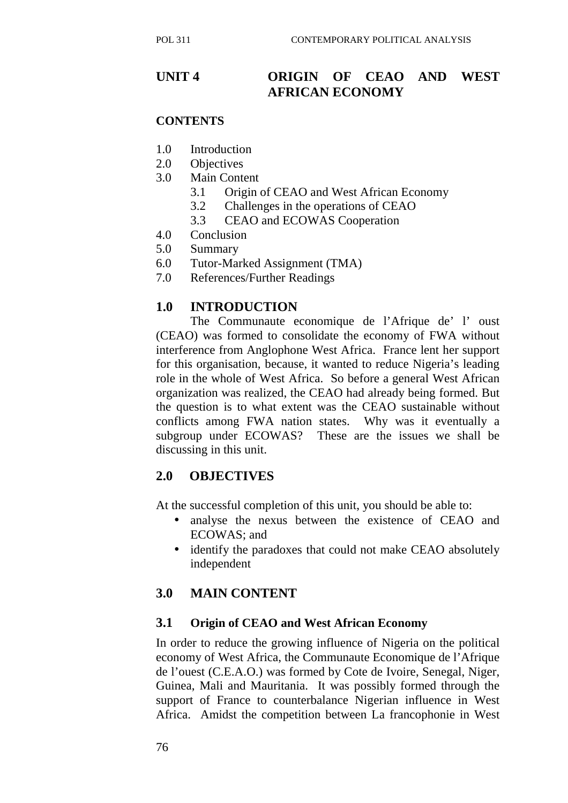## **UNIT 4 ORIGIN OF CEAO AND WEST AFRICAN ECONOMY**

### **CONTENTS**

- 1.0 Introduction
- 2.0 Objectives
- 3.0 Main Content
	- 3.1 Origin of CEAO and West African Economy
	- 3.2 Challenges in the operations of CEAO
	- 3.3 CEAO and ECOWAS Cooperation
- 4.0 Conclusion
- 5.0 Summary
- 6.0 Tutor-Marked Assignment (TMA)
- 7.0 References/Further Readings

### **1.0 INTRODUCTION**

The Communaute economique de l'Afrique de' l' oust (CEAO) was formed to consolidate the economy of FWA without interference from Anglophone West Africa. France lent her support for this organisation, because, it wanted to reduce Nigeria's leading role in the whole of West Africa. So before a general West African organization was realized, the CEAO had already being formed. But the question is to what extent was the CEAO sustainable without conflicts among FWA nation states. Why was it eventually a subgroup under ECOWAS? These are the issues we shall be discussing in this unit.

## **2.0 OBJECTIVES**

At the successful completion of this unit, you should be able to:

- analyse the nexus between the existence of CEAO and ECOWAS; and
- identify the paradoxes that could not make CEAO absolutely independent

### **3.0 MAIN CONTENT**

### **3.1 Origin of CEAO and West African Economy**

In order to reduce the growing influence of Nigeria on the political economy of West Africa, the Communaute Economique de l'Afrique de l'ouest (C.E.A.O.) was formed by Cote de Ivoire, Senegal, Niger, Guinea, Mali and Mauritania. It was possibly formed through the support of France to counterbalance Nigerian influence in West Africa. Amidst the competition between La francophonie in West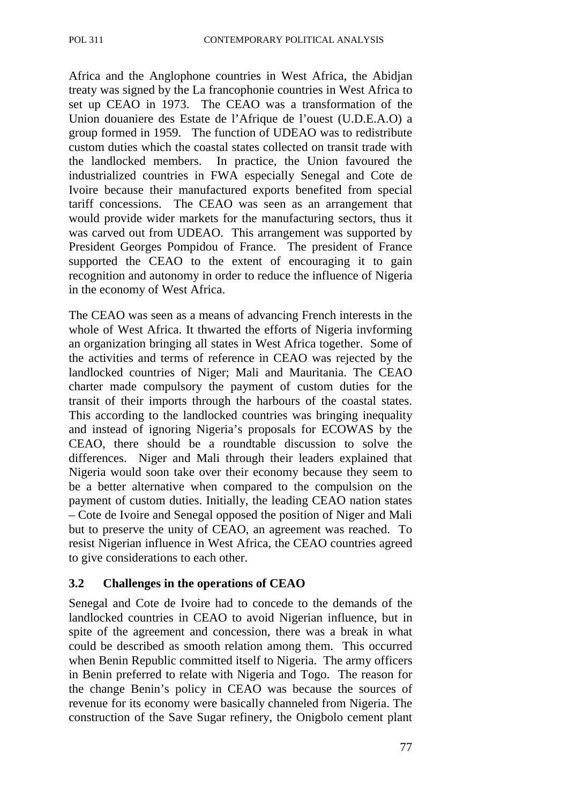Africa and the Anglophone countries in West Africa, the Abidjan treaty was signed by the La francophonie countries in West Africa to set up CEAO in 1973. The CEAO was a transformation of the Union douaniere des Estate de l'Afrique de l'ouest (U.D.E.A.O) a group formed in 1959. The function of UDEAO was to redistribute custom duties which the coastal states collected on transit trade with the landlocked members. In practice, the Union favoured the industrialized countries in FWA especially Senegal and Cote de Ivoire because their manufactured exports benefited from special tariff concessions. The CEAO was seen as an arrangement that would provide wider markets for the manufacturing sectors, thus it was carved out from UDEAO. This arrangement was supported by President Georges Pompidou of France. The president of France supported the CEAO to the extent of encouraging it to gain recognition and autonomy in order to reduce the influence of Nigeria in the economy of West Africa.

The CEAO was seen as a means of advancing French interests in the whole of West Africa. It thwarted the efforts of Nigeria invforming an organization bringing all states in West Africa together. Some of the activities and terms of reference in CEAO was rejected by the landlocked countries of Niger; Mali and Mauritania. The CEAO charter made compulsory the payment of custom duties for the transit of their imports through the harbours of the coastal states. This according to the landlocked countries was bringing inequality and instead of ignoring Nigeria's proposals for ECOWAS by the CEAO, there should be a roundtable discussion to solve the differences. Niger and Mali through their leaders explained that Nigeria would soon take over their economy because they seem to be a better alternative when compared to the compulsion on the payment of custom duties. Initially, the leading CEAO nation states – Cote de Ivoire and Senegal opposed the position of Niger and Mali but to preserve the unity of CEAO, an agreement was reached. To resist Nigerian influence in West Africa, the CEAO countries agreed to give considerations to each other.

### **3.2 Challenges in the operations of CEAO**

Senegal and Cote de Ivoire had to concede to the demands of the landlocked countries in CEAO to avoid Nigerian influence, but in spite of the agreement and concession, there was a break in what could be described as smooth relation among them. This occurred when Benin Republic committed itself to Nigeria. The army officers in Benin preferred to relate with Nigeria and Togo. The reason for the change Benin's policy in CEAO was because the sources of revenue for its economy were basically channeled from Nigeria. The construction of the Save Sugar refinery, the Onigbolo cement plant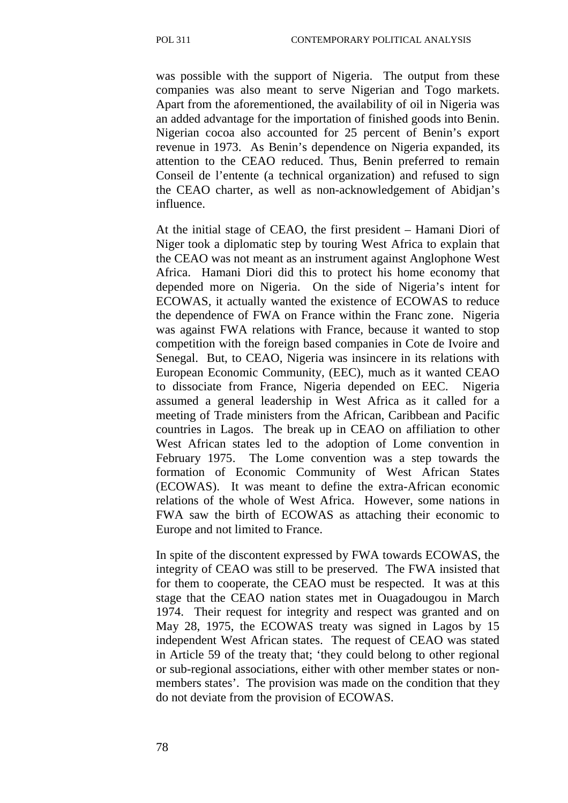was possible with the support of Nigeria. The output from these companies was also meant to serve Nigerian and Togo markets. Apart from the aforementioned, the availability of oil in Nigeria was an added advantage for the importation of finished goods into Benin. Nigerian cocoa also accounted for 25 percent of Benin's export revenue in 1973. As Benin's dependence on Nigeria expanded, its attention to the CEAO reduced. Thus, Benin preferred to remain Conseil de l'entente (a technical organization) and refused to sign the CEAO charter, as well as non-acknowledgement of Abidjan's influence.

At the initial stage of CEAO, the first president – Hamani Diori of Niger took a diplomatic step by touring West Africa to explain that the CEAO was not meant as an instrument against Anglophone West Africa. Hamani Diori did this to protect his home economy that depended more on Nigeria. On the side of Nigeria's intent for ECOWAS, it actually wanted the existence of ECOWAS to reduce the dependence of FWA on France within the Franc zone. Nigeria was against FWA relations with France, because it wanted to stop competition with the foreign based companies in Cote de Ivoire and Senegal. But, to CEAO, Nigeria was insincere in its relations with European Economic Community, (EEC), much as it wanted CEAO to dissociate from France, Nigeria depended on EEC. Nigeria assumed a general leadership in West Africa as it called for a meeting of Trade ministers from the African, Caribbean and Pacific countries in Lagos. The break up in CEAO on affiliation to other West African states led to the adoption of Lome convention in February 1975. The Lome convention was a step towards the formation of Economic Community of West African States (ECOWAS). It was meant to define the extra-African economic relations of the whole of West Africa. However, some nations in FWA saw the birth of ECOWAS as attaching their economic to Europe and not limited to France.

In spite of the discontent expressed by FWA towards ECOWAS, the integrity of CEAO was still to be preserved. The FWA insisted that for them to cooperate, the CEAO must be respected. It was at this stage that the CEAO nation states met in Ouagadougou in March 1974. Their request for integrity and respect was granted and on May 28, 1975, the ECOWAS treaty was signed in Lagos by 15 independent West African states. The request of CEAO was stated in Article 59 of the treaty that; 'they could belong to other regional or sub-regional associations, either with other member states or nonmembers states'. The provision was made on the condition that they do not deviate from the provision of ECOWAS.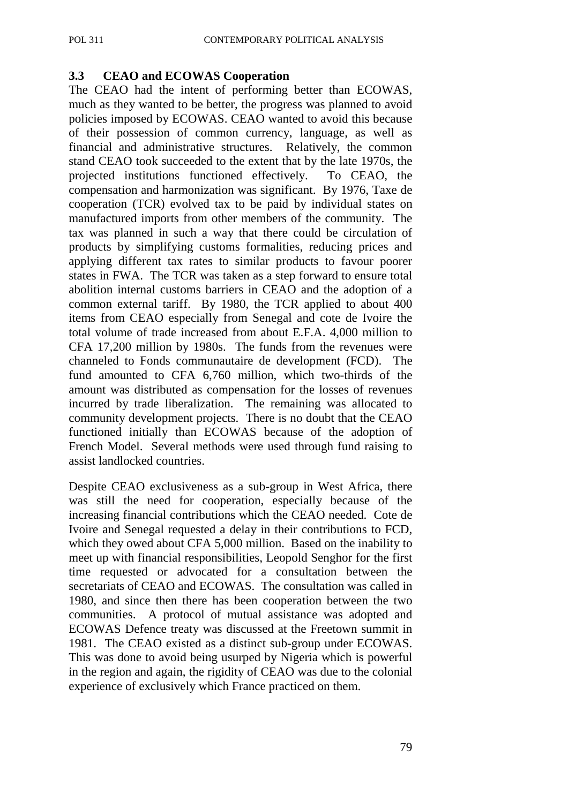### **3.3 CEAO and ECOWAS Cooperation**

The CEAO had the intent of performing better than ECOWAS, much as they wanted to be better, the progress was planned to avoid policies imposed by ECOWAS. CEAO wanted to avoid this because of their possession of common currency, language, as well as financial and administrative structures. Relatively, the common stand CEAO took succeeded to the extent that by the late 1970s, the projected institutions functioned effectively. To CEAO, the compensation and harmonization was significant. By 1976, Taxe de cooperation (TCR) evolved tax to be paid by individual states on manufactured imports from other members of the community. The tax was planned in such a way that there could be circulation of products by simplifying customs formalities, reducing prices and applying different tax rates to similar products to favour poorer states in FWA. The TCR was taken as a step forward to ensure total abolition internal customs barriers in CEAO and the adoption of a common external tariff. By 1980, the TCR applied to about 400 items from CEAO especially from Senegal and cote de Ivoire the total volume of trade increased from about E.F.A. 4,000 million to CFA 17,200 million by 1980s. The funds from the revenues were channeled to Fonds communautaire de development (FCD). The fund amounted to CFA 6,760 million, which two-thirds of the amount was distributed as compensation for the losses of revenues incurred by trade liberalization. The remaining was allocated to community development projects. There is no doubt that the CEAO functioned initially than ECOWAS because of the adoption of French Model. Several methods were used through fund raising to assist landlocked countries.

Despite CEAO exclusiveness as a sub-group in West Africa, there was still the need for cooperation, especially because of the increasing financial contributions which the CEAO needed. Cote de Ivoire and Senegal requested a delay in their contributions to FCD, which they owed about CFA 5,000 million. Based on the inability to meet up with financial responsibilities, Leopold Senghor for the first time requested or advocated for a consultation between the secretariats of CEAO and ECOWAS. The consultation was called in 1980, and since then there has been cooperation between the two communities. A protocol of mutual assistance was adopted and ECOWAS Defence treaty was discussed at the Freetown summit in 1981. The CEAO existed as a distinct sub-group under ECOWAS. This was done to avoid being usurped by Nigeria which is powerful in the region and again, the rigidity of CEAO was due to the colonial experience of exclusively which France practiced on them.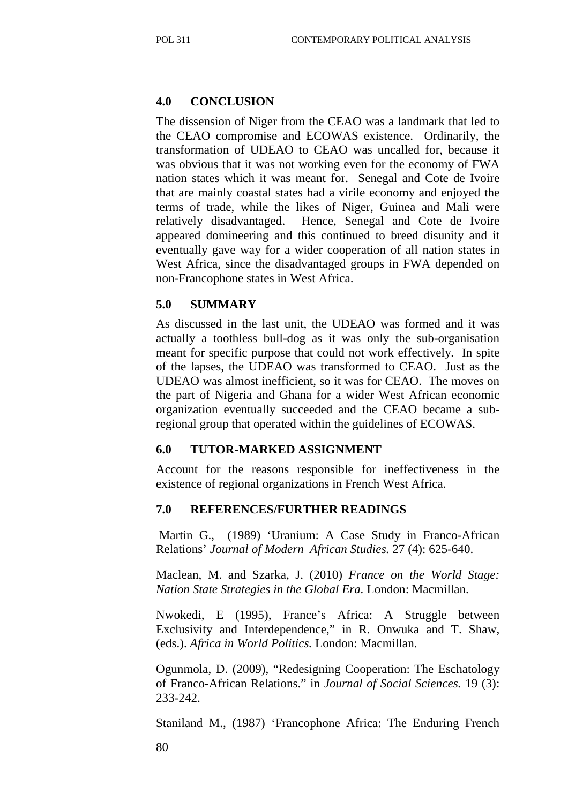### **4.0 CONCLUSION**

The dissension of Niger from the CEAO was a landmark that led to the CEAO compromise and ECOWAS existence. Ordinarily, the transformation of UDEAO to CEAO was uncalled for, because it was obvious that it was not working even for the economy of FWA nation states which it was meant for. Senegal and Cote de Ivoire that are mainly coastal states had a virile economy and enjoyed the terms of trade, while the likes of Niger, Guinea and Mali were relatively disadvantaged. Hence, Senegal and Cote de Ivoire appeared domineering and this continued to breed disunity and it eventually gave way for a wider cooperation of all nation states in West Africa, since the disadvantaged groups in FWA depended on non-Francophone states in West Africa.

### **5.0 SUMMARY**

As discussed in the last unit, the UDEAO was formed and it was actually a toothless bull-dog as it was only the sub-organisation meant for specific purpose that could not work effectively. In spite of the lapses, the UDEAO was transformed to CEAO. Just as the UDEAO was almost inefficient, so it was for CEAO. The moves on the part of Nigeria and Ghana for a wider West African economic organization eventually succeeded and the CEAO became a subregional group that operated within the guidelines of ECOWAS.

#### **6.0 TUTOR-MARKED ASSIGNMENT**

Account for the reasons responsible for ineffectiveness in the existence of regional organizations in French West Africa.

#### **7.0 REFERENCES/FURTHER READINGS**

 Martin G., (1989) 'Uranium: A Case Study in Franco-African Relations' *Journal of Modern African Studies.* 27 (4): 625-640.

Maclean, M. and Szarka, J. (2010) *France on the World Stage: Nation State Strategies in the Global Era.* London: Macmillan.

Nwokedi, E (1995), France's Africa: A Struggle between Exclusivity and Interdependence," in R. Onwuka and T. Shaw, (eds.). *Africa in World Politics.* London: Macmillan.

Ogunmola, D. (2009), "Redesigning Cooperation: The Eschatology of Franco-African Relations." in *Journal of Social Sciences.* 19 (3): 233-242.

Staniland M., (1987) 'Francophone Africa: The Enduring French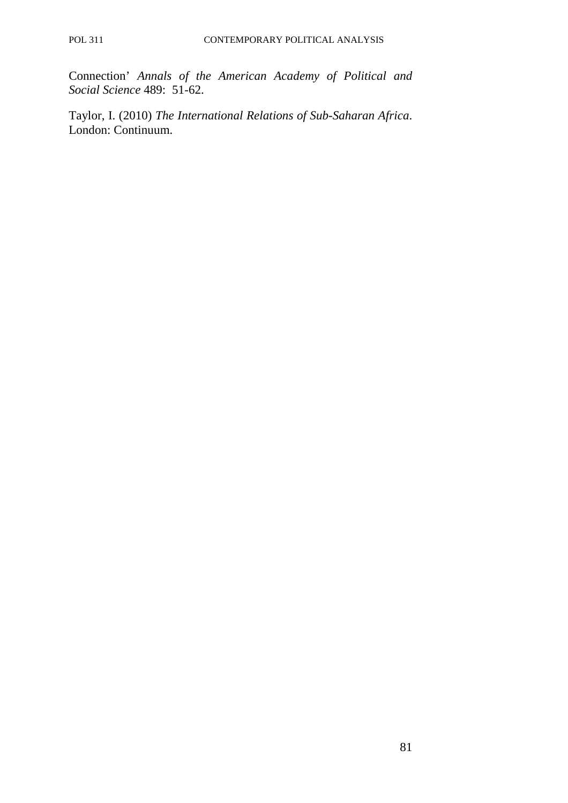Connection' *Annals of the American Academy of Political and Social Science* 489: 51-62.

Taylor, I. (2010) *The International Relations of Sub-Saharan Africa*. London: Continuum.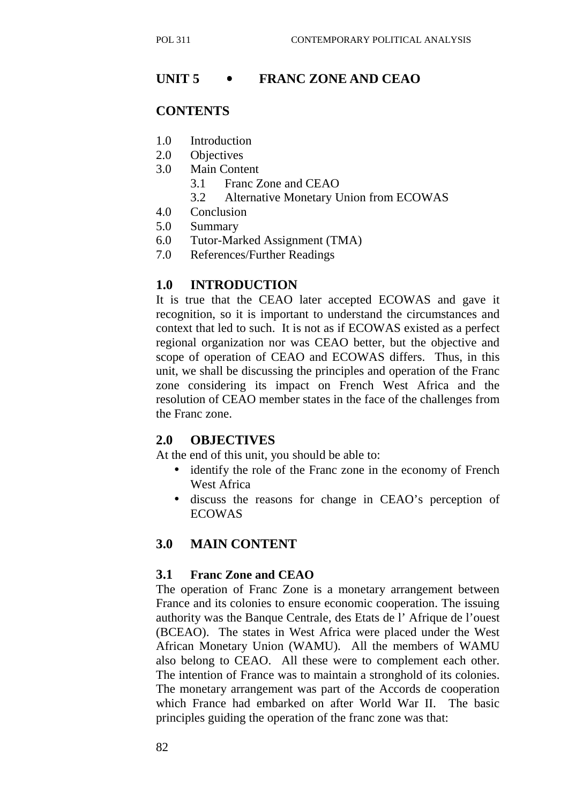## **UNIT 5** • **FRANC ZONE AND CEAO**

### **CONTENTS**

- 1.0 Introduction
- 2.0 Objectives
- 3.0 Main Content
	- 3.1 Franc Zone and CEAO
	- 3.2 Alternative Monetary Union from ECOWAS
- 4.0 Conclusion
- 5.0 Summary
- 6.0 Tutor-Marked Assignment (TMA)
- 7.0 References/Further Readings

### **1.0 INTRODUCTION**

It is true that the CEAO later accepted ECOWAS and gave it recognition, so it is important to understand the circumstances and context that led to such. It is not as if ECOWAS existed as a perfect regional organization nor was CEAO better, but the objective and scope of operation of CEAO and ECOWAS differs. Thus, in this unit, we shall be discussing the principles and operation of the Franc zone considering its impact on French West Africa and the resolution of CEAO member states in the face of the challenges from the Franc zone.

#### **2.0 OBJECTIVES**

At the end of this unit, you should be able to:

- identify the role of the Franc zone in the economy of French West Africa
- discuss the reasons for change in CEAO's perception of ECOWAS

### **3.0 MAIN CONTENT**

#### **3.1 Franc Zone and CEAO**

The operation of Franc Zone is a monetary arrangement between France and its colonies to ensure economic cooperation. The issuing authority was the Banque Centrale, des Etats de l' Afrique de l'ouest (BCEAO). The states in West Africa were placed under the West African Monetary Union (WAMU). All the members of WAMU also belong to CEAO. All these were to complement each other. The intention of France was to maintain a stronghold of its colonies. The monetary arrangement was part of the Accords de cooperation which France had embarked on after World War II. The basic principles guiding the operation of the franc zone was that: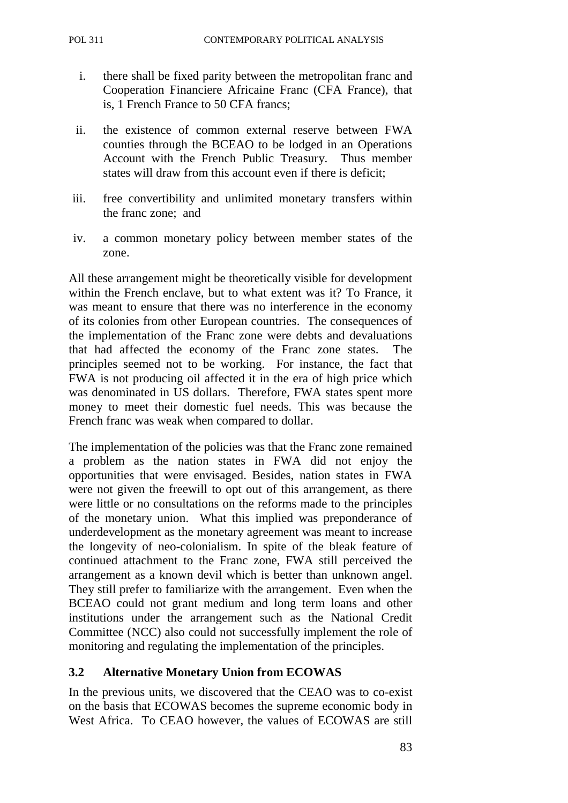- i. there shall be fixed parity between the metropolitan franc and Cooperation Financiere Africaine Franc (CFA France), that is, 1 French France to 50 CFA francs;
- ii. the existence of common external reserve between FWA counties through the BCEAO to be lodged in an Operations Account with the French Public Treasury. Thus member states will draw from this account even if there is deficit;
- iii. free convertibility and unlimited monetary transfers within the franc zone; and
- iv. a common monetary policy between member states of the zone.

All these arrangement might be theoretically visible for development within the French enclave, but to what extent was it? To France, it was meant to ensure that there was no interference in the economy of its colonies from other European countries. The consequences of the implementation of the Franc zone were debts and devaluations that had affected the economy of the Franc zone states. The principles seemed not to be working. For instance, the fact that FWA is not producing oil affected it in the era of high price which was denominated in US dollars. Therefore, FWA states spent more money to meet their domestic fuel needs. This was because the French franc was weak when compared to dollar.

The implementation of the policies was that the Franc zone remained a problem as the nation states in FWA did not enjoy the opportunities that were envisaged. Besides, nation states in FWA were not given the freewill to opt out of this arrangement, as there were little or no consultations on the reforms made to the principles of the monetary union. What this implied was preponderance of underdevelopment as the monetary agreement was meant to increase the longevity of neo-colonialism. In spite of the bleak feature of continued attachment to the Franc zone, FWA still perceived the arrangement as a known devil which is better than unknown angel. They still prefer to familiarize with the arrangement. Even when the BCEAO could not grant medium and long term loans and other institutions under the arrangement such as the National Credit Committee (NCC) also could not successfully implement the role of monitoring and regulating the implementation of the principles.

## **3.2 Alternative Monetary Union from ECOWAS**

In the previous units, we discovered that the CEAO was to co-exist on the basis that ECOWAS becomes the supreme economic body in West Africa. To CEAO however, the values of ECOWAS are still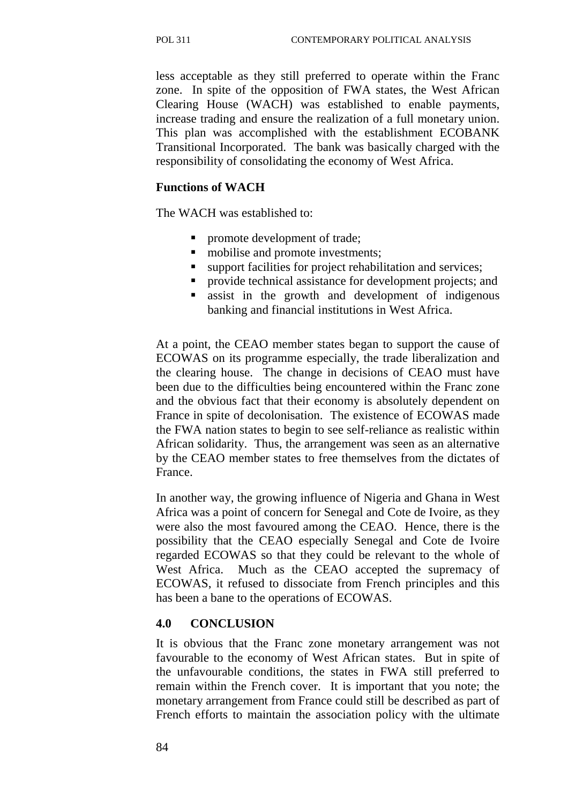less acceptable as they still preferred to operate within the Franc zone. In spite of the opposition of FWA states, the West African Clearing House (WACH) was established to enable payments, increase trading and ensure the realization of a full monetary union. This plan was accomplished with the establishment ECOBANK Transitional Incorporated. The bank was basically charged with the responsibility of consolidating the economy of West Africa.

#### **Functions of WACH**

The WACH was established to:

- promote development of trade;
- mobilise and promote investments;
- support facilities for project rehabilitation and services;
- **•** provide technical assistance for development projects; and
- **assist in the growth and development of indigenous** banking and financial institutions in West Africa.

At a point, the CEAO member states began to support the cause of ECOWAS on its programme especially, the trade liberalization and the clearing house. The change in decisions of CEAO must have been due to the difficulties being encountered within the Franc zone and the obvious fact that their economy is absolutely dependent on France in spite of decolonisation. The existence of ECOWAS made the FWA nation states to begin to see self-reliance as realistic within African solidarity. Thus, the arrangement was seen as an alternative by the CEAO member states to free themselves from the dictates of France.

In another way, the growing influence of Nigeria and Ghana in West Africa was a point of concern for Senegal and Cote de Ivoire, as they were also the most favoured among the CEAO. Hence, there is the possibility that the CEAO especially Senegal and Cote de Ivoire regarded ECOWAS so that they could be relevant to the whole of West Africa. Much as the CEAO accepted the supremacy of ECOWAS, it refused to dissociate from French principles and this has been a bane to the operations of ECOWAS.

#### **4.0 CONCLUSION**

It is obvious that the Franc zone monetary arrangement was not favourable to the economy of West African states. But in spite of the unfavourable conditions, the states in FWA still preferred to remain within the French cover. It is important that you note; the monetary arrangement from France could still be described as part of French efforts to maintain the association policy with the ultimate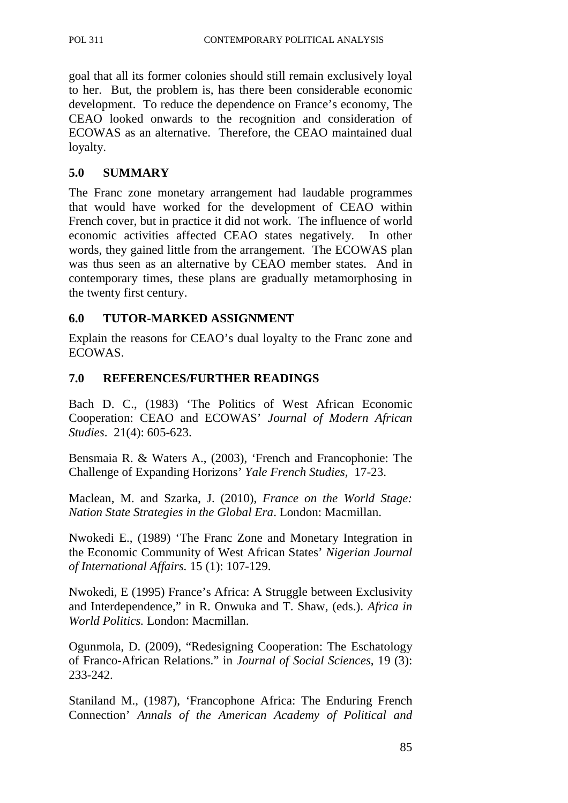goal that all its former colonies should still remain exclusively loyal to her. But, the problem is, has there been considerable economic development. To reduce the dependence on France's economy, The CEAO looked onwards to the recognition and consideration of ECOWAS as an alternative. Therefore, the CEAO maintained dual loyalty.

### **5.0 SUMMARY**

The Franc zone monetary arrangement had laudable programmes that would have worked for the development of CEAO within French cover, but in practice it did not work. The influence of world economic activities affected CEAO states negatively. In other words, they gained little from the arrangement. The ECOWAS plan was thus seen as an alternative by CEAO member states. And in contemporary times, these plans are gradually metamorphosing in the twenty first century.

## **6.0 TUTOR-MARKED ASSIGNMENT**

Explain the reasons for CEAO's dual loyalty to the Franc zone and ECOWAS.

## **7.0 REFERENCES/FURTHER READINGS**

Bach D. C., (1983) 'The Politics of West African Economic Cooperation: CEAO and ECOWAS' *Journal of Modern African Studies*. 21(4): 605-623.

Bensmaia R. & Waters A., (2003), 'French and Francophonie: The Challenge of Expanding Horizons' *Yale French Studies,* 17-23.

Maclean, M. and Szarka, J. (2010), *France on the World Stage: Nation State Strategies in the Global Era*. London: Macmillan.

Nwokedi E., (1989) 'The Franc Zone and Monetary Integration in the Economic Community of West African States' *Nigerian Journal of International Affairs.* 15 (1): 107-129.

Nwokedi, E (1995) France's Africa: A Struggle between Exclusivity and Interdependence," in R. Onwuka and T. Shaw, (eds.). *Africa in World Politics.* London: Macmillan.

Ogunmola, D. (2009), "Redesigning Cooperation: The Eschatology of Franco-African Relations." in *Journal of Social Sciences*, 19 (3): 233-242.

Staniland M., (1987), 'Francophone Africa: The Enduring French Connection' *Annals of the American Academy of Political and*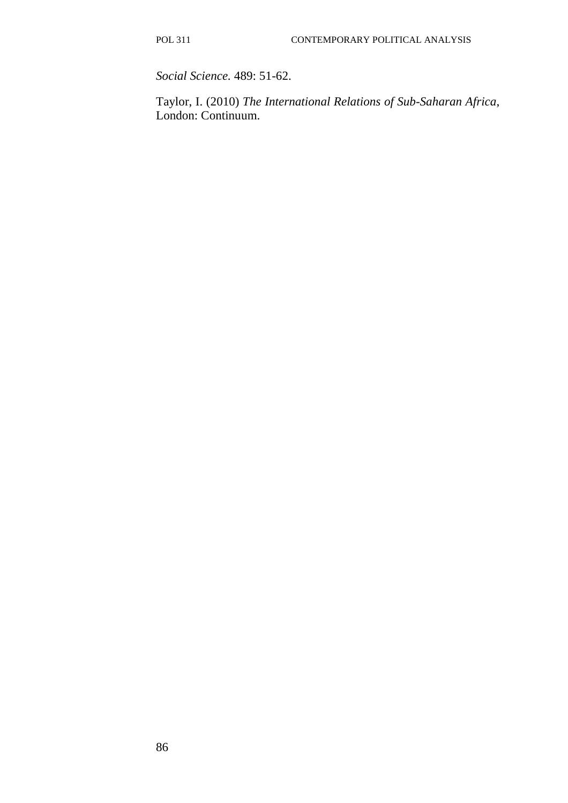*Social Science.* 489: 51-62.

Taylor, I. (2010) *The International Relations of Sub-Saharan Africa*, London: Continuum.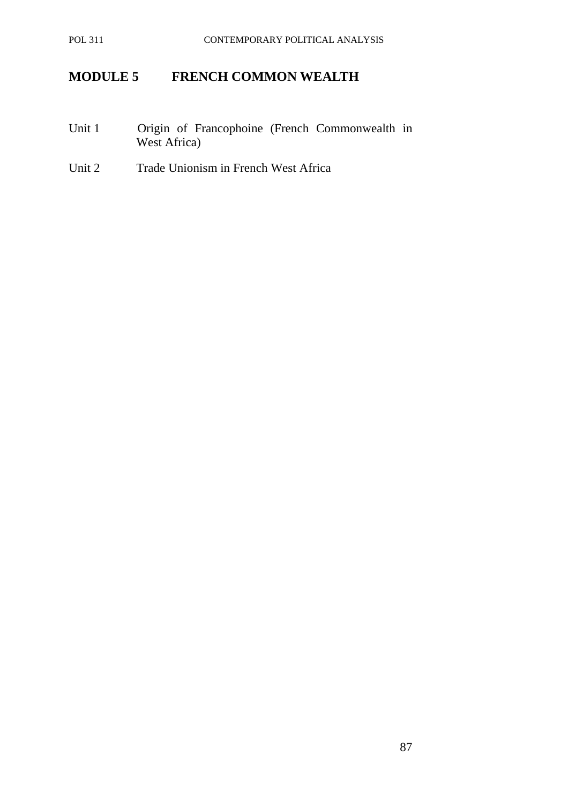# **MODULE 5 FRENCH COMMON WEALTH**

- Unit 1 Origin of Francophoine (French Commonwealth in West Africa)
- Unit 2 Trade Unionism in French West Africa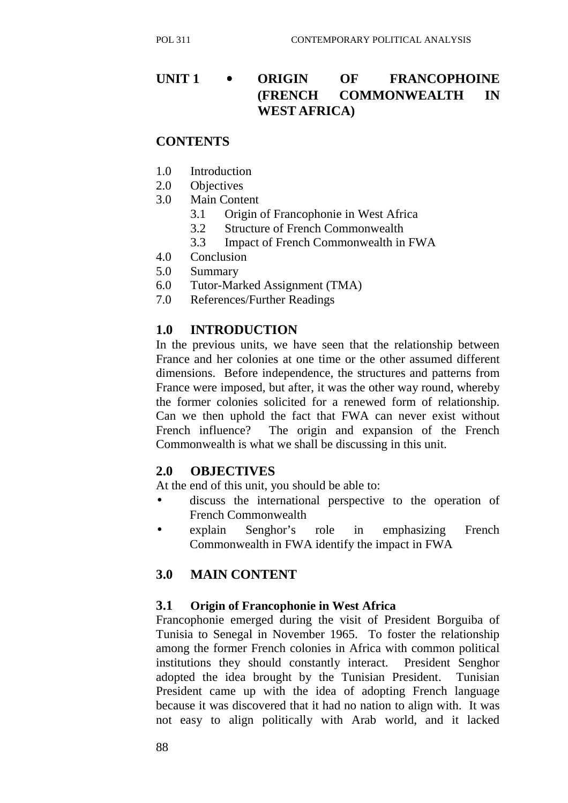# **UNIT 1** • **ORIGIN OF FRANCOPHOINE (FRENCH COMMONWEALTH IN WEST AFRICA)**

### **CONTENTS**

- 1.0 Introduction
- 2.0 Objectives
- 3.0 Main Content
	- 3.1 Origin of Francophonie in West Africa
	- 3.2 Structure of French Commonwealth
	- 3.3 Impact of French Commonwealth in FWA
- 4.0 Conclusion
- 5.0 Summary
- 6.0 Tutor-Marked Assignment (TMA)
- 7.0 References/Further Readings

## **1.0 INTRODUCTION**

In the previous units, we have seen that the relationship between France and her colonies at one time or the other assumed different dimensions. Before independence, the structures and patterns from France were imposed, but after, it was the other way round, whereby the former colonies solicited for a renewed form of relationship. Can we then uphold the fact that FWA can never exist without French influence? The origin and expansion of the French Commonwealth is what we shall be discussing in this unit.

### **2.0 OBJECTIVES**

At the end of this unit, you should be able to:

- discuss the international perspective to the operation of French Commonwealth
- explain Senghor's role in emphasizing French Commonwealth in FWA identify the impact in FWA

## **3.0 MAIN CONTENT**

#### **3.1 Origin of Francophonie in West Africa**

Francophonie emerged during the visit of President Borguiba of Tunisia to Senegal in November 1965. To foster the relationship among the former French colonies in Africa with common political institutions they should constantly interact. President Senghor adopted the idea brought by the Tunisian President. Tunisian President came up with the idea of adopting French language because it was discovered that it had no nation to align with. It was not easy to align politically with Arab world, and it lacked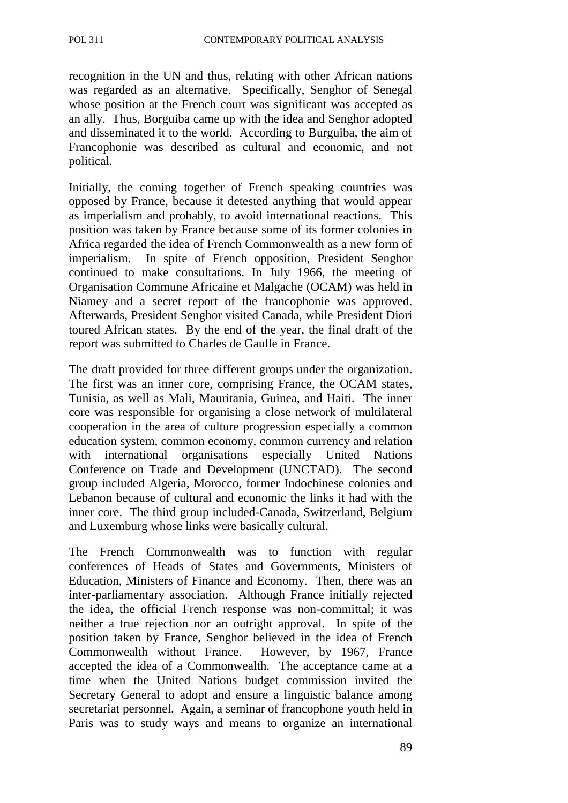recognition in the UN and thus, relating with other African nations was regarded as an alternative. Specifically, Senghor of Senegal whose position at the French court was significant was accepted as an ally. Thus, Borguiba came up with the idea and Senghor adopted and disseminated it to the world. According to Burguiba, the aim of Francophonie was described as cultural and economic, and not political.

Initially, the coming together of French speaking countries was opposed by France, because it detested anything that would appear as imperialism and probably, to avoid international reactions. This position was taken by France because some of its former colonies in Africa regarded the idea of French Commonwealth as a new form of imperialism. In spite of French opposition, President Senghor continued to make consultations. In July 1966, the meeting of Organisation Commune Africaine et Malgache (OCAM) was held in Niamey and a secret report of the francophonie was approved. Afterwards, President Senghor visited Canada, while President Diori toured African states. By the end of the year, the final draft of the report was submitted to Charles de Gaulle in France.

The draft provided for three different groups under the organization. The first was an inner core, comprising France, the OCAM states, Tunisia, as well as Mali, Mauritania, Guinea, and Haiti. The inner core was responsible for organising a close network of multilateral cooperation in the area of culture progression especially a common education system, common economy, common currency and relation with international organisations especially United Nations Conference on Trade and Development (UNCTAD). The second group included Algeria, Morocco, former Indochinese colonies and Lebanon because of cultural and economic the links it had with the inner core. The third group included-Canada, Switzerland, Belgium and Luxemburg whose links were basically cultural.

The French Commonwealth was to function with regular conferences of Heads of States and Governments, Ministers of Education, Ministers of Finance and Economy. Then, there was an inter-parliamentary association. Although France initially rejected the idea, the official French response was non-committal; it was neither a true rejection nor an outright approval. In spite of the position taken by France, Senghor believed in the idea of French Commonwealth without France. However, by 1967, France accepted the idea of a Commonwealth. The acceptance came at a time when the United Nations budget commission invited the Secretary General to adopt and ensure a linguistic balance among secretariat personnel. Again, a seminar of francophone youth held in Paris was to study ways and means to organize an international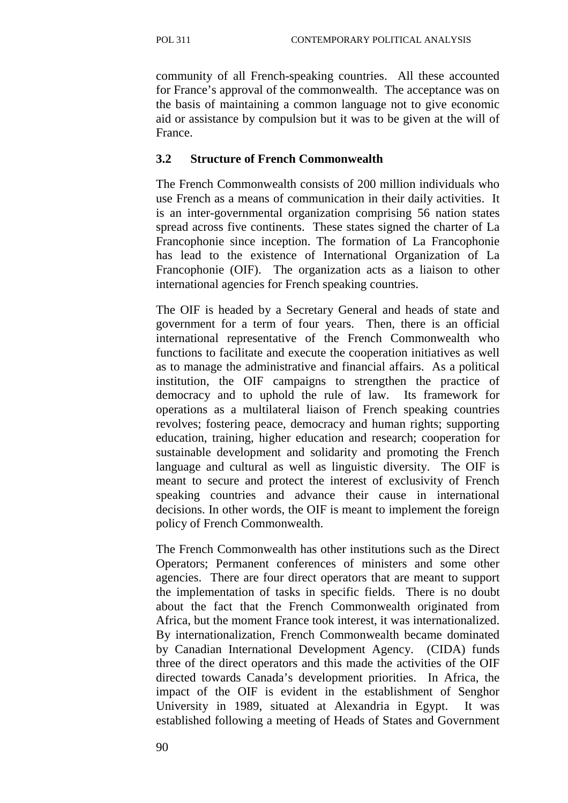community of all French-speaking countries. All these accounted for France's approval of the commonwealth. The acceptance was on the basis of maintaining a common language not to give economic aid or assistance by compulsion but it was to be given at the will of France.

### **3.2 Structure of French Commonwealth**

The French Commonwealth consists of 200 million individuals who use French as a means of communication in their daily activities. It is an inter-governmental organization comprising 56 nation states spread across five continents. These states signed the charter of La Francophonie since inception. The formation of La Francophonie has lead to the existence of International Organization of La Francophonie (OIF). The organization acts as a liaison to other international agencies for French speaking countries.

The OIF is headed by a Secretary General and heads of state and government for a term of four years. Then, there is an official international representative of the French Commonwealth who functions to facilitate and execute the cooperation initiatives as well as to manage the administrative and financial affairs. As a political institution, the OIF campaigns to strengthen the practice of democracy and to uphold the rule of law. Its framework for operations as a multilateral liaison of French speaking countries revolves; fostering peace, democracy and human rights; supporting education, training, higher education and research; cooperation for sustainable development and solidarity and promoting the French language and cultural as well as linguistic diversity. The OIF is meant to secure and protect the interest of exclusivity of French speaking countries and advance their cause in international decisions. In other words, the OIF is meant to implement the foreign policy of French Commonwealth.

The French Commonwealth has other institutions such as the Direct Operators; Permanent conferences of ministers and some other agencies. There are four direct operators that are meant to support the implementation of tasks in specific fields. There is no doubt about the fact that the French Commonwealth originated from Africa, but the moment France took interest, it was internationalized. By internationalization, French Commonwealth became dominated by Canadian International Development Agency. (CIDA) funds three of the direct operators and this made the activities of the OIF directed towards Canada's development priorities. In Africa, the impact of the OIF is evident in the establishment of Senghor University in 1989, situated at Alexandria in Egypt. It was established following a meeting of Heads of States and Government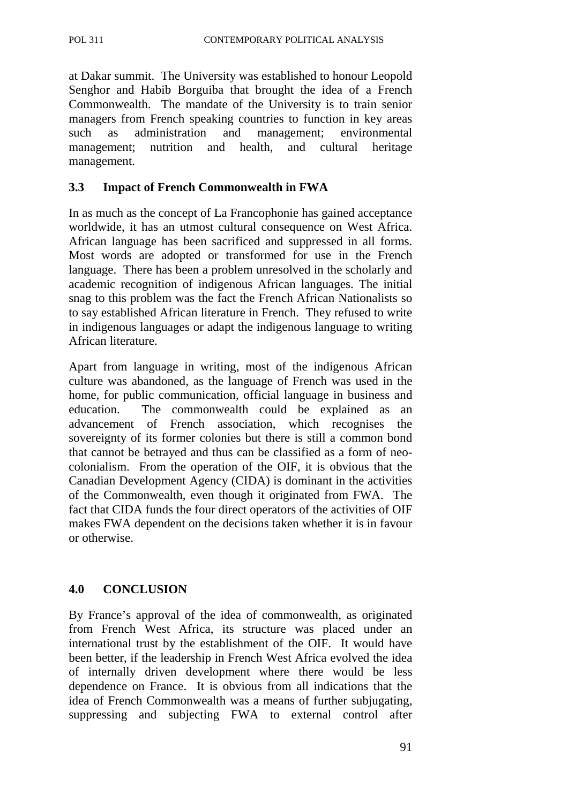at Dakar summit. The University was established to honour Leopold Senghor and Habib Borguiba that brought the idea of a French Commonwealth. The mandate of the University is to train senior managers from French speaking countries to function in key areas such as administration and management; environmental management; nutrition and health, and cultural heritage management.

### **3.3 Impact of French Commonwealth in FWA**

In as much as the concept of La Francophonie has gained acceptance worldwide, it has an utmost cultural consequence on West Africa. African language has been sacrificed and suppressed in all forms. Most words are adopted or transformed for use in the French language. There has been a problem unresolved in the scholarly and academic recognition of indigenous African languages. The initial snag to this problem was the fact the French African Nationalists so to say established African literature in French. They refused to write in indigenous languages or adapt the indigenous language to writing African literature.

Apart from language in writing, most of the indigenous African culture was abandoned, as the language of French was used in the home, for public communication, official language in business and education. The commonwealth could be explained as an advancement of French association, which recognises the sovereignty of its former colonies but there is still a common bond that cannot be betrayed and thus can be classified as a form of neocolonialism. From the operation of the OIF, it is obvious that the Canadian Development Agency (CIDA) is dominant in the activities of the Commonwealth, even though it originated from FWA. The fact that CIDA funds the four direct operators of the activities of OIF makes FWA dependent on the decisions taken whether it is in favour or otherwise.

### **4.0 CONCLUSION**

By France's approval of the idea of commonwealth, as originated from French West Africa, its structure was placed under an international trust by the establishment of the OIF. It would have been better, if the leadership in French West Africa evolved the idea of internally driven development where there would be less dependence on France. It is obvious from all indications that the idea of French Commonwealth was a means of further subjugating, suppressing and subjecting FWA to external control after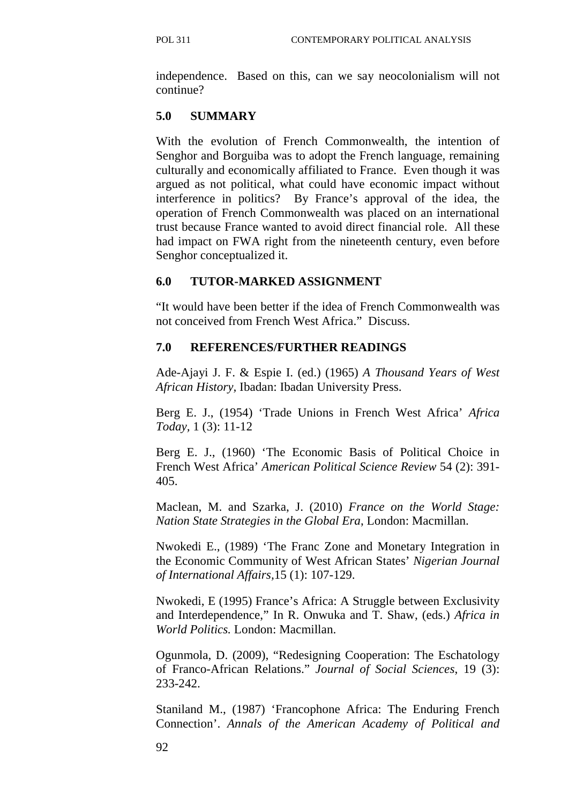independence. Based on this, can we say neocolonialism will not continue?

## **5.0 SUMMARY**

With the evolution of French Commonwealth, the intention of Senghor and Borguiba was to adopt the French language, remaining culturally and economically affiliated to France. Even though it was argued as not political, what could have economic impact without interference in politics? By France's approval of the idea, the operation of French Commonwealth was placed on an international trust because France wanted to avoid direct financial role. All these had impact on FWA right from the nineteenth century, even before Senghor conceptualized it.

## **6.0 TUTOR-MARKED ASSIGNMENT**

"It would have been better if the idea of French Commonwealth was not conceived from French West Africa." Discuss.

## **7.0 REFERENCES/FURTHER READINGS**

Ade-Ajayi J. F. & Espie I. (ed.) (1965) *A Thousand Years of West African History,* Ibadan: Ibadan University Press.

Berg E. J., (1954) 'Trade Unions in French West Africa' *Africa Today,* 1 (3): 11-12

Berg E. J., (1960) 'The Economic Basis of Political Choice in French West Africa' *American Political Science Review* 54 (2): 391- 405.

Maclean, M. and Szarka, J. (2010) *France on the World Stage: Nation State Strategies in the Global Era*, London: Macmillan.

Nwokedi E., (1989) 'The Franc Zone and Monetary Integration in the Economic Community of West African States' *Nigerian Journal of International Affairs,*15 (1): 107-129.

Nwokedi, E (1995) France's Africa: A Struggle between Exclusivity and Interdependence," In R. Onwuka and T. Shaw, (eds.) *Africa in World Politics.* London: Macmillan.

Ogunmola, D. (2009), "Redesigning Cooperation: The Eschatology of Franco-African Relations." *Journal of Social Sciences*, 19 (3): 233-242.

Staniland M., (1987) 'Francophone Africa: The Enduring French Connection'. *Annals of the American Academy of Political and*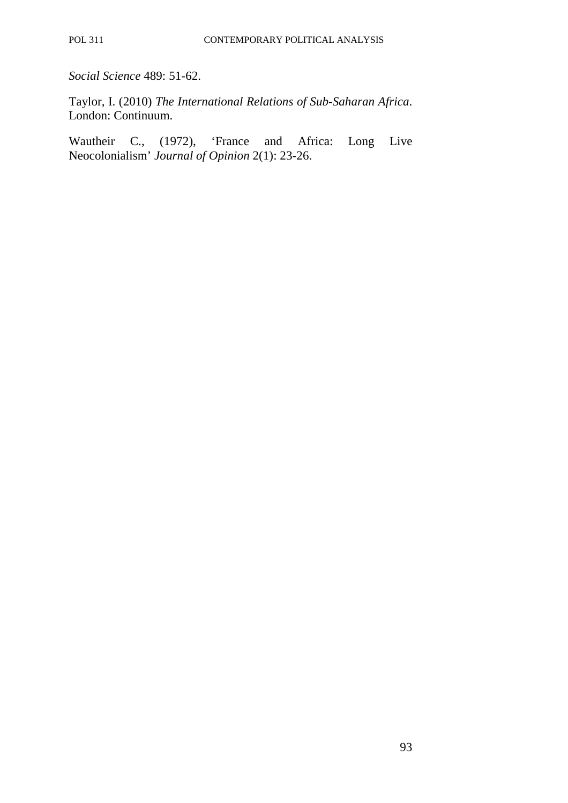*Social Science* 489: 51-62.

Taylor, I. (2010) *The International Relations of Sub-Saharan Africa*. London: Continuum.

Wautheir C., (1972), 'France and Africa: Long Live Neocolonialism' *Journal of Opinion* 2(1): 23-26.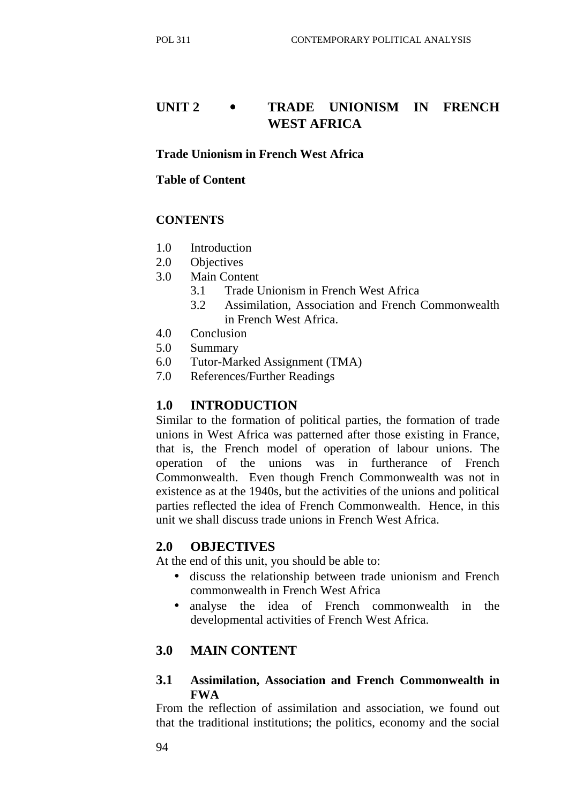# **UNIT 2** • **TRADE UNIONISM IN FRENCH WEST AFRICA**

#### **Trade Unionism in French West Africa**

#### **Table of Content**

### **CONTENTS**

- 1.0 Introduction
- 2.0 Objectives
- 3.0 Main Content
	- 3.1 Trade Unionism in French West Africa
	- 3.2 Assimilation, Association and French Commonwealth in French West Africa.
- 4.0 Conclusion
- 5.0 Summary
- 6.0 Tutor-Marked Assignment (TMA)
- 7.0 References/Further Readings

### **1.0 INTRODUCTION**

Similar to the formation of political parties, the formation of trade unions in West Africa was patterned after those existing in France, that is, the French model of operation of labour unions. The operation of the unions was in furtherance of French Commonwealth. Even though French Commonwealth was not in existence as at the 1940s, but the activities of the unions and political parties reflected the idea of French Commonwealth. Hence, in this unit we shall discuss trade unions in French West Africa.

### **2.0 OBJECTIVES**

At the end of this unit, you should be able to:

- discuss the relationship between trade unionism and French commonwealth in French West Africa
- analyse the idea of French commonwealth in the developmental activities of French West Africa.

### **3.0 MAIN CONTENT**

### **3.1 Assimilation, Association and French Commonwealth in FWA**

From the reflection of assimilation and association, we found out that the traditional institutions; the politics, economy and the social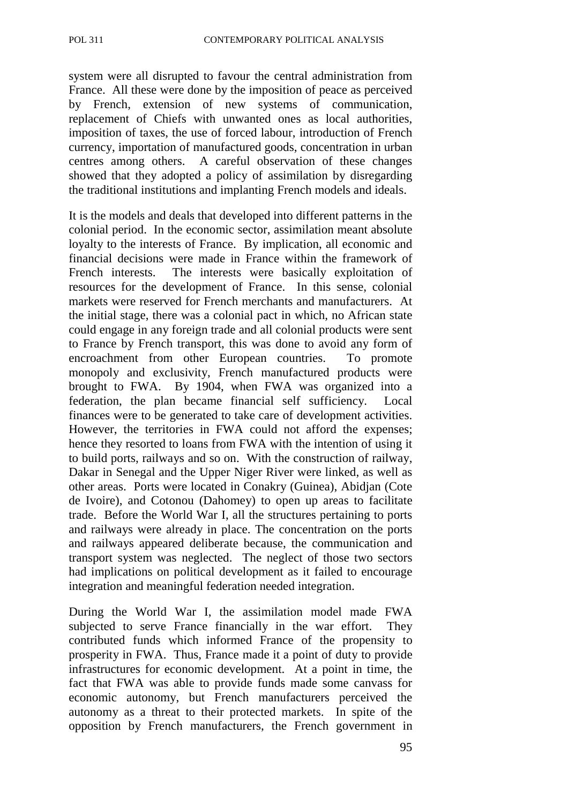system were all disrupted to favour the central administration from France. All these were done by the imposition of peace as perceived by French, extension of new systems of communication, replacement of Chiefs with unwanted ones as local authorities, imposition of taxes, the use of forced labour, introduction of French currency, importation of manufactured goods, concentration in urban centres among others. A careful observation of these changes showed that they adopted a policy of assimilation by disregarding the traditional institutions and implanting French models and ideals.

It is the models and deals that developed into different patterns in the colonial period. In the economic sector, assimilation meant absolute loyalty to the interests of France. By implication, all economic and financial decisions were made in France within the framework of French interests. The interests were basically exploitation of resources for the development of France. In this sense, colonial markets were reserved for French merchants and manufacturers. At the initial stage, there was a colonial pact in which, no African state could engage in any foreign trade and all colonial products were sent to France by French transport, this was done to avoid any form of encroachment from other European countries. To promote monopoly and exclusivity, French manufactured products were brought to FWA. By 1904, when FWA was organized into a federation, the plan became financial self sufficiency. Local finances were to be generated to take care of development activities. However, the territories in FWA could not afford the expenses; hence they resorted to loans from FWA with the intention of using it to build ports, railways and so on. With the construction of railway, Dakar in Senegal and the Upper Niger River were linked, as well as other areas. Ports were located in Conakry (Guinea), Abidjan (Cote de Ivoire), and Cotonou (Dahomey) to open up areas to facilitate trade. Before the World War I, all the structures pertaining to ports and railways were already in place. The concentration on the ports and railways appeared deliberate because, the communication and transport system was neglected. The neglect of those two sectors had implications on political development as it failed to encourage integration and meaningful federation needed integration.

During the World War I, the assimilation model made FWA subjected to serve France financially in the war effort. They contributed funds which informed France of the propensity to prosperity in FWA. Thus, France made it a point of duty to provide infrastructures for economic development. At a point in time, the fact that FWA was able to provide funds made some canvass for economic autonomy, but French manufacturers perceived the autonomy as a threat to their protected markets. In spite of the opposition by French manufacturers, the French government in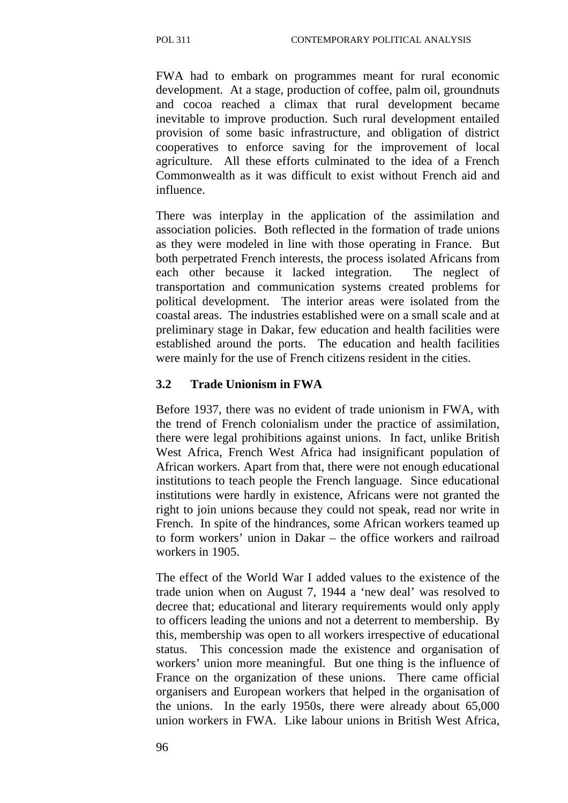FWA had to embark on programmes meant for rural economic development. At a stage, production of coffee, palm oil, groundnuts and cocoa reached a climax that rural development became inevitable to improve production. Such rural development entailed provision of some basic infrastructure, and obligation of district cooperatives to enforce saving for the improvement of local agriculture. All these efforts culminated to the idea of a French Commonwealth as it was difficult to exist without French aid and influence.

There was interplay in the application of the assimilation and association policies. Both reflected in the formation of trade unions as they were modeled in line with those operating in France. But both perpetrated French interests, the process isolated Africans from each other because it lacked integration. The neglect of transportation and communication systems created problems for political development. The interior areas were isolated from the coastal areas. The industries established were on a small scale and at preliminary stage in Dakar, few education and health facilities were established around the ports. The education and health facilities were mainly for the use of French citizens resident in the cities.

### **3.2 Trade Unionism in FWA**

Before 1937, there was no evident of trade unionism in FWA, with the trend of French colonialism under the practice of assimilation, there were legal prohibitions against unions. In fact, unlike British West Africa, French West Africa had insignificant population of African workers. Apart from that, there were not enough educational institutions to teach people the French language. Since educational institutions were hardly in existence, Africans were not granted the right to join unions because they could not speak, read nor write in French. In spite of the hindrances, some African workers teamed up to form workers' union in Dakar – the office workers and railroad workers in 1905.

The effect of the World War I added values to the existence of the trade union when on August 7, 1944 a 'new deal' was resolved to decree that; educational and literary requirements would only apply to officers leading the unions and not a deterrent to membership. By this, membership was open to all workers irrespective of educational status. This concession made the existence and organisation of workers' union more meaningful. But one thing is the influence of France on the organization of these unions. There came official organisers and European workers that helped in the organisation of the unions. In the early 1950s, there were already about 65,000 union workers in FWA. Like labour unions in British West Africa,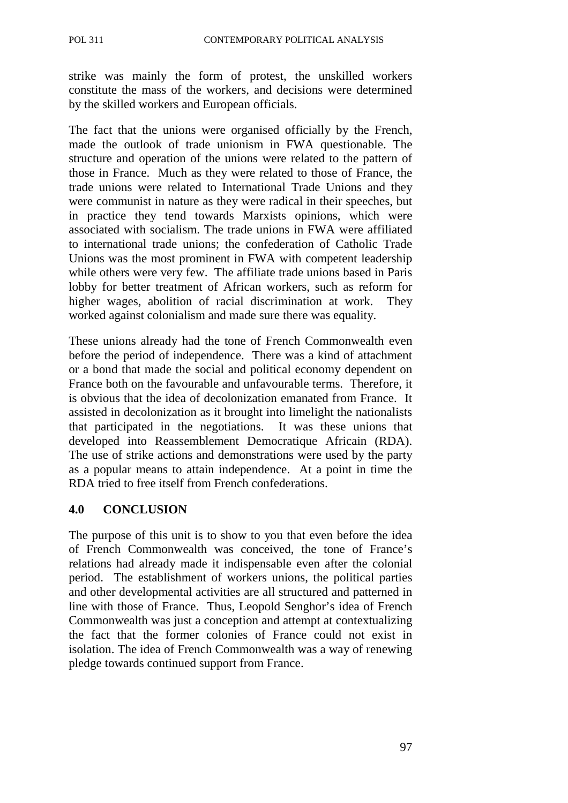strike was mainly the form of protest, the unskilled workers constitute the mass of the workers, and decisions were determined by the skilled workers and European officials.

The fact that the unions were organised officially by the French, made the outlook of trade unionism in FWA questionable. The structure and operation of the unions were related to the pattern of those in France. Much as they were related to those of France, the trade unions were related to International Trade Unions and they were communist in nature as they were radical in their speeches, but in practice they tend towards Marxists opinions, which were associated with socialism. The trade unions in FWA were affiliated to international trade unions; the confederation of Catholic Trade Unions was the most prominent in FWA with competent leadership while others were very few. The affiliate trade unions based in Paris lobby for better treatment of African workers, such as reform for higher wages, abolition of racial discrimination at work. They worked against colonialism and made sure there was equality.

These unions already had the tone of French Commonwealth even before the period of independence. There was a kind of attachment or a bond that made the social and political economy dependent on France both on the favourable and unfavourable terms. Therefore, it is obvious that the idea of decolonization emanated from France. It assisted in decolonization as it brought into limelight the nationalists that participated in the negotiations. It was these unions that developed into Reassemblement Democratique Africain (RDA). The use of strike actions and demonstrations were used by the party as a popular means to attain independence. At a point in time the RDA tried to free itself from French confederations.

#### **4.0 CONCLUSION**

The purpose of this unit is to show to you that even before the idea of French Commonwealth was conceived, the tone of France's relations had already made it indispensable even after the colonial period. The establishment of workers unions, the political parties and other developmental activities are all structured and patterned in line with those of France. Thus, Leopold Senghor's idea of French Commonwealth was just a conception and attempt at contextualizing the fact that the former colonies of France could not exist in isolation. The idea of French Commonwealth was a way of renewing pledge towards continued support from France.